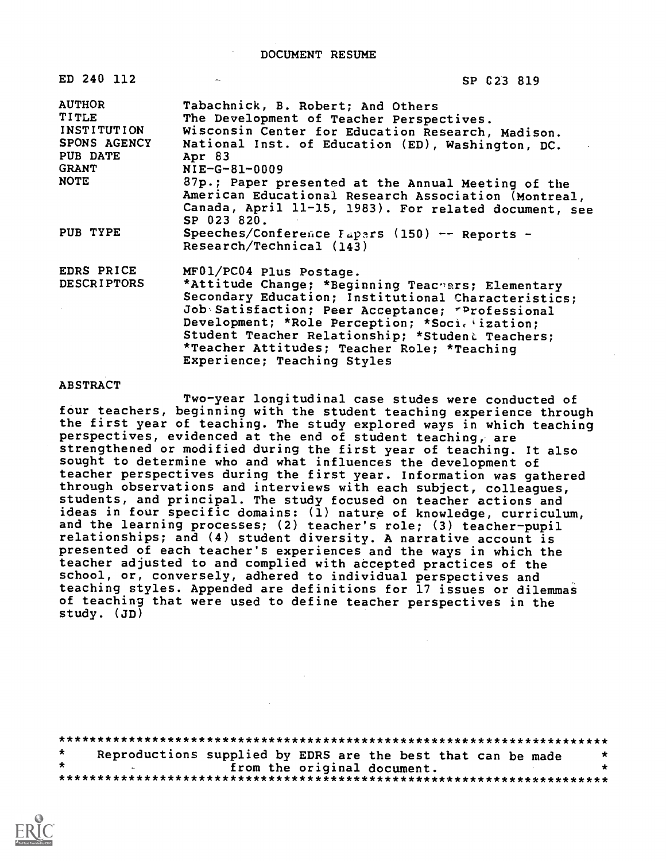DOCUMENT RESUME

| ED 240 112                  | SP 023 819                                                                                                 |
|-----------------------------|------------------------------------------------------------------------------------------------------------|
| <b>AUTHOR</b>               | Tabachnick, B. Robert; And Others                                                                          |
| TITLE                       | The Development of Teacher Perspectives.                                                                   |
| INSTITUTION<br>SPONS AGENCY | Wisconsin Center for Education Research, Madison.                                                          |
| PUB DATE                    | National Inst. of Education (ED), Washington, DC.                                                          |
| <b>GRANT</b>                | Apr 83<br>$NIE-G-81-0009$                                                                                  |
| <b>NOTE</b>                 |                                                                                                            |
|                             | 87p.; Paper presented at the Annual Meeting of the<br>American Educational Research Association (Montreal, |
|                             |                                                                                                            |
|                             | Canada, April 11-15, 1983). For related document, see<br>SP 023 820.                                       |
| PUB TYPE                    | Speeches/Conference Fapers (150) -- Reports -                                                              |
|                             | Research/Technical (143)                                                                                   |
|                             |                                                                                                            |
| EDRS PRICE                  | MF01/PC04 Plus Postage.                                                                                    |
| <b>DESCRIPTORS</b>          | *Attitude Change; *Beginning Teachers; Elementary                                                          |
|                             | Secondary Education; Institutional Characteristics:                                                        |
|                             | Job Satisfaction; Peer Acceptance; "Professional                                                           |
|                             | Development; *Role Perception; *Societization;                                                             |
|                             | Student Teacher Relationship; *Student Teachers;                                                           |
|                             | *Teacher Attitudes; Teacher Role; *Teaching                                                                |
|                             | Experience; Teaching Styles                                                                                |

### ABSTRACT

Two-year longitudinal case studes were conducted of four teachers, beginning with the student teaching experience through the first year of teaching. The study explored ways in which teaching perspectives, evidenced at the end of student teaching, are strengthened or modified during the first year of teaching. It also sought to determine who and what influences the development of teacher perspectives during the first year. Information was gathered through observations and interviews with each subject, colleagues, students, and principal. The study focused on teacher actions and ideas in four specific domains: (1) nature of knowledge, curriculum, and the learning processes; (2) teacher's role; (3) teacher-pupil relationships; and (4) student diversity. A narrative account is presented of each teacher's experiences and the ways in which the teacher adjusted to and complied with accepted practices of the school, or, conversely, adhered to individual perspectives and teaching styles. Appended are definitions for 17 issues or dilemmas of teaching that were used to define teacher perspectives in the study. (JD)

| $\star$ | Reproductions supplied by EDRS are the best that can be made |                             |  | $\star$ |
|---------|--------------------------------------------------------------|-----------------------------|--|---------|
|         |                                                              | from the original document. |  |         |
|         |                                                              |                             |  |         |

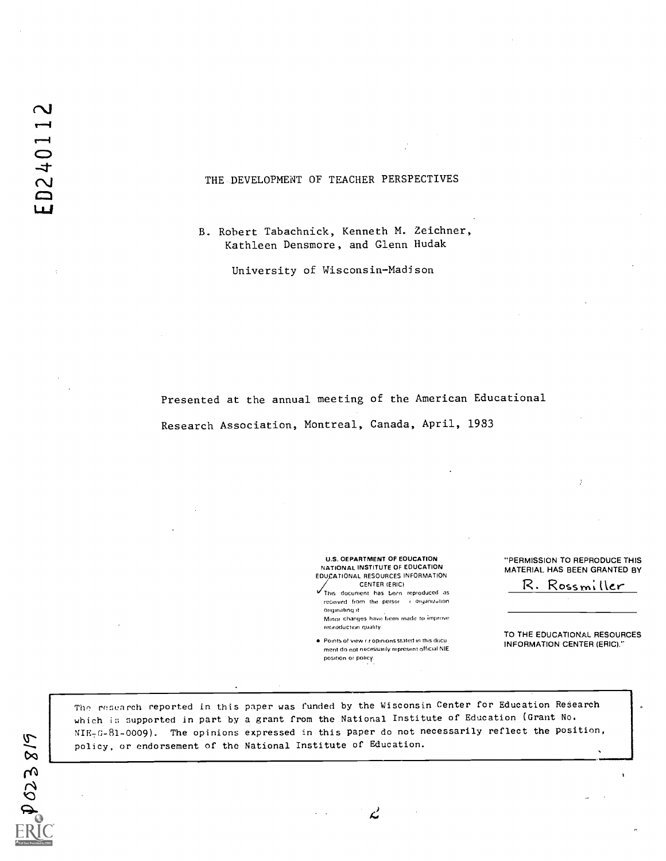# THE DEVELOPMENT OF TEACHER PERSPECTIVES

B. Robert Tabachnick, Kenneth M. Zeichner, Kathleen Densmore, and Glenn Hudak

University of Wisconsin-Madison

Presented at the annual meeting of the American Educational Research Association, Montreal, Canada, April, 1933

> U.S. OEPARTMENT OF EOUCATION NATIONAL INSTITUTE OF EDUCATION EDUCATIONAL RESOURCES INFORMATION CENTER (ERIC)

This document has been reproduced as received from the persor in organization oreynatono it Minor changes have been made to improve reproduction quality.

 $\bullet$  Points of view  $\alpha$  opinions stated in this ducu merit do not necessarily represent official NIE position or poircy.

Ľ

"PERMISSION TO REPRODUCE THIS MATERIAL. HAS BEEN GRANTED BY

R. Rossmiller

TO THE EDUCATIONAL RESOURCES INFORMATION CENTER (ERIC)."

The research reported in this paper was funded by the Wisconsin Center for Education Research which is supported in part by a grant from the National Institute of Education (Grant No. NIE-G-81-0009). The opinions expressed in this paper do not necessarily reflect the position, policy, or endorsement of the National Institute of Education.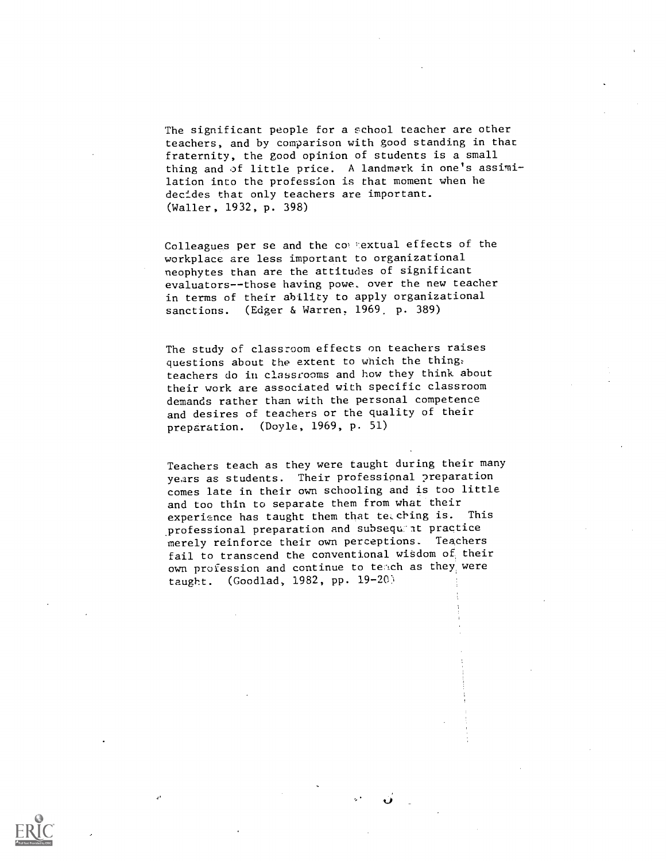The significant people for a school teacher are other teachers, and by comparison with good standing in that fraternity, the good opinion of students is a small thing and of little price. A landmark in one's assimilation into the profession is that moment when he decides that only teachers are important. (Waller, 1932, p. 398)

Colleagues per se and the commextual effects of the workplace are less important to organizational neophytes than are the attitudes of significant evaluators--those having powe, over the new teacher in terms of their ability to apply organizational sanctions. (Edger & Warren, 1969. p. 389)

The study of classroom effects on teachers raises questions about the extent to which the thing: teachers do in classrooms and how they think about their work are associated with specific classroom demands rather than with the personal competence and desires of teachers or the quality of their preparation. (Doyle, 1969, p. 51)

Teachers teach as they were taught during their many years as students. Their professional preparation comes late in their own schooling and is too little and too thin to separate them from what their<br>experience has taught them that te ching is. This experience has taught them that teaching is. professional preparation and subsequent practice merely reinforce their own perceptions. Teachers fail to transcend the conventional wisdom of their own profession and continue to teach as they were taught. (Goodlad, 1982, pp.  $19-20$ )

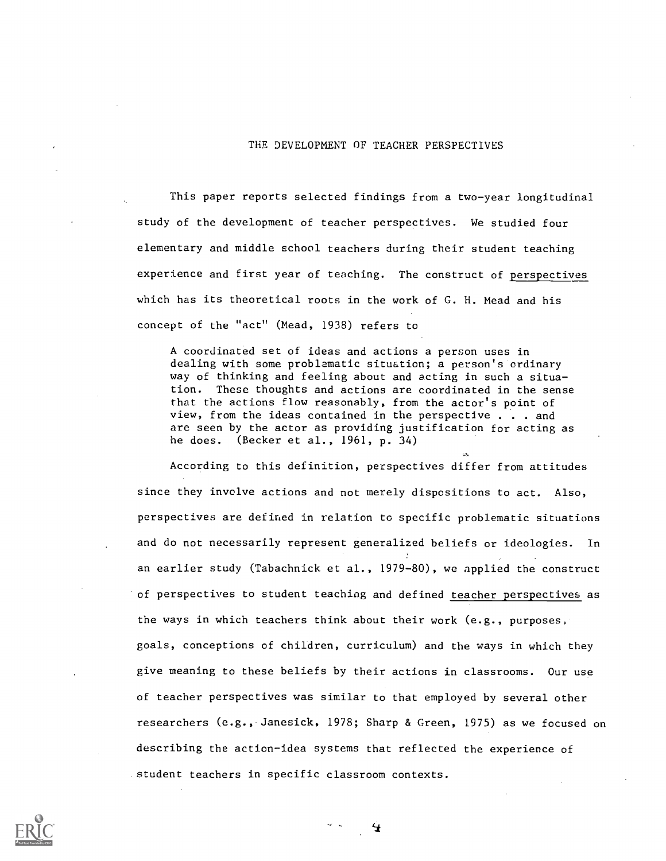## THE DEVELOPMENT OF TEACHER PERSPECTIVES

This paper reports selected findings from a two-year longitudinal study of the development of teacher perspectives. We studied four elementary and middle school teachers during their student teaching experience and first year of teaching. The construct of perspectives which has its theoretical roots in the work of G. H. Mead and his concept of the "act" (Mead, 1938) refers to

A coordinated set of ideas and actions a person uses in dealing with some problematic situation; a person's ordinary way of thinking and feeling about and acting in such a situation. These thoughts and actions are coordinated in the sense that the actions flow reasonably, from the actor's point of view, from the ideas contained in the perspective . . . and are seen by the actor as providing justification for acting as he does. (Becker et al., 1961, p. 34)

According to this definition, perspectives differ from attitudes since they involve actions and not merely dispositions to act. Also, perspectives are defined in relation to specific problematic situations and do not necessarily represent generalized beliefs or ideologies. In an earlier study (Tabachnick et al., 1979-80), we applied the construct of perspectives to student teaching and defined teacher perspectives as the ways in which teachers think about their work (e.g., purposes, goals, conceptions of children, curriculum) and the ways in which they give meaning to these beliefs by their actions in classrooms. Our use of teacher perspectives was similar to that employed by several other researchers (e.g., Janesick, 1978; Sharp & Green, 1975) as we focused on describing the action-idea systems that reflected the experience of student teachers in specific classroom contexts.

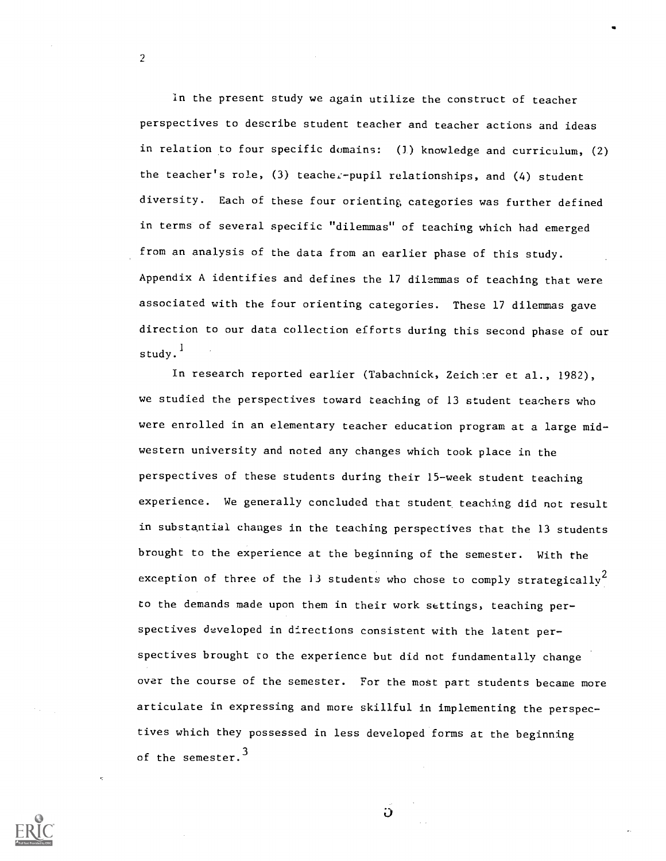in the present study we again utilize the construct of teacher perspectives to describe student teacher and teacher actions and ideas in relation to four specific domains: (1) knowledge and curriculum, (2) the teacher's role, (3) teacher-pupil relationships, and (4) student diversity. Each of these four orienting, categories was further defined in terms of several specific "dilemmas" of teaching which had emerged from an analysis of the data from an earlier phase of this study. Appendix A identifies and defines the 17 dilemmas of teaching that were associated with the four orienting categories. These 17 dilemmas gave direction to our data collection efforts during this second phase of our study. 1

In research reported earlier (Tabachnick, Zeichler et al., 1982), we studied the perspectives toward teaching of 13 student teachers who were enrolled in an elementary teacher education program at a large midwestern university and noted any changes which took place in the perspectives of these students during their 15-week student teaching experience. We generally concluded that student, teaching did not result in substantial changes in the teaching perspectives that the 13 students brought to the experience at the beginning of the semester. With the exception of three of the 13 students who chose to comply strategically<sup>2</sup> to the demands made upon them in their work settings, teaching perspectives developed in directions consistent with the latent perspectives brought to the experience but did not fundamentally change over the course of the semester. For the most part students became more articulate in expressing and more skillful in implementing the perspectives which they possessed in less developed forms at the beginning of the semester.<sup>3</sup>

 $\ddot{\mathbf{u}}$ 

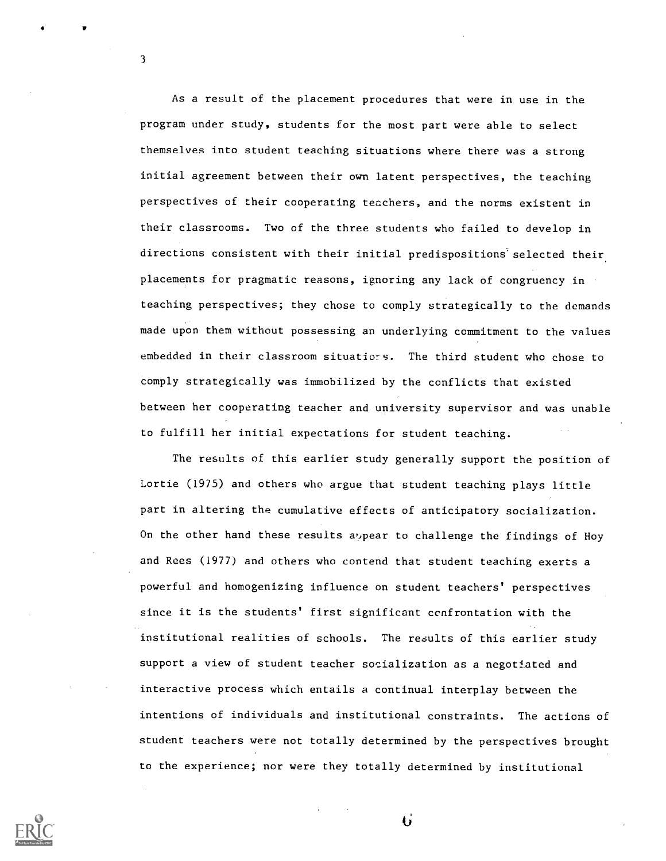As a result of the placement procedures that were in use in the program under study, students for the most part were able to select themselves into student teaching situations where there was a strong initial agreement between their own latent perspectives, the teaching perspectives of their cooperating teachers, and the norms existent in their classrooms. Two of the three students who failed to develop in directions consistent with their initial predispositions selected their placements for pragmatic reasons, ignoring any lack of congruency in teaching perspectives; they chose to comply strategically to the demands made upon them without possessing an underlying commitment to the values embedded in their classroom situations. The third student who chose to comply strategically was immobilized by the conflicts that existed between her cooperating teacher and university supervisor and was unable to fulfill her initial expectations for student teaching.

The results of this earlier study generally support the position of Lortie (1975) and others who argue that student teaching plays little part in altering the cumulative effects of anticipatory socialization. On the other hand these results a, pear to challenge the findings of Hoy and Rees (1977) and others who contend that student teaching exerts a powerful and homogenizing influence on student teachers' perspectives since it is the students' first significant confrontation with the institutional realities of schools. The results of this earlier study support a view of student teacher socialization as a negotiated and interactive process which entails a continual interplay between the intentions of individuals and institutional constraints. The actions of student teachers were not totally determined by the perspectives brought to the experience; nor were they totally determined by institutional



3

Ü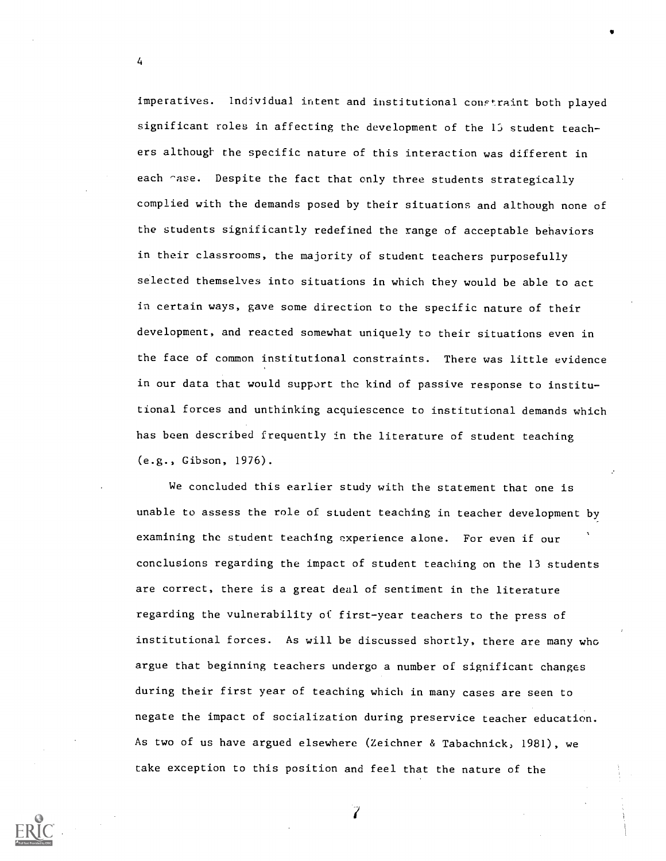imperatives. Individual intent and institutional constraint both played significant roles in affecting the development of the 15 student teachers although the specific nature of this interaction was different in each rase. Despite the fact that only three students strategically complied with the demands posed by their situations and although none of the students significantly redefined the range of acceptable behaviors in their classrooms, the majority of student teachers purposefully selected themselves into situations in which they would be able to act in certain ways, gave some direction to the specific nature of their development, and reacted somewhat uniquely to their situations even in the face of common institutional constraints. There was little evidence in our data that would support the kind of passive response to institutional forces and unthinking acquiescence to institutional demands which has been described frequently in the literature of student teaching (e.g., Gibson, 1976).

We concluded this earlier study with the statement that one is unable to assess the role of student teaching in teacher development by examining the student teaching experience alone. For even if our conclusions regarding the impact of student teaching on the 13 students are correct, there is a great deal of sentiment in the literature regarding the vulnerability of first-year teachers to the press of institutional forces. As will be discussed shortly, there are many who argue that beginning teachers undergo a number of significant changes during their first year of teaching which in many cases are seen to negate the impact of socialization during preservice teacher education. As two of us have argued elsewhere (Zeichner & Tabachnick, 1981), we take exception to this position and feel that the nature of the

4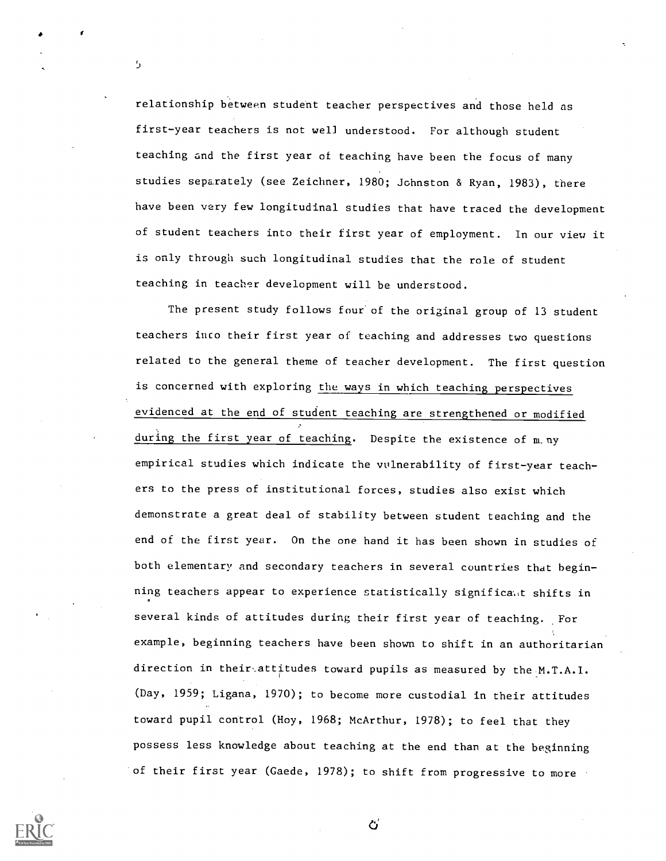relationship between student teacher perspectives and those held as first-year teachers is not well understood. For although student teaching and the first year of teaching have been the focus of many studies separately (see Zeichner, 1980; Johnston & Ryan, 1983), there have been very few longitudinal studies that have traced the development of student teachers into their first year of employment. In our view it is only through such longitudinal studies that the role of student teaching in teacher development will be understood.

5

The present study follows four of the original group of 13 student teachers into their first year of teaching and addresses two questions related to the general theme of teacher development. The first question is concerned with exploring the ways in which teaching perspectives evidenced at the end of student teaching are strengthened or modified during the first year of teaching. Despite the existence of m. ny empirical studies which indicate the vulnerability of first-year teachers to the press of institutional forces, studies also exist which demonstrate a great deal of stability between student teaching and the end of the first year. On the one hand it has been shown in studies of both elementary and secondary teachers in several countries that beginning teachers appear to experience statistically significa,t shifts in several kinds of attitudes during their first year of teaching. For example, beginning teachers have been shown to shift in an authoritarian direction in their attitudes toward pupils as measured by the M.T.A.I. (Day, 1959; Ligana, 1970); to become more custodial in their attitudes toward pupil control (Hoy, 1968; McArthur, 1978); to feel that they possess less knowledge about teaching at the end than at the beginning of their first year (Gaede, 1978); to shift from progressive to more



ど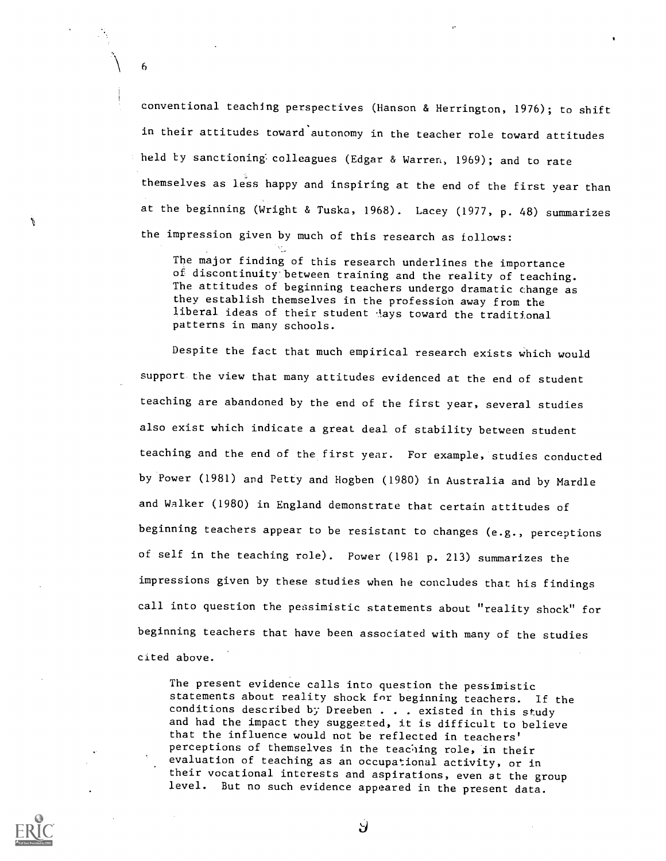conventional teaching perspectives (Hanson & Herrington, 1976); to shift in their attitudes toward autonomy in the teacher role toward attitudes held by sanctioning colleagues (Edgar & Warren, 1969); and to rate themselves as less happy and inspiring at the end of the first year than at the beginning (Wright & Tuska, 1968). Lacey (1977, p. 48) summarizes the impression given by much of this research as follows:

6

The major finding of this research underlines the importance of discontinuity between training and the reality of teaching. The attitudes of beginning teachers undergo dramatic change as they establish themselves in the profession away from the liberal ideas of their student lays toward the traditional patterns in many schools.

Despite the fact that much empirical research exists which would support the view that many attitudes evidenced at the end of student teaching are abandoned by the end of the first year, several studies also exist which indicate a great deal of stability between student teaching and the end of the first year. For example, studies conducted by Power (1981) and Petty and Hogben (1980) in Australia and by Mardle and Walker (1980) in England demonstrate that certain attitudes of beginning teachers appear to be resistant to changes (e.g., perceptions of self in the teaching role). Power (1981 p. 213) summarizes the impressions given by these studies when he concludes that his findings call into question the pessimistic statements about "reality shock" for beginning teachers that have been associated with many of the studies cited above.

The present evidence calls into question the pessimistic statements about reality shock for beginning teachers. If the conditions described by Dreeben . . . existed in this study and had the impact they suggested, it is difficult to believe that the influence would not be reflected in teachers' perceptions of themselves in the teaching role, in their evaluation of teaching as an occupational activity, or in their vocational interests and aspirations, even at the group level. But no such evidence appeared in the present data.



Ÿ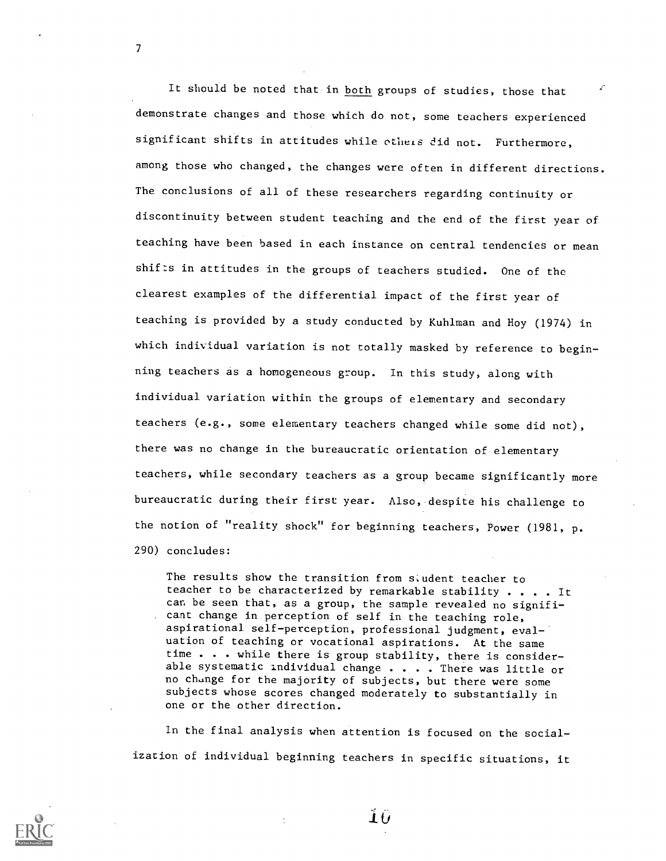It should be noted that in both groups of studies, those that demonstrate changes and those which do not, some teachers experienced significant shifts in attitudes while otheis did not. Furthermore, among those who changed, the changes were often in different directions. The conclusions of all of these researchers regarding continuity or discontinuity between student teaching and the end of the first year of teaching have been based in each instance on central tendencies or mean shifts in attitudes in the groups of teachers studied. One of the clearest examples of the differential impact of the first year of teaching is provided by a study conducted by Kuhlman and Hoy (1974) in which individual variation is not totally masked by reference to beginning teachers as a homogeneous group. In this study, along with individual variation within the groups of elementary and secondary teachers (e.g., some elementary teachers changed while some did not), there was no change in the bureaucratic orientation of elementary teachers, while secondary teachers as a group became significantly more bureaucratic during their first year. Also, despite his challenge to the notion of "reality shock" for beginning teachers, Power (1981, p. 290) concludes:

The results show the transition from siudent teacher to teacher to be characterized by remarkable stability . . . . It can be seen that, as a group, the sample revealed no significant change in perception of self in the teaching role, aspirational self-perception, professional judgment, evaluation of teaching or vocational aspirations. At the same time . . . while there is group stability, there is considerable systematic individual change  $\cdots$  . There was little or no change for the majority of subjects, but there were some subjects whose scores changed moderately to substantially in one or the other direction.

In the final analysis when attention is focused on the socialization of individual beginning teachers in specific situations, it



7

 $\pm U$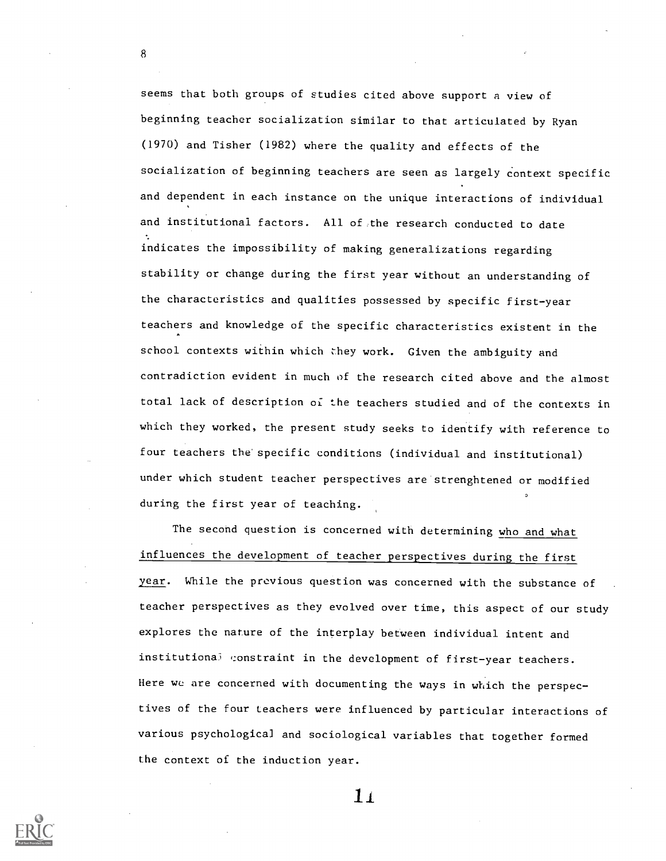seems that both groups of studies cited above support a view of beginning teacher socialization similar to that articulated by Ryan (1970) and Tisher (1982) where the quality and effects of the socialization of beginning teachers are seen as largely context specific and dependent in each instance on the unique interactions of individual and institutional factors. All of the research conducted to date indicates the impossibility of making generalizations regarding stability or change during the first year without an understanding of the characteristics and qualities possessed by specific first-year teachers and knowledge of the specific characteristics existent in the school contexts within which they work. Given the ambiguity and contradiction evident in much of the research cited above and the almost total lack of description of the teachers studied and of the contexts in which they worked, the present study seeks to identify with reference to four teachers the specific conditions (individual and institutional) under which student teacher perspectives are strenghtened or modified during the first year of teaching.

The second question is concerned with determining who and what influences the development of teacher perspectives during the first year. While the previous question was concerned with the substance of teacher perspectives as they evolved over time, this aspect of our study explores the nature of the interplay between individual intent and institutional constraint in the development of first-year teachers. Here we are concerned with documenting the ways in which the perspectives of the four teachers were influenced by particular interactions of various psychological and sociological variables that together formed the context of the induction year.



8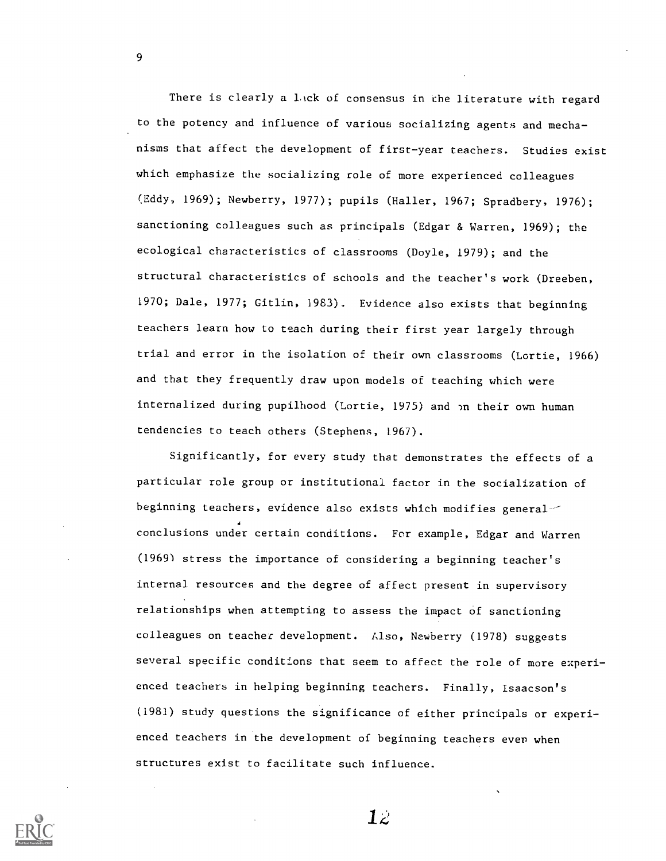There is clearly a lack of consensus in the literature with regard to the potency and influence of various socializing agents and mechanisms that affect the development of first-year teachers. Studies exist which emphasize the socializing role of more experienced colleagues (Eddy, 1969); Newberry, 1977); pupils (Haller, 1967; Spradbery, 1976); sanctioning colleagues such as principals (Edgar & Warren, 1969); the ecological characteristics of classrooms (Doyle, 1979); and the structural characteristics of schools and the teacher's work (Dreeben, 1970; Dale, 1977; Gitlin, 1983). Evidence also exists that beginning teachers learn how to teach during their first year largely through trial and error in the isolation of their own classrooms (Lortie, 1966) and that they frequently draw upon models of teaching which were internalized during pupilhood (Lortie, 1975) and on their own human tendencies to teach others (Stephens, 1967).

Significantly, for every study that demonstrates the effects of a particular role group or institutional factor in the socialization of beginning teachers, evidence also exists which modifies general--4 conclusions under certain conditions. For example, Edgar and Warren (1969) stress the importance of considering a beginning teacher's internal resources and the degree of affect present in supervisory relationships when attempting to assess the impact of sanctioning colleagues on teacher development. Also, Newberry (1978) suggests several specific conditions that seem to affect the role of more experienced teachers in helping beginning teachers. Finally, Isaacson's (1981) study questions the significance of either principals or experienced teachers in the development of beginning teachers even when structures exist to facilitate such influence.



9

 $12<sup>°</sup>$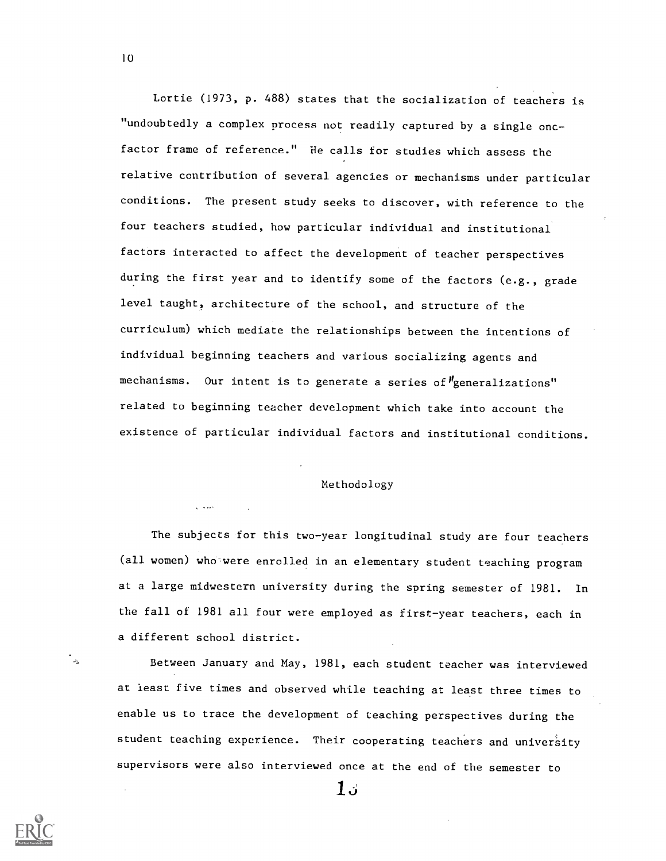Lortie (1973, p. 488) states that the socialization of teachers is "undoubtedly a complex process not readily captured by a single oncfactor frame of reference." He calls for studies which assess the relative contribution of several agencies or mechanisms under particular conditions. The present study seeks to discover, with reference to the four teachers studied, how particular individual and institutional factors interacted to affect the development of teacher perspectives during the first year and to identify some of the factors (e.g., grade level taught, architecture of the school, and structure of the curriculum) which mediate the relationships between the intentions of individual beginning teachers and various socializing agents and mechanisms. Our intent is to generate a series of "generalizations" related to beginning teacher development which take into account the existence of particular individual factors and institutional conditions.

# Methodology

 $\mathbf{1}$  and  $\mathbf{1}$ 

The subjects for this two-year longitudinal study are four teachers (all women) who'were enrolled in an elementary student teaching program at a large midwestern university during the spring semester of 1981. In the fall of 1981 all four were employed as first-year teachers, each in a different school district.

Between January and May, 1981, each student teacher was interviewed at least five times and observed while teaching at least three times to enable us to trace the development of teaching perspectives during the student teaching experience. Their cooperating teachers and university supervisors were also interviewed once at the end of the semester to

10

.<br>م

Ιú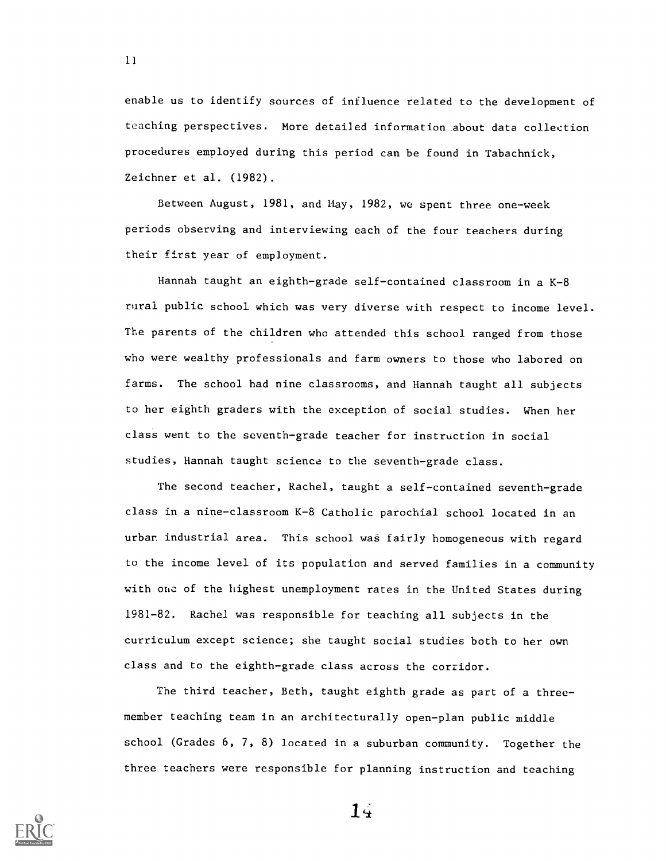enable us to identify sources of influence related to the development of teaching perspectives. More detailed information about data collection procedures employed during this period can be found in Tabachnick, Zeichner et al. (1982).

11

Between August, 1981, and May, 1982, we spent three one-week periods observing and interviewing each of the four teachers during their first year of employment.

Hannah taught an eighth-grade self-contained classroom in a K-8 rural public school which was very diverse with respect to income level. The parents of the children who attended this school ranged from those who were wealthy professionals and farm owners to those who labored on farms. The school had nine classrooms, and Hannah taught all subjects to her eighth graders with the exception of social studies. When her class went to the seventh-grade teacher for instruction in social studies, Hannah taught science to the seventh-grade class.

The second teacher, Rachel, taught a self-contained seventh-grade class in a nine-classroom K-8 Catholic parochial school located in an urban industrial area. This school was fairly homogeneous with regard to the income level of its population and served families in a community with one of the highest unemployment rates in the United States during 1981-82. Rachel was responsible for teaching all subjects in the curriculum except science; she taught social studies both to her own class and to the eighth-grade class across the corridor.

The third teacher, Beth, taught eighth grade as part of a threemember teaching team in an architecturally open-plan public middle school (Grades 6, 7, 8) located in a suburban community. Together the three teachers were responsible for planning instruction and teaching

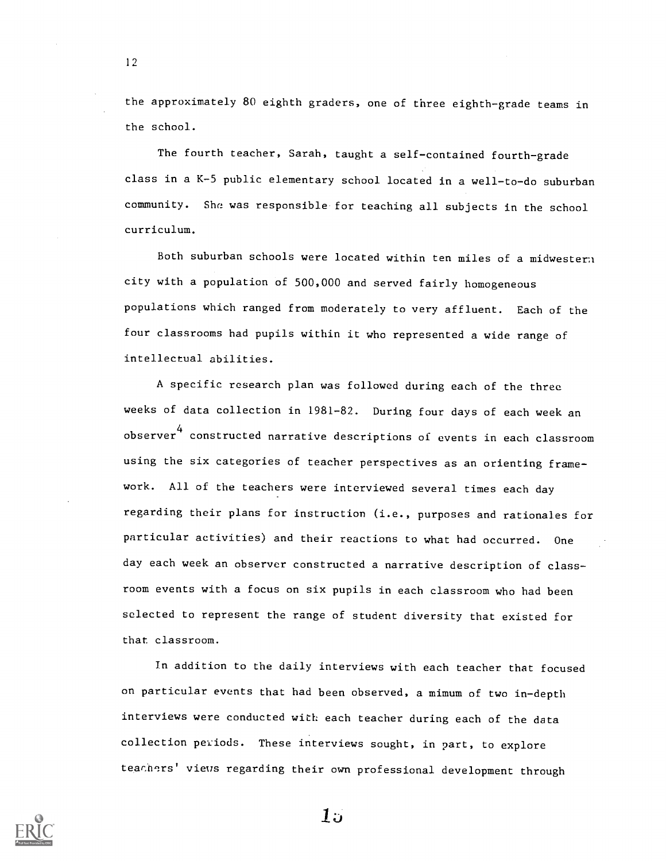the approximately 80 eighth graders, one of three eighth-grade teams in the school.

12

The fourth teacher, Sarah, taught a self-contained fourth-grade class in a K-5 public elementary school located in a well-to-do suburban community. She was responsible for teaching all subjects in the school curriculum.

Both suburban schools were located within ten miles of a midwestern city with a population of 500,000 and served fairly homogeneous populations which ranged from moderately to very affluent. Each of the four classrooms had pupils within it who represented a wide range of intellectual abilities.

A specific research plan was followed during each of the three weeks of data collection in 1981-82. During four days of each week an observer $^4$  constructed narrative descriptions of events in each classroom using the six categories of teacher perspectives as an orienting framework. All of the teachers were interviewed several times each day regarding their plans for instruction (i.e., purposes and rationales for particular activities) and their reactions to what had occurred. One day each week an observer constructed a narrative description of classroom events with a focus on six pupils in each classroom who had been selected to represent the range of student diversity that existed for that. classroom.

In addition to the daily interviews with each teacher that focused on particular events that had been observed, a mimum of two in-depth interviews were conducted with each teacher during each of the data collection peviods. These interviews sought, in part, to explore teachers' views regarding their own professional development through

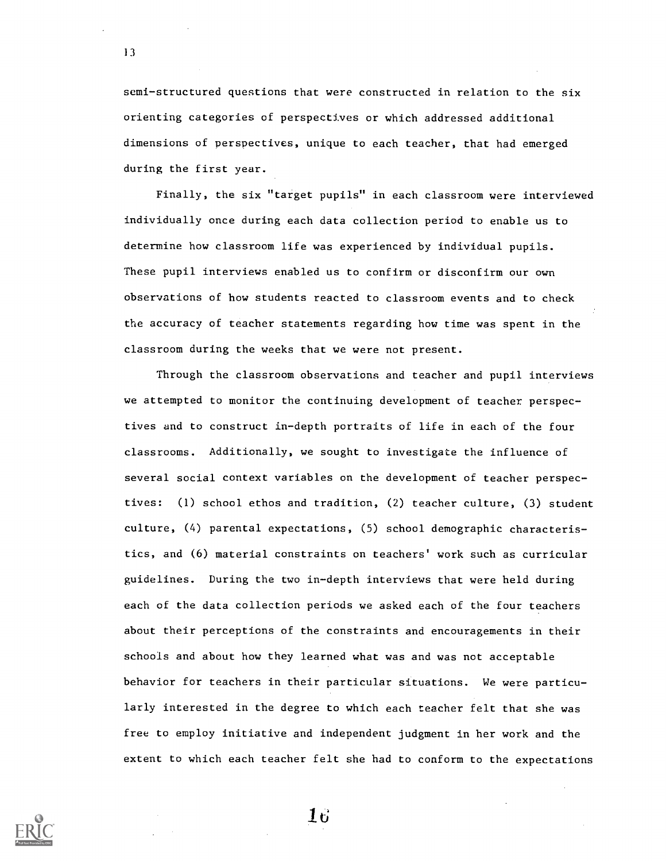semi-structured questions that were constructed in relation to the six orienting categories of perspectives or which addressed additional dimensions of perspectives, unique to each teacher, that had emerged during the first year.

13

Finally, the six "target pupils" in each classroom were interviewed individually once during each data collection period to enable us to determine how classroom life was experienced by individual pupils. These pupil interviews enabled us to confirm or disconfirm our own observations of how students reacted to classroom events and to check the accuracy of teacher statements regarding how time was spent in the classroom during the weeks that we were not present.

Through the classroom observations and teacher and pupil interviews we attempted to monitor the continuing development of teacher perspectives and to construct in-depth portraits of life in each of the four classrooms. Additionally, we sought to investigate the influence of several social context variables on the development of teacher perspectives: (1) school ethos and tradition, (2) teacher culture, (3) student culture, (4) parental expectations, (5) school demographic characteristics, and (6) material constraints on teachers' work such as curricular guidelines. During the two in-depth interviews that were held during each of the data collection periods we asked each of the four teachers about their perceptions of the constraints and encouragements in their schools and about how they learned what was and was not acceptable behavior for teachers in their particular situations. We were particularly interested in the degree to which each teacher felt that she was free to employ initiative and independent judgment in her work and the extent to which each teacher felt she had to conform to the expectations



 $\bf 16$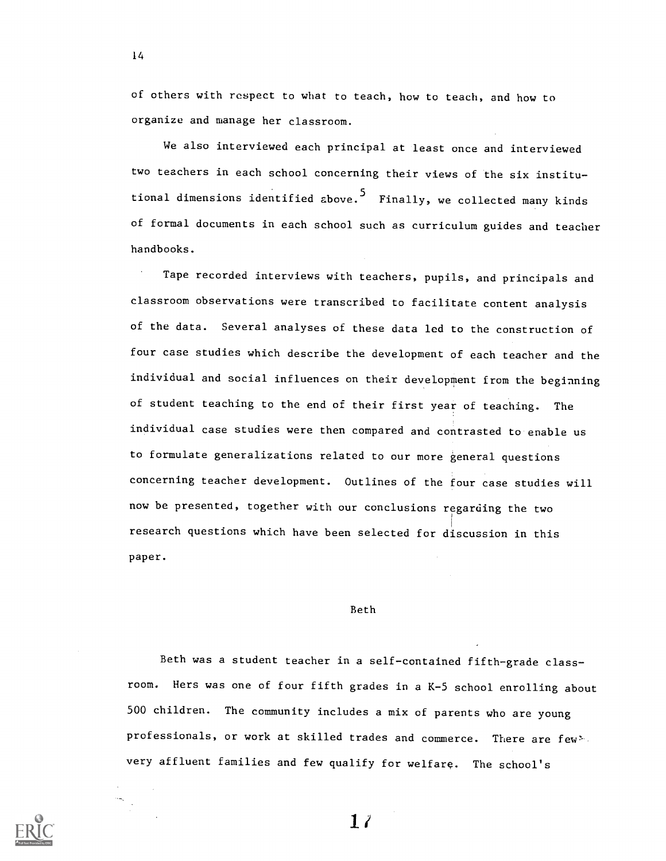of others with respect to what to teach, how to teach, and how to organize and manage her classroom.

We also interviewed each principal at least once and interviewed two teachers in each school concerning their views of the six institutional dimensions identified above.<sup>5</sup> Finally, we collected many kinds of formal documents in each school such as curriculum guides and teacher handbooks.

Tape recorded interviews with teachers, pupils, and principals and classroom observations were transcribed to facilitate content analysis of the data. Several analyses of these data led to the construction of four case studies which describe the development of each teacher and the individual and social influences on their development from the beginning of student teaching to the end of their first year of teaching. The individual case studies were then compared and contrasted to enable us to formulate generalizations related to our more general questions concerning teacher development. Outlines of the four case studies will now be presented, together with our conclusions regarding the two research questions which have been selected for discussion in this paper.

### Beth

Beth was a student teacher in a self-contained fifth-grade classroom. Hers was one of four fifth grades in a K-5 school enrolling about 500 children. The community includes a mix of parents who are young professionals, or work at skilled trades and commerce. There are few very affluent families and few qualify for welfare. The school's

14

 $1/$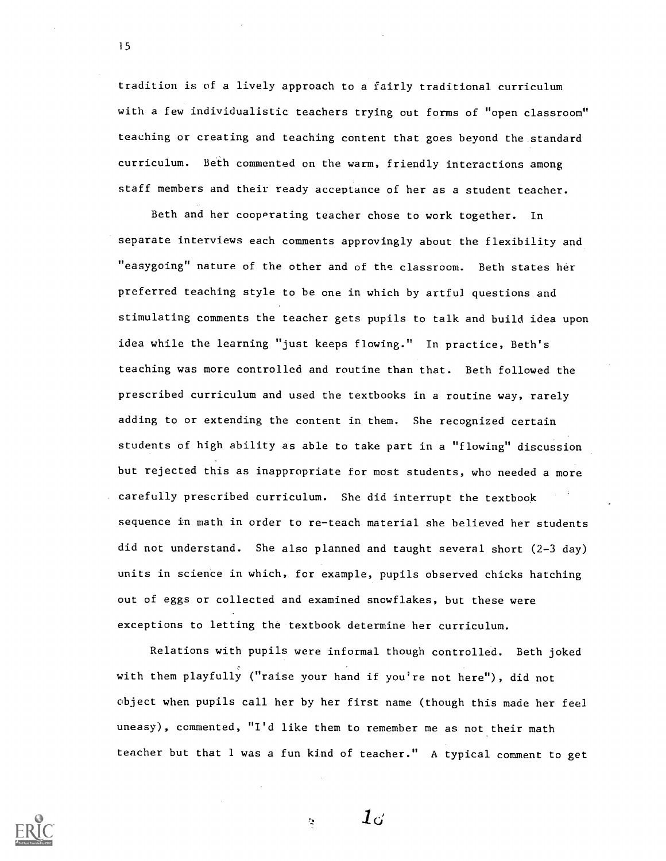tradition is of a lively approach to a fairly traditional curriculum with a few individualistic teachers trying out forms of "open classroom" teaching or creating and teaching content that goes beyond the standard curriculum. Beth commented on the warm, friendly interactions among staff members and their ready acceptance of her as a student teacher.

Beth and her cooperating teacher chose to work together. In separate interviews each comments approvingly about the flexibility and "easygoing" nature of the other and of the classroom. Beth states her preferred teaching style to be one in which by artful questions and stimulating comments the teacher gets pupils to talk and build idea upon idea while the learning "just keeps flowing." In practice, Beth's teaching was more controlled and routine than that. Beth followed the prescribed curriculum and used the textbooks in a routine way, rarely adding to or extending the content in them. She recognized certain students of high ability as able to take part in a "flowing" discussion but rejected this as inappropriate for most students, who needed a more carefully prescribed curriculum. She did interrupt the textbook sequence in math in order to re-teach material she believed her students did not understand. She also planned and taught several short (2-3 day) units in science in which, for example, pupils observed chicks hatching out of eggs or collected and examined snowflakes, but these were exceptions to letting the textbook determine her curriculum.

Relations with pupils were informal though controlled. Beth joked with them playfully ("raise your hand if you're not here"), did not object when pupils call her by her first name (though this made her feel uneasy), commented, "I'd like them to remember me as not their math teacher but that 1 was a fun kind of teacher." A typical comment to get

 $\bm{1}$ d



 $\mathbf{r}$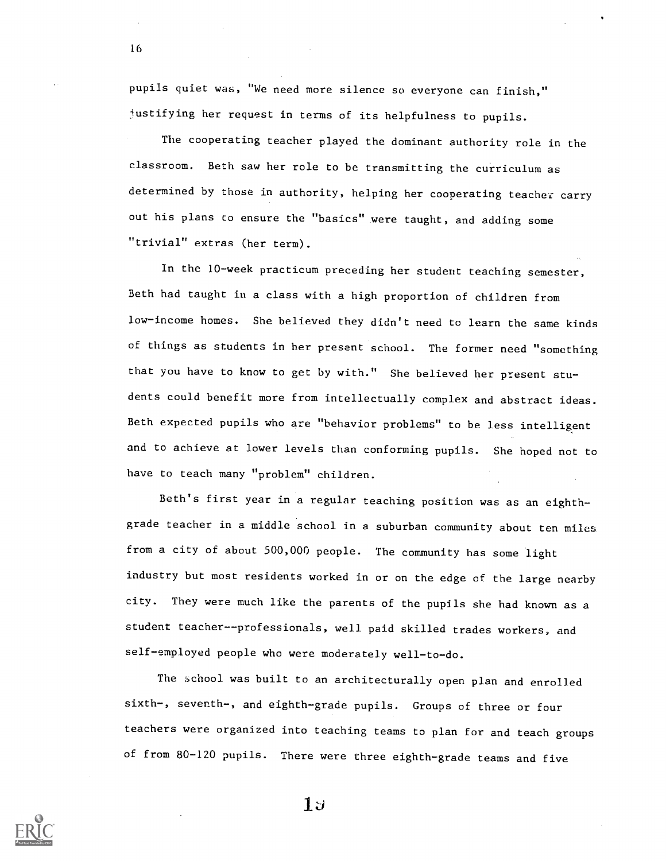pupils quiet was, "We need more silence so everyone can finish," justifying her request in terms of its helpfulness to pupils.

16

The cooperating teacher played the dominant authority role in the classroom. Beth saw her role to be transmitting the curriculum as determined by those in authority, helping her cooperating teacher carry out his plans co ensure the "basics" were taught, and adding some "trivial" extras (her term).

In the 10-week practicum preceding her student teaching semester, Beth had taught in a class with a high proportion of children from low-income homes. She believed they didn't need to learn the same kinds of things as students in her present school. The former need "something that you have to know to get by with." She believed her present students could benefit more from intellectually complex and abstract ideas. Beth expected pupils who are "behavior problems" to be less intelligent and to achieve at lower levels than conforming pupils. She hoped not to have to teach many "problem" children.

Beth's first year in a regular teaching position was as an eighthgrade teacher in a middle school in a suburban community about ten miles from a city of about 500,000 people. The community has some light industry but most residents worked in or on the edge of the large nearby city. They were much like the parents of the pupils she had known as a student teacher--professionals, well paid skilled trades workers, and self-employed people who were moderately well-to-do.

The school was built to an architecturally open plan and enrolled sixth-, seventh-, and eighth-grade pupils. Groups of three or four teachers were organized into teaching teams to plan for and teach groups of from 80-120 pupils. There were three eighth-grade teams and five



 $1$ J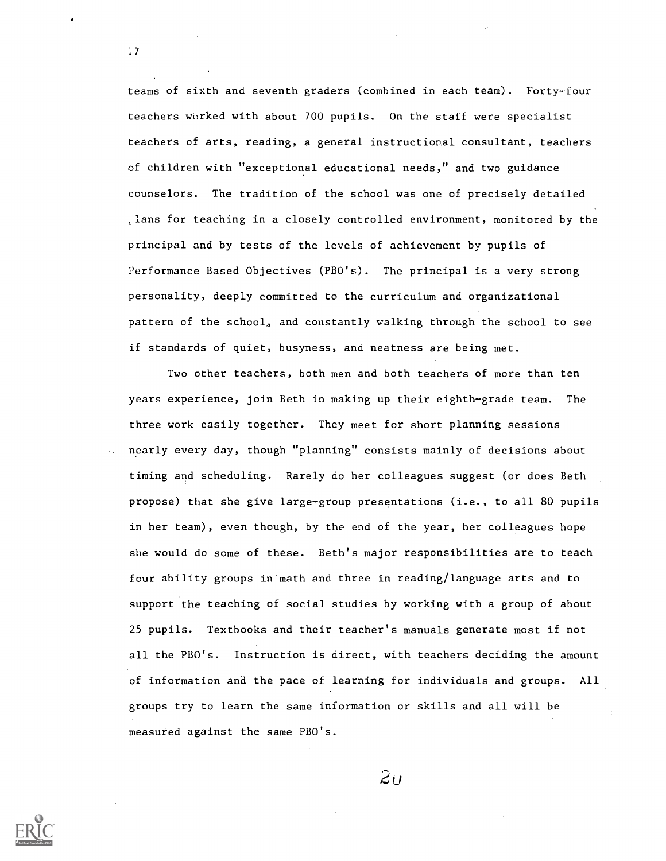teams of sixth and seventh graders (combined in each team). Forty-four teachers worked with about 700 pupils. On the staff were specialist teachers of arts, reading, a general instructional consultant, teachers of children with "exceptional educational needs," and two guidance counselors. The tradition of the school was one of precisely detailed , lans for teaching in a closely controlled environment, monitored by the principal and by tests of the levels of achievement by pupils of Performance Based Objectives (PBO's). The principal is a very strong personality, deeply committed to the curriculum and organizational pattern of the school, and constantly walking through the school to see if standards of quiet, busyness, and neatness are being met.

Two other teachers, both men and both teachers of more than ten years experience, join Beth in making up their eighth-grade team. The three work easily together. They meet for short planning sessions nearly every day, though "planning" consists mainly of decisions about timing and scheduling. Rarely do her colleagues suggest (or does Beth propose) that she give large-group presentations (i.e., to all 80 pupils in her team), even though, by the end of the year, her colleagues hope she would do some of these. Beth's major responsibilities are to teach four ability groups in math and three in reading/language arts and to support the teaching of social studies by working with a group of about 25 pupils. Textbooks and their teacher's manuals generate most if not all the PBO's. Instruction is direct, with teachers deciding the amount of information and the pace of learning for individuals and groups. All groups try to learn the same information or skills and all will be measured against the same PBO's.

 $2u$ 

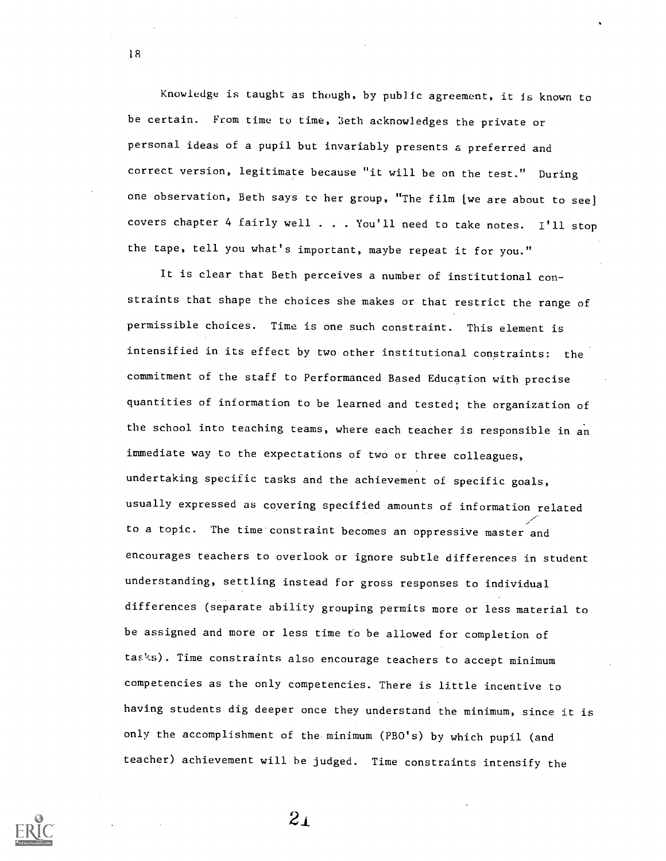Knowledge is taught as though, by public agreement, it is known to be certain. From time to time, Seth acknowledges the private or personal ideas of a pupil but invariably presents a preferred and correct version, legitimate because "it will be on the test." During one observation, Beth says to her group, "The film [we are about to see] covers chapter 4 fairly well . . . You'll need to take notes. I'll stop the tape, tell you what's important, maybe repeat it for you."

18

It is clear that Beth perceives a number of institutional con straints that shape the choices she makes or that restrict the range of permissible choices. Time is one such constraint. This element is intensified in its effect by two other institutional constraints: the commitment of the staff to Performanced Based Education with precise quantities of information to be learned and tested; the organization of the school into teaching teams, where each teacher is responsible in an immediate way to the expectations of two or three colleagues, undertaking specific tasks and the achievement of specific goals, usually expressed as covering specified amounts of information related to a topic. The time constraint becomes an oppressive master and encourages teachers to overlook or ignore subtle differences in student understanding, settling instead for gross responses to individual differences (separate ability grouping permits more or less material to be assigned and more or less time to be allowed for completion of tas%s). Time constraints also encourage teachers to accept minimum competencies as the only competencies. There is little incentive to having students dig deeper once they understand the minimum, since it is only the accomplishment of the minimum (PBO's) by which pupil (and teacher) achievement will he judged. Time constraints intensify the

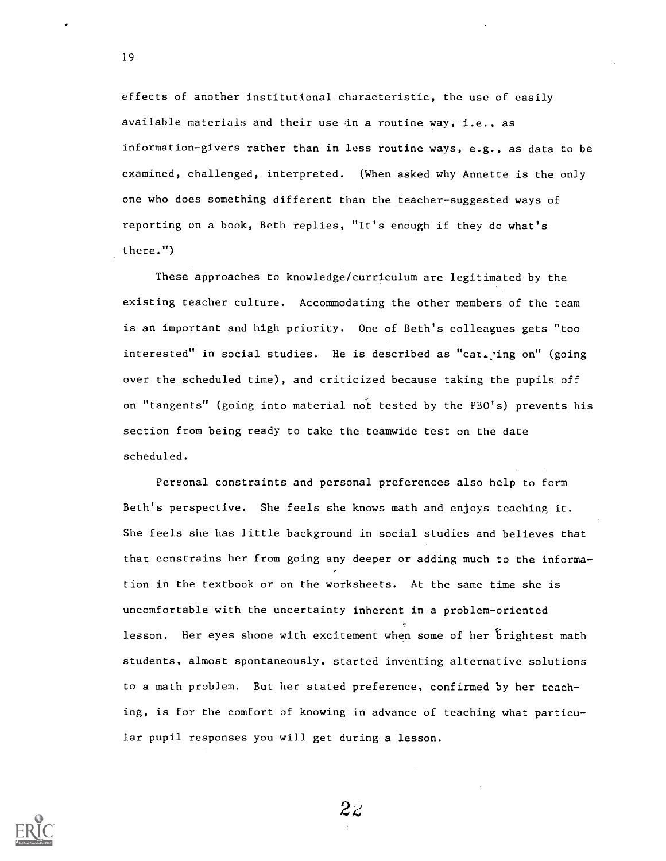effects of another institutional characteristic, the use of easily available materials and their use in a routine way, i.e., as information-givers rather than in less routine ways, e.g., as data to be examined, challenged, interpreted. (When asked why Annette is the only one who does something different than the teacher-suggested ways of reporting on a book, Beth replies, "It's enough if they do what's there.")

These approaches to knowledge/curriculum are legitimated by the existing teacher culture. Accommodating the other members of the team is an important and high priority. One of Beth's colleagues gets "too interested" in social studies. He is described as "car. ing on" (going over the scheduled time), and criticized because taking the pupils off on "tangents" (going into material not tested by the PBO's) prevents his section from being ready to take the teamwide test on the date scheduled.

Personal constraints and personal preferences also help to form Beth's perspective. She feels she knows math and enjoys teaching it. She feels she has little background in social studies and believes that that constrains her from going any deeper or adding much to the information in the textbook or on the worksheets. At the same time she is uncomfortable with the uncertainty inherent in a problem-oriented lesson. Her eyes shone with excitement when some of her brightest math students, almost spontaneously, started inventing alternative solutions to a math problem. But her stated preference, confirmed by her teaching, is for the comfort of knowing in advance of teaching what particular pupil responses you will get during a lesson.

 $2z$ 

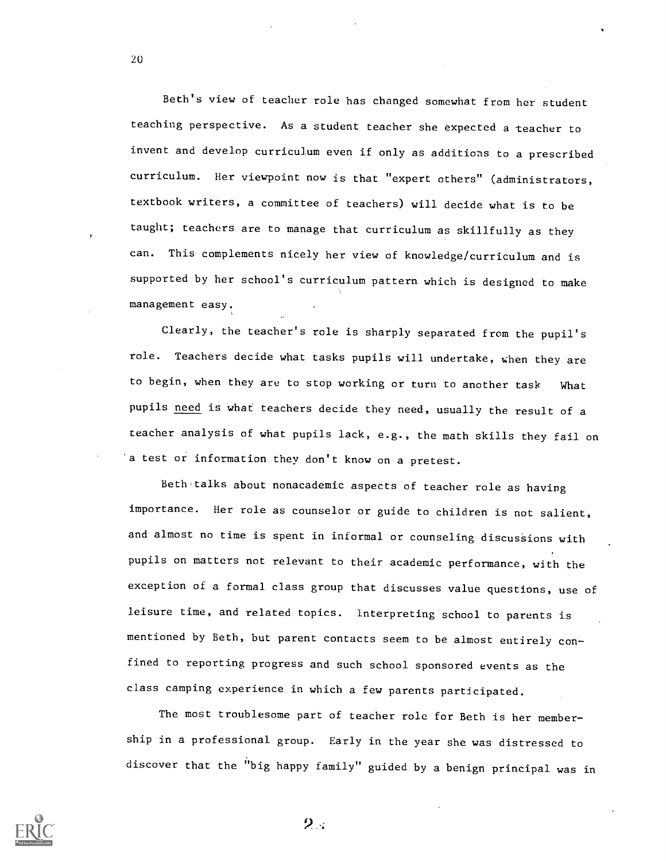Beth's view of teacher role has changed somewhat from her student teaching perspective. As a student teacher she expected a teacher to invent and develop curriculum even if only as additions to a prescribed curriculum. Her viewpoint now is that "expert others" (administrators, textbook writers, a committee of teachers) will decide what is to be taught; teachers are to manage that curriculum as skillfully as they can. This complements nicely her view of knowledge/curriculum and is supported by her school's curriculum pattern which is designed to make management easy.

Clearly, the teacher's role is sharply separated from the pupil's role. Teachers decide what tasks pupils will undertake, when they are to begin, when they are to stop working or turn to another task What pupils need is what teachers decide they need, usually the result of a teacher analysis of what pupils lack, e.g., the math skills they fail on 'a test or information they don't know on a pretest.

Beth-talks about nonacademic aspects of teacher role as having importance. Her role as counselor or guide to children is not salient, and almost no time is spent in informal or counseling discussions with pupils on matters not relevant to their academic performance, with the exception of a formal class group that discusses value questions, use of leisure time, and related topics. interpreting school to parents is mentioned by Beth, but parent contacts seem to be almost entirely con fined to reporting progress and such school sponsored events as the class camping experience in which a few parents participated.

The most troublesome part of teacher role for Beth is her member ship in a professional group. Early in the year she was distressed to discover that the "big happy family" guided by a benign principal was in



20

 $2\mathbb{R}$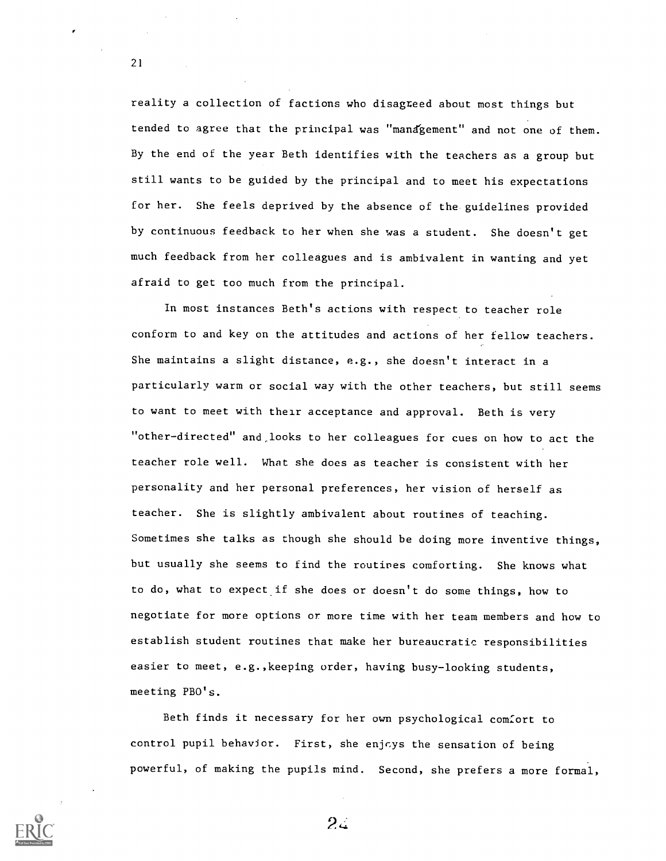reality a collection of factions who disagreed about most things but tended to agree that the principal was "mandgement" and not one of them. By the end of the year Beth identifies with the teachers as a group but still wants to be guided by the principal and to meet his expectations for her. She feels deprived by the absence of the guidelines provided by continuous feedback to her when she was a student. She doesn't get much feedback from her colleagues and is ambivalent in wanting and yet afraid to get too much from the principal.

In most instances Beth's actions with respect to teacher role conform to and key on the attitudes and actions of her fellow teachers. She maintains a slight distance, e.g., she doesn't interact in a particularly warm or social way with the other teachers, but still seems to want to meet with their acceptance and approval. Beth is very "other-directed" and,looks to her colleagues for cues on how to act the teacher role well. What she does as teacher is consistent with her personality and her personal preferences, her vision of herself as teacher. She is slightly ambivalent about routines of teaching. Sometimes she talks as though she should be doing more inventive things, but usually she seems to find the routines comforting. She knows what to do, what to expect if she does or doesn't do some things, how to negotiate for more options or more time with her team members and how to establish student routines that make her bureaucratic responsibilities easier to meet, e.g.,keeping order, having busy-looking students, meeting PBO's.

Beth finds it necessary for her own psychological comfort to control pupil behavior. First, she enjoys the sensation of being powerful, of making the pupils mind. Second, she prefers a more formal,



21

 $2\epsilon$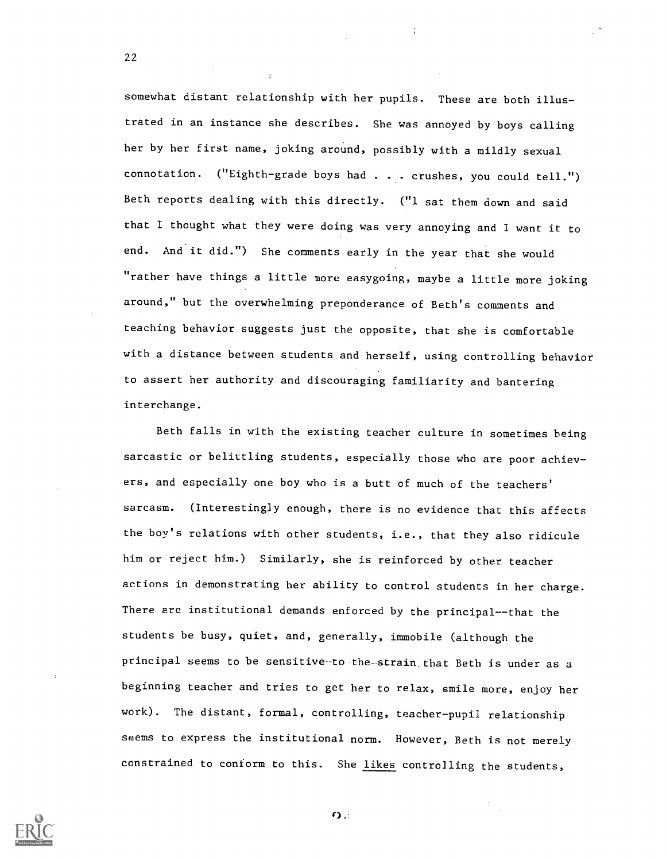somewhat distant relationship with her pupils. These are both illustrated in an instance she describes. She was annoyed by boys calling her by her first name, joking around, possibly with a mildly sexual connotation. ("Eighth-grade boys had . . . crushes, you could tell.") Beth reports dealing with this directly. ("1 sat them down and said that I thought what they were doing was very annoying and I want it to end. And it did.") She comments early in the year that she would "rather have things a little more easygoing, maybe a little more joking around," but the overwhelming preponderance of Beth's comments and teaching behavior suggests just the opposite, that she is comfortable with a distance between students and herself, using controlling behavior to assert her authority and discouraging familiarity and bantering interchange.

Beth falls in with the existing teacher culture in sometimes being sarcastic or belittling students, especially those who are poor achievers, and especially one boy who is a butt of much of the teachers' sarcasm. (Interestingly enough, there is no evidence that this affects the boy's relations with other students, i.e., that they also ridicule him or reject him.) Similarly, she is reinforced by other teacher actions in demonstrating her ability to control students in her charge. There are institutional demands enforced by the principal--that the students be busy, quiet, and, generally, immobile (although the principal seems to be sensitive-to-the-strain that Beth is under as a beginning teacher and tries to get her to relax, smile more, enjoy her work). The distant, formal, controlling, teacher-pupil relationship seems to express the institutional norm. However, Beth is not merely constrained to conform to this. She likes controlling the students,



22

 $\Omega$ .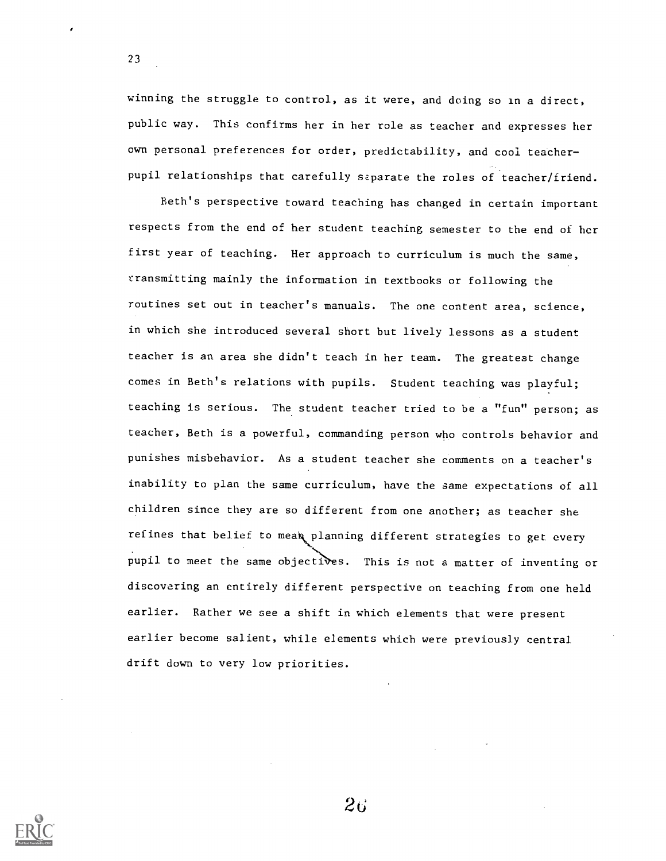winning the struggle to control, as it were, and doing so in a direct, public way. This confirms her in her role as teacher and expresses her own personal preferences for order, predictability, and cool teacherpupil relationships that carefully separate the roles of teacher/friend.

23

Beth's perspective toward teaching has changed in certain important respects from the end of her student teaching semester to the end of her first year of teaching. Her approach to curriculum is much the same, transmitting mainly the information in textbooks or following the routines set out in teacher's manuals. The one content area, science, in which she introduced several short but lively lessons as a student teacher is an area she didn't teach in her team. The greatest change comes in Beth's relations with pupils. Student teaching was playful; teaching is serious. The student teacher tried to be a "fun" person; as teacher, Beth is a powerful, commanding person who controls behavior and punishes misbehavior. As a student teacher she comments on a teacher's inability to plan the same curriculum, have the same expectations of all children since they are so different from one another; as teacher she refines that belief to mean planning different strategies to get every pupil to meet the same objectives. This is not a matter of inventing or discovering an entirely different perspective on teaching from one held earlier. Rather we see a shift in which elements that were present earlier become salient, while elements which were previously central drift down to very low priorities.

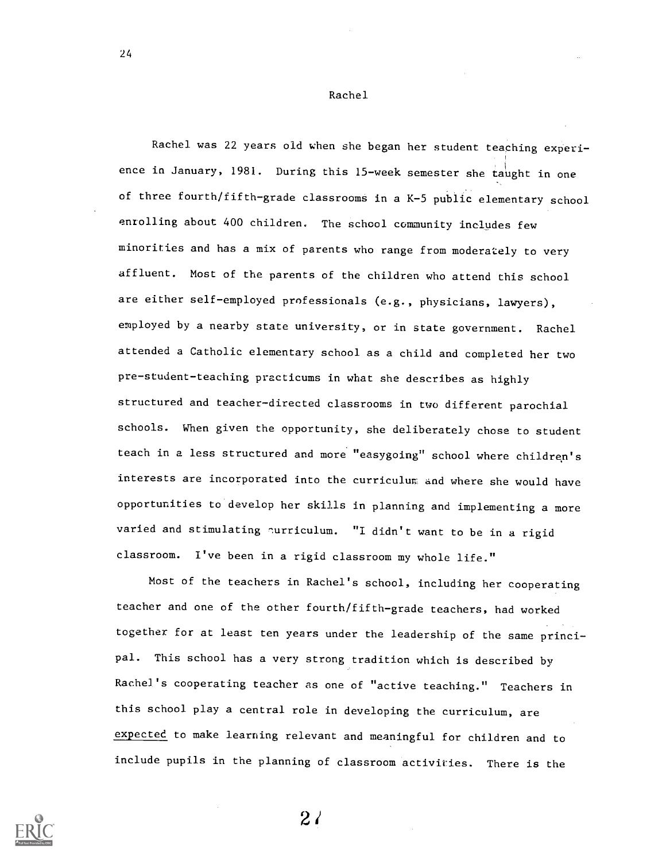Rachel

24

Rachel was 22 years old when she began her student teaching experience in January, 1981. During this 15-week semester she taught in one of three fourth/fifth-grade classrooms in a K-5 public elementary school enrolling about 400 children. The school community includes few minorities and has a mix of parents who range from moderately to very affluent. Most of the parents of the children who attend this school are either self-employed professionals (e.g., physicians, lawyers), employed by a nearby state university, or in state government. Rachel attended a Catholic elementary school as a child and completed her two pre-student-teaching practicums in what she describes as highly structured and teacher-directed classrooms in two different parochial schools. When given the opportunity, she deliberately chose to student teach in a less structured and more "easygoing" school where children's interests are incorporated into the curriculur, and where she would have opportunities to develop her skills in planning and implementing a more varied and stimulating nurriculum. "I didn't want to be in a rigid classroom. I've been in a rigid classroom my whole life."

Most of the teachers in Rachel's school, including her cooperating teacher and one of the other fourth/fifth-grade teachers, had worked together for at least ten years under the leadership of the same principal. This school has a very strong tradition which is described by Rachel's cooperating teacher as one of "active teaching." Teachers in this school play a central role in developing the curriculum, are expected to make learning relevant and meaningful for children and to include pupils in the planning of classroom activities. There is the



 $2<sub>l</sub>$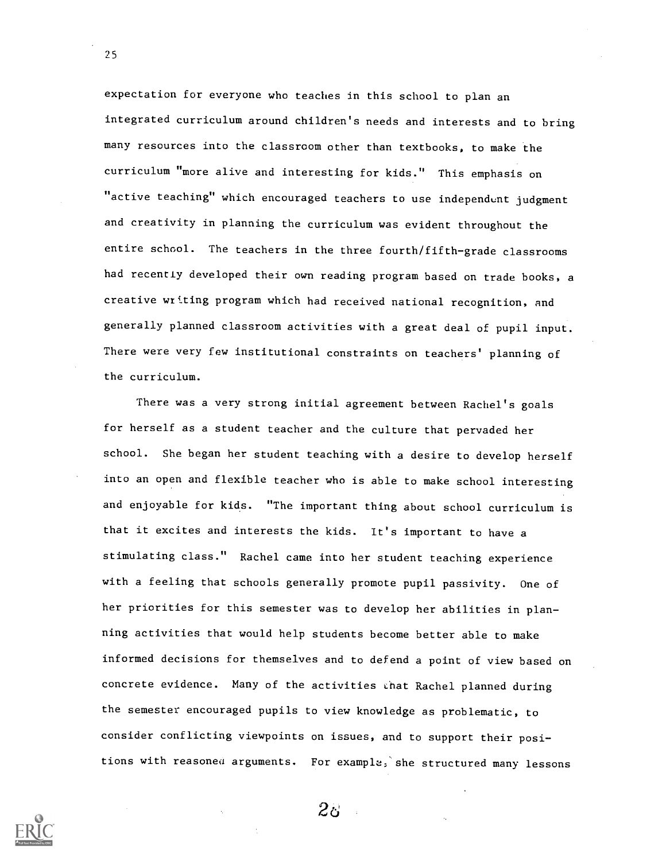expectation for everyone who teaches in this school to plan an integrated curriculum around children's needs and interests and to bring many resources into the classroom other than textbooks, to make the curriculum "more alive and interesting for kids." This emphasis on "active teaching" which encouraged teachers to use independent judgment and creativity in planning the curriculum was evident throughout the entire school. The teachers in the three fourth/fifth-grade classrooms had recently developed their own reading program based on trade books, a creative writing program which had received national recognition, and generally planned classroom activities with a great deal of pupil input. There were very few institutional constraints on teachers' planning of the curriculum.

There was a very strong initial agreement between Rachel's goals for herself as a student teacher and the culture that pervaded her school. She began her student teaching with a desire to develop herself into an open and flexible teacher who is able to make school interesting and enjoyable for kids. "The important thing about school curriculum is that it excites and interests the kids. It's important to have a stimulating class." Rachel came into her student teaching experience with a feeling that schools generally promote pupil passivity. One of her priorities for this semester was to develop her abilities in planning activities that would help students become better able to make informed decisions for themselves and to defend a point of view based on concrete evidence. Many of the activities chat Rachel planned during the semester encouraged pupils to view knowledge as problematic, to consider conflicting viewpoints on issues, and to support their positions with reasoned arguments. For example, she structured many lessons

 $2<sub>0</sub>$ 

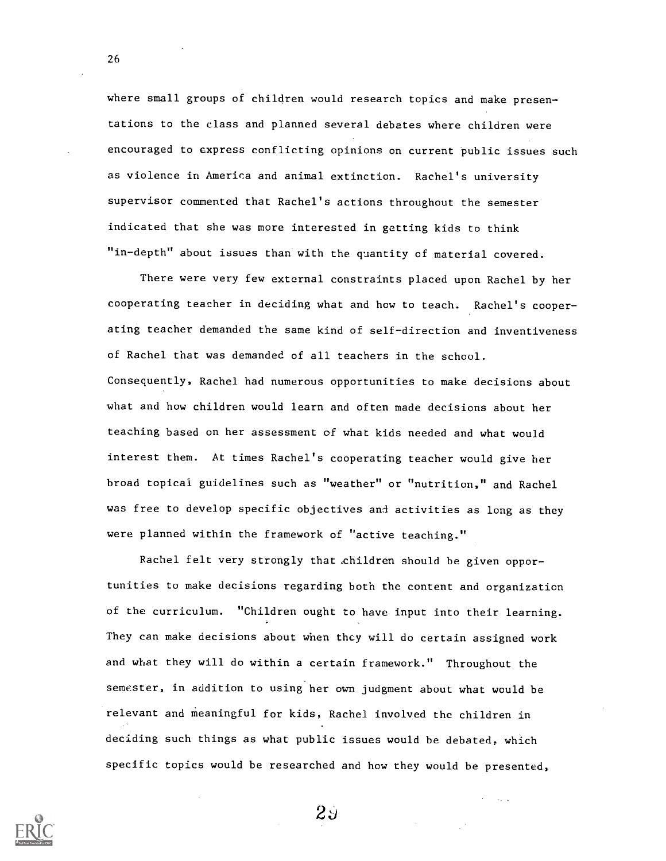where small groups of children would research topics and make presentations to the class and planned several debates where children were encouraged to express conflicting opinions on current public issues such as violence in America and animal extinction. Rachel's university supervisor commented that Rachel's actions throughout the semester indicated that she was more interested in getting kids to think "in-depth" about issues than with the quantity of material covered.

There were very few external constraints placed upon Rachel by her cooperating teacher in deciding what and how to teach. Rachel's cooperating teacher demanded the same kind of self-direction and inventiveness of Rachel that was demanded of all teachers in the school. Consequently, Rachel had numerous opportunities to make decisions about what and how children would learn and often made decisions about her teaching based on her assessment of what kids needed and what would interest them. At times Rachel's cooperating teacher would give her broad topical guidelines such as "weather" or "nutrition," and Rachel was free to develop specific objectives and activities as long as they were planned within the framework of "active teaching."

Rachel felt very strongly that children should be given opportunities to make decisions regarding both the content and organization of the curriculum. "Children ought to have input into their learning. They can make decisions about when they will do certain assigned work and what they will do within a certain framework." Throughout the semester, in addition to using her own judgment about what would be relevant and meaningful for kids, Rachel involved the children in deciding such things as what public issues would be debated, which specific topics would be researched and how they would be presented,



26

 $2\overline{5}$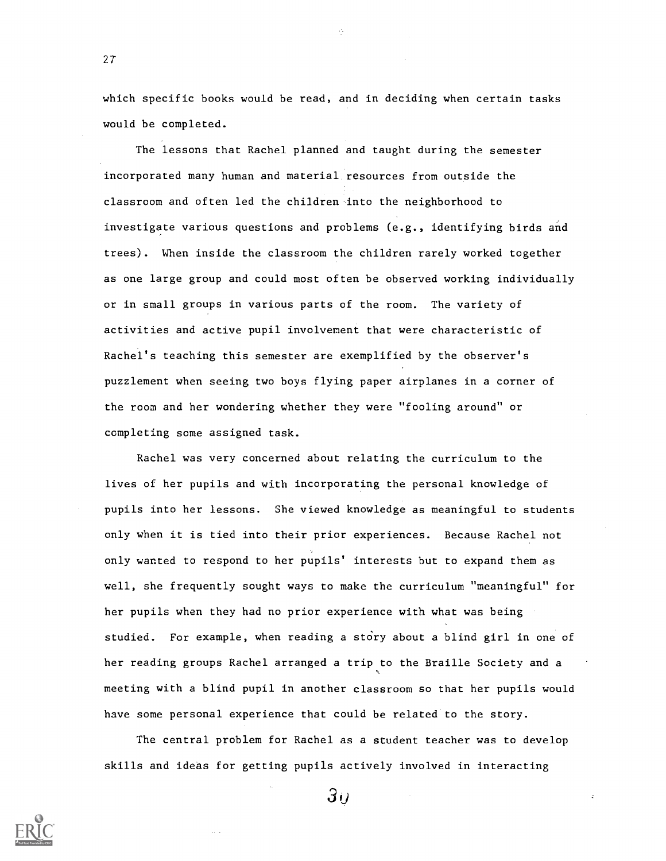which specific books would be read, and in deciding when certain tasks would be completed.

The lessons that Rachel planned and taught during the semester incorporated many human and material, resources from outside the classroom and often led the children into the neighborhood to investigate various questions and problems (e.g., identifying birds and trees). When inside the classroom the children rarely worked together as one large group and could most often be observed working individually or in small groups in various parts of the room. The variety of activities and active pupil involvement that were characteristic of Rachel's teaching this semester are exemplified by the observer's puzzlement when seeing two boys flying paper airplanes in a corner of the room and her wondering whether they were "fooling around" or completing some assigned task.

Rachel was very concerned about relating the curriculum to the lives of her pupils and with incorporating the personal knowledge of pupils into her lessons. She viewed knowledge as meaningful to students only when it is tied into their prior experiences. Because Rachel not only wanted to respond to her pupils' interests but to expand them as well, she frequently sought ways to make the curriculum "meaningful" for her pupils when they had no prior experience with what was being studied. For example, when reading a story about a blind girl in one of her reading groups Rachel arranged a trip to the Braille Society and a meeting with a blind pupil in another classroom so that her pupils would have some personal experience that could be related to the story.

The central problem for Rachel as a student teacher was to develop skills and ideas for getting pupils actively involved in interacting



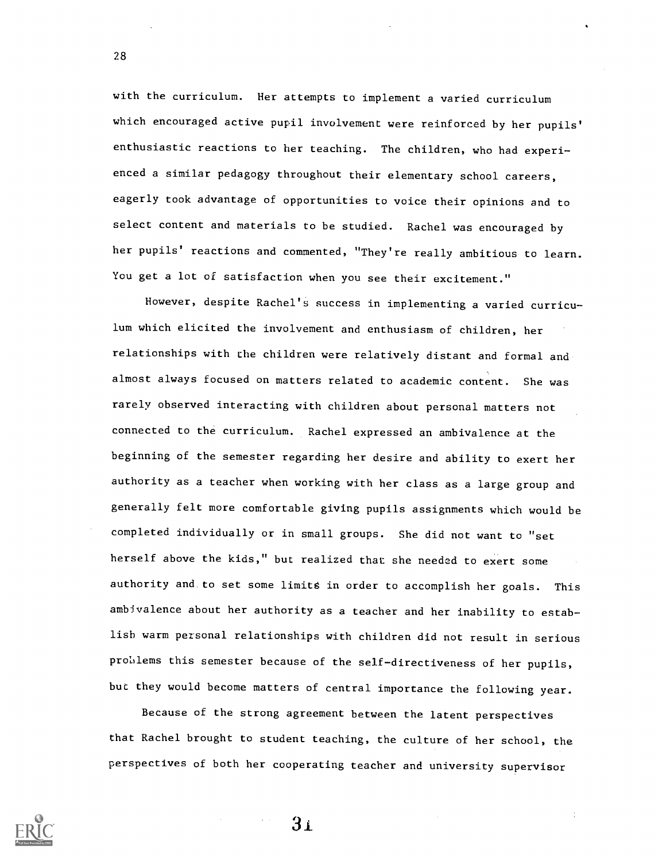with the curriculum. Her attempts to implement a varied curriculum which encouraged active pupil involvement were reinforced by her pupils' enthusiastic reactions to her teaching. The children, who had experienced a similar pedagogy throughout their elementary school careers, eagerly took advantage of opportunities to voice their opinions and to select content and materials to be studied. Rachel was encouraged by her pupils' reactions and commented, "They're really ambitious to learn. You get a lot of satisfaction when you see their excitement."

However, despite Rachel's success in implementing a varied curriculum which elicited the involvement and enthusiasm of children, her relationships with the children were relatively distant and formal and almost always focused on matters related to academic content. She was rarely observed interacting with children about personal matters not connected to the curriculum. Rachel expressed an ambivalence at the beginning of the semester regarding her desire and ability to exert her authority as a teacher when working with her class as a large group and generally felt more comfortable giving pupils assignments which would be completed individually or in small groups. She did not want to "set herself above the kids," but realized that she needed to exert some authority and to set some limits in order to accomplish her goals. This ambivalence about her authority as a teacher and her inability to establish warm personal relationships with children did not result in serious problems this semester because of the self-directiveness of her pupils, buc they would become matters of central importance the following year.

Because of the strong agreement between the latent perspectives that Rachel brought to student teaching, the culture of her school, the perspectives of both her cooperating teacher and university supervisor

 $3<sub>1</sub>$ 

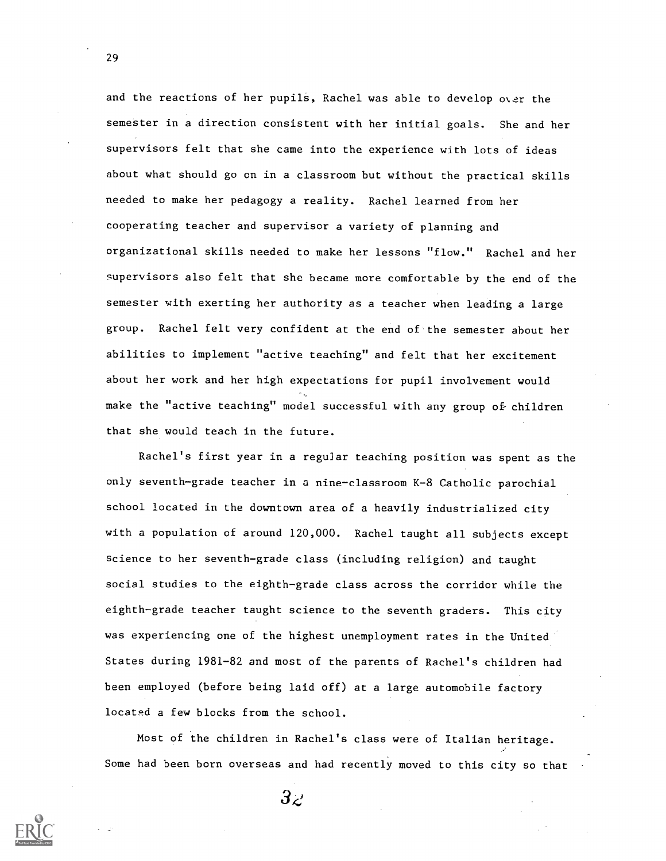and the reactions of her pupils, Rachel was able to develop over the semester in a direction consistent with her initial goals. She and her supervisors felt that she came into the experience with lots of ideas about what should go on in a classroom but without the practical skills needed to make her pedagogy a reality. Rachel learned from her cooperating teacher and supervisor a variety of planning and organizational skills needed to make her lessons "flow." Rachel and her supervisors also felt that she became more comfortable by the end of the semester with exerting her authority as a teacher when leading a large group. Rachel felt very confident at the end of the semester about her abilities to implement "active teaching" and felt that her excitement about her work and her high expectations for pupil involvement would make the "active teaching" model successful with any group of children that she would teach in the future.

Rachel's first year in a regular teaching position was spent as the only seventh-grade teacher in a nine-classroom K-8 Catholic parochial school located in the downtown area of a heavily industrialized city with a population of around 120,000. Rachel taught all subjects except science to her seventh-grade class (including religion) and taught social studies to the eighth-grade class across the corridor while the eighth-grade teacher taught science to the seventh graders. This city was experiencing one of the highest unemployment rates in the United States during 1981-82 and most of the parents of Rachel's children had been employed (before being laid off) at a large automobile factory located a few blocks from the school.

Most of the children in Rachel's class were of Italian heritage. Some had been born overseas and had recently moved to this city so that

 $3z$ 

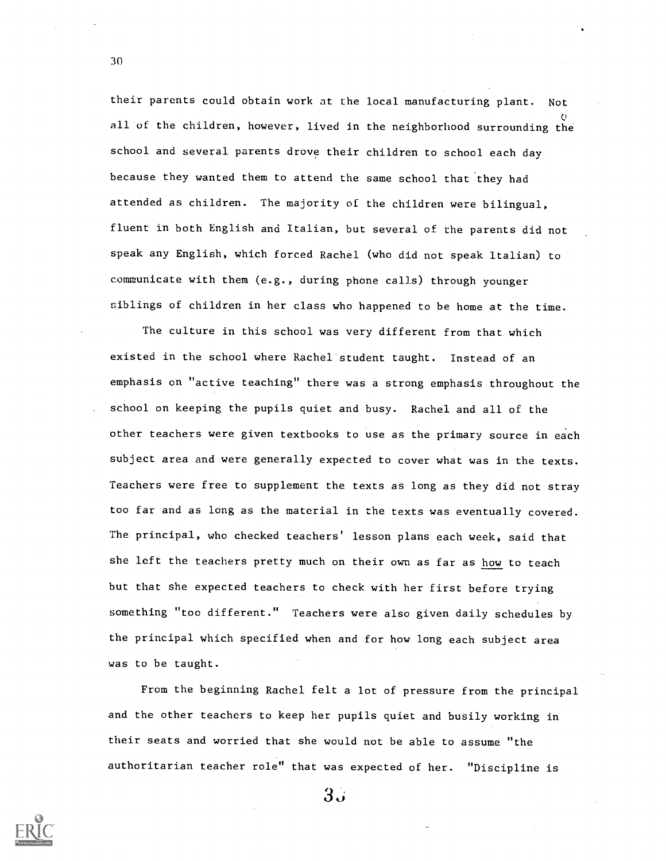their parents could obtain work at the local manufacturing plant. Not V all of the children, however, lived in the neighborhood surrounding the school and several parents drove their children to school each day because they wanted them to attend the same school that'they had attended as children. The majority of the children were bilingual, fluent in both English and Italian, but several of the parents did not speak any English, which forced Rachel (who did not speak Italian) to communicate with them (e.g., during phone calls) through younger siblings of children in her class who happened to be home at the time.

The culture in this school was very different from that which existed in the school where Rachel student taught. Instead of an emphasis on "active teaching" there was a strong emphasis throughout the school on keeping the pupils quiet and busy. Rachel and all of the other teachers were given textbooks to use as the primary source in each subject area and were generally expected to cover what was in the texts. Teachers were free to supplement the texts as long as they did not stray too far and as long as the material in the texts was eventually covered. The principal, who checked teachers' lesson plans each week, said that she left the teachers pretty much on their own as far as how to teach but that she expected teachers to check with her first before trying something "too different." Teachers were also given daily schedules by the principal which specified when and for how long each subject area was to be taught.

From the beginning Rachel felt a lot of pressure from the principal and the other teachers to keep her pupils quiet and busily working in their seats and worried that she would not be able to assume "the authoritarian teacher role" that was expected of her. "Discipline is



30

 $3\omega$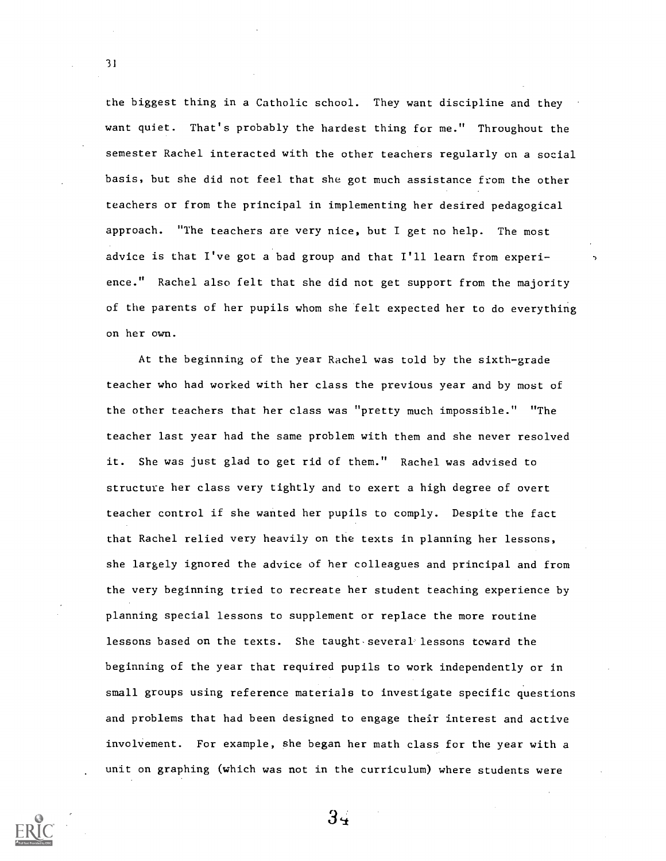the biggest thing in a Catholic school. They want discipline and they want quiet. That's probably the hardest thing for me." Throughout the semester Rachel interacted with the other teachers regularly on a social basis, but she did not feel that she got much assistance from the other teachers or from the principal in implementing her desired pedagogical approach. "The teachers are very nice, but I get no help. The most advice is that I've got a bad group and that I'll learn from experience." Rachel also felt that she did not get support from the majority of the parents of her pupils whom she felt expected her to do everything on her own.

At the beginning of the year Rachel was told by the sixth-grade teacher who had worked with her class the previous year and by most of the other teachers that her class was "pretty much impossible." "The teacher last year had the same problem with them and she never resolved it. She was just glad to get rid of them." Rachel was advised to structure her class very tightly and to exert a high degree of overt teacher control if she wanted her pupils to comply. Despite the fact that Rachel relied very heavily on the texts in planning her lessons, she largely ignored the advice of her colleagues and principal and from the very beginning tried to recreate her student teaching experience by planning special lessons to supplement or replace the more routine lessons based on the texts. She taught several lessons toward the beginning of the year that required pupils to work independently or in small groups using reference materials to investigate specific questions and problems that had been designed to engage their interest and active involvement. For example, she began her math class for the year with a unit on graphing (which was not in the curriculum) where students were

31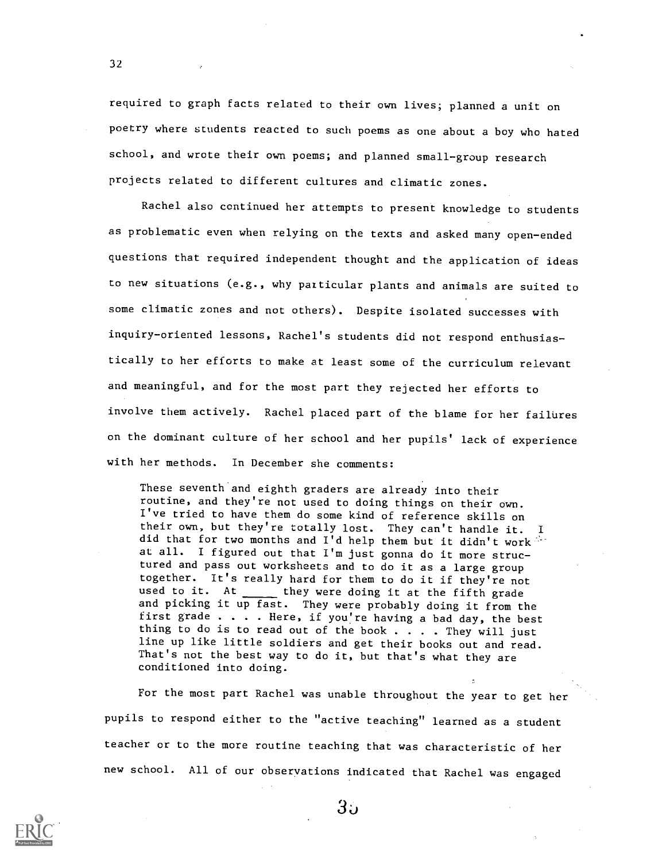required to graph facts related to their own lives; planned a unit on poetry where students reacted to such poems as one about a boy who hated school, and wrote their own poems; and planned small-group research projects related to different cultures and climatic zones.

Rachel also continued her attempts to present knowledge to students as problematic even when relying on the texts and asked many open-ended questions that required independent thought and the application of ideas to new situations (e.g., why particular plants and animals are suited to some climatic zones and not others). Despite isolated successes with inquiry-oriented lessons, Rachel's students did not respond enthusiastically to her efforts to make at least some of the curriculum relevant and meaningful, and for the most part they rejected her efforts to involve them actively. Rachel placed part of the blame for her failures on the dominant culture of her school and her pupils' lack of experience with her methods. In December she comments:

These seventh and eighth graders are already into their routine, and they're not used to doing things on their own. I've tried to have them do some kind of reference skills on their own, but they're totally lost. They can't handle it. did that for two months and I'd help them but it didn't work at all. I figured out that I'm just gonna do it more structured and pass out worksheets and to do it as a large group together. It's really hard for them to do it if they're not used to it. At  $f(x)$  they were doing it at the fifth grade and picking it up fast. They were probably doing it from the first grade . . . . Here, if you're having a bad day, the best thing to do is to read out of the book  $\dots$ . They will just line up like little soldiers and get their books out and read. That's not the best way to do it, but that's what they are conditioned into doing.

For the most part Rachel was unable throughout the year to get her pupils to respond either to the "active teaching" learned as a student teacher or to the more routine teaching that was characteristic of her new school. All of our observations indicated that Rachel was engaged



32

 $3.5$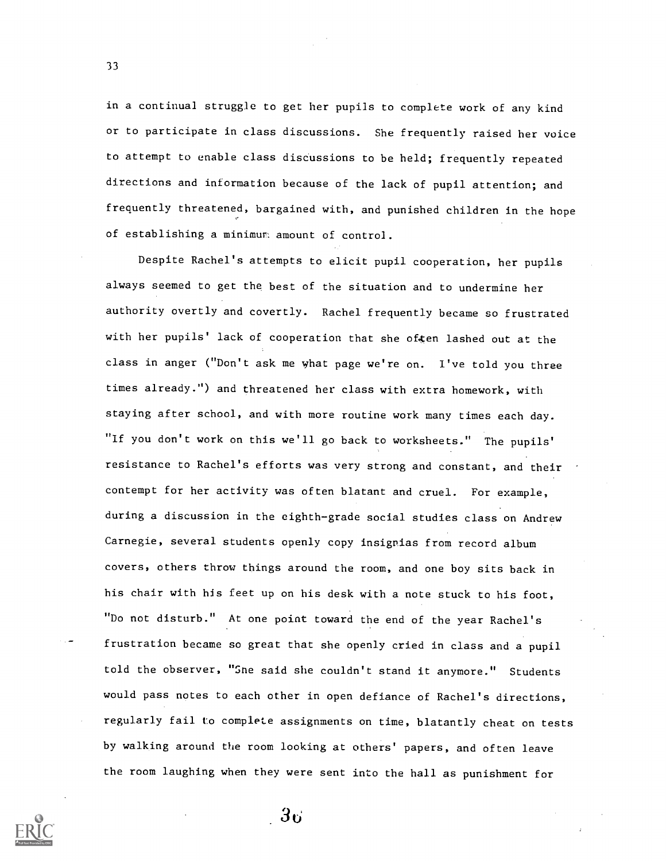in a continual struggle to get her pupils to complete work of any kind or to participate in class discussions. She frequently raised her voice to attempt to enable class discussions to be held; frequently repeated directions and information because of the lack of pupil attention; and frequently threatened, bargained with, and punished children in the hope of establishing a minimum amount of control.

Despite Rachel's attempts to elicit pupil cooperation, her pupils always seemed to get the best of the situation and to undermine her authority overtly and covertly. Rachel frequently became so frustrated with her pupils' lack of cooperation that she often lashed out at the class in anger ("Don't ask me what page we're on. I've told you three times already.") and threatened her class with extra homework, with staying after school, and with more routine work many times each day. "If you don't work on this we'll go back to worksheets." The pupils' resistance to Rachel's efforts was very strong and constant, and their contempt for her activity was often blatant and cruel. For example, during a discussion in the eighth-grade social studies class on Andrew Carnegie, several students openly copy insignias from record album covers, others throw things around the room, and one boy sits back in his chair with his feet up on his desk with a note stuck to his foot, "Do not disturb." At one point toward the end of the year Rachel's frustration became so great that she openly cried in class and a pupil told the observer, "Sne said she couldn't stand it anymore." Students would pass notes to each other in open defiance of Rachel's directions, regularly fail to complete assignments on time, blatantly cheat on tests by walking around the room looking at others' papers, and often leave the room laughing when they were sent into the hall as punishment for

33

 $-3\sigma$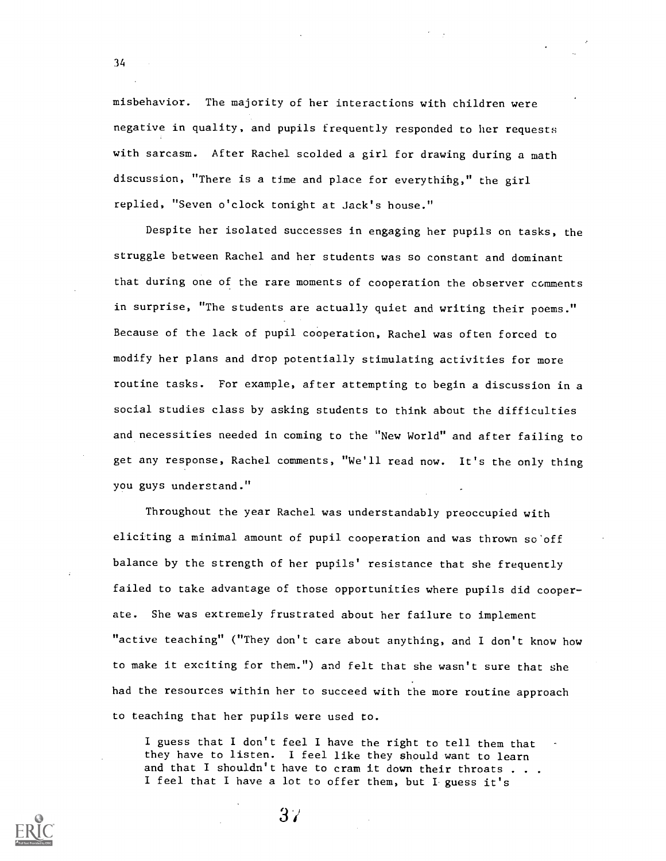misbehavior. The majority of her interactions with children were negative in quality, and pupils frequently responded to her requests with sarcasm. After Rachel scolded a girl for drawing during a math discussion, "There is a time and place for everythihg," the girl replied, "Seven o'clock tonight at Jack's house."

34

Despite her isolated successes in engaging her pupils on tasks, the struggle between Rachel and her students was so constant and dominant that during one of the rare moments of cooperation the observer comments in surprise, "The students are actually quiet and writing their poems." Because of the lack of pupil cooperation, Rachel was often forced to modify her plans and drop potentially stimulating activities for more routine tasks. For example, after attempting to begin a discussion in a social studies class by asking students to think about the difficulties and necessities needed in coming to the "New World" and after failing to get any response, Rachel comments, "We'll read now. It's the only thing you guys understand."

Throughout the year Rachel was understandably preoccupied with eliciting a minimal amount of pupil cooperation and was thrown so off balance by the strength of her pupils' resistance that she frequently failed to take advantage of those opportunities where pupils did cooperate. She was extremely frustrated about her failure to implement "active teaching" ("They don't care about anything, and I don't know how to make it exciting for them.") and felt that she wasn't sure that she had the resources within her to succeed with the more routine approach to teaching that her pupils were used to.

I guess that I don't feel I have the right to tell them that they have to listen. I feel like they should want to learn and that I shouldn't have to cram it down their throats  $\ldots$ . I feel that I have a lot to offer them, but I guess it's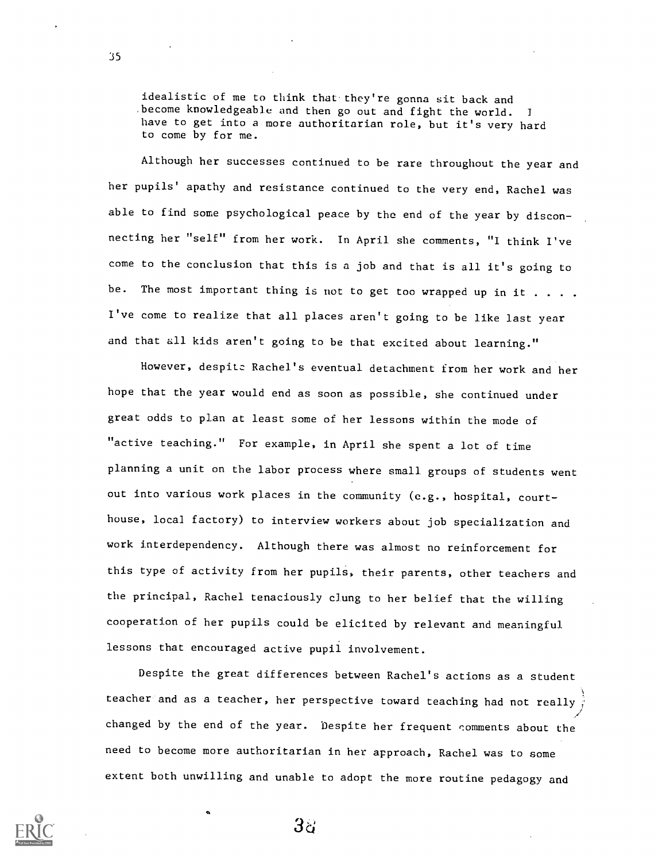idealistic of me to think that-they're gonna sit back and .become knowledgeable and then go out and fight the world. <sup>I</sup> have to get into a more authoritarian role, but it's very hard to come by for me.

Although her successes continued to be rare throughout the year and her pupils' apathy and resistance continued to the very end, Rachel was able to find some psychological peace by the end of the year by disconnecting her "self" from her work. In April she comments, "I think I've come to the conclusion that this is a job and that is all it's going to be. The most important thing is not to get too wrapped up in it  $\dots$ . I've come to realize that all places aren't going to be like last year and that all kids aren't going to be that excited about learning."

However, despite Rachel's eventual detachment from her work and her hope that the year would end as soon as possible, she continued under great odds to plan at least some of her lessons within the mode of "active teaching." For example, in April she spent a lot of time planning a unit on the labor process where small groups of students went out into various work places in the community (e.g., hospital, courthouse, local factory) to interview workers about job specialization and work interdependency. Although there was almost no reinforcement for this type of activity from her pupils, their parents, other teachers and the principal, Rachel tenaciously clung to her belief that the willing cooperation of her pupils could be elicited by relevant and meaningful lessons that encouraged active pupil involvement.

Despite the great differences between Rachel's actions as a student teacher and as a teacher, her perspective toward teaching had not really changed by the end of the year. Despite her frequent comments about the need to become more authoritarian in her approach, Rachel was to some extent both unwilling and unable to adopt the more routine pedagogy and



35

 $3\%$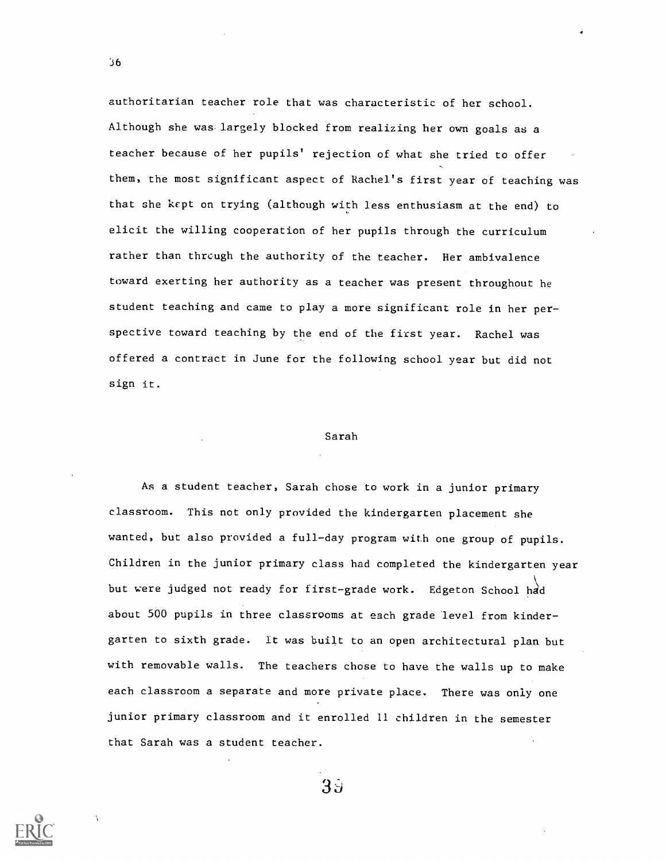authoritarian teacher role that was characteristic of her school. Although she was largely blocked from realizing her own goals as a teacher because of her pupils' rejection of what she tried to offer them, the most significant aspect of Rachel's first year of teaching was that she kept on trying (although with less enthusiasm at the end) to elicit the willing cooperation of her pupils through the curriculum rather than through the authority of the teacher. Her ambivalence toward exerting her authority as a teacher was present throughout he student teaching and came to play a more significant role in her perspective toward teaching by the end of the first year. Rachel was offered a contract in June for the following school year but did not sign it.

## Sarah

As a student teacher, Sarah chose to work in a junior primary classroom. This not only provided the kindergarten placement she wanted, but also provided a full-day program with one group of pupils. Children in the junior primary class had completed the kindergarten year but were judged not ready for first-grade work. Edgeton School had about 500 pupils in three classrooms at each grade level from kindergarten to sixth grade. It was built to an open architectural plan but with removable walls. The teachers chose to have the walls up to make each classroom a separate and more private place. There was only one junior primary classroom and it enrolled 11 children in the semester that Sarah was a student teacher.

 $3\overline{5}$ 

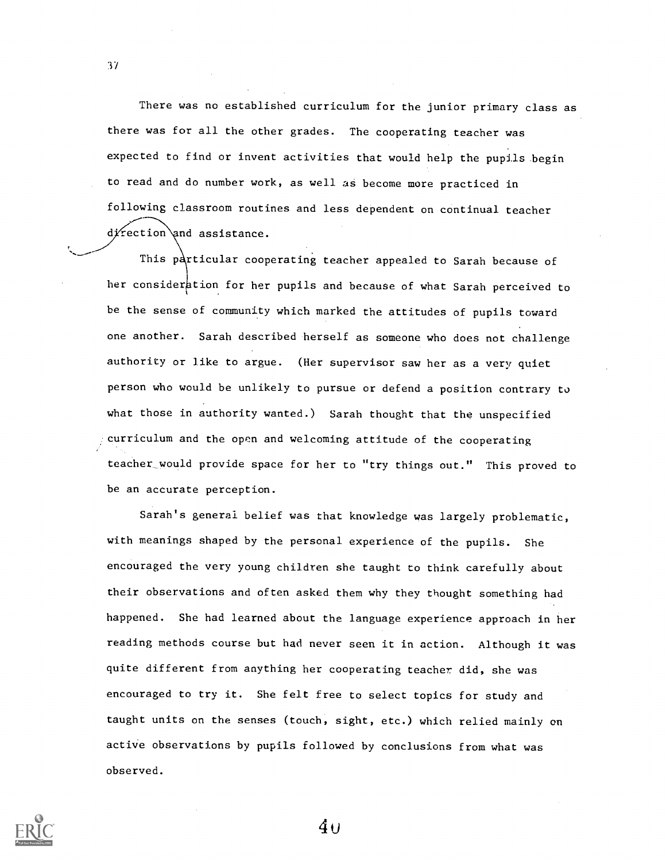There was no established curriculum for the junior primary class as there was for all the other grades. The cooperating teacher was expected to find or invent activities that would help the pupils begin to read and do number work, as well as become more practiced in following classroom routines and less dependent on continual teacher  $d$ *i* rection and assistance.

This particular cooperating teacher appealed to Sarah because of her consideration for her pupils and because of what Sarah perceived to be the sense of community which marked the attitudes of pupils toward one another. Sarah described herself as someone who does not challenge authority or like to argue. (Her supervisor saw her as a very quiet person who would be unlikely to pursue or defend a position contrary to what those in authority wanted.) Sarah thought that the unspecified curriculum and the open and welcoming attitude of the cooperating teacher\_would provide space for her to "try things out." This proved to be an accurate perception.

Sarah's general belief was that knowledge was largely problematic, with meanings shaped by the personal experience of the pupils. She encouraged the very young children she taught to think carefully about their observations and often asked them why they thought something had happened. She had learned about the language experience approach in her reading methods course but had never seen it in action. Although it was quite different from anything her cooperating teacher did, she was encouraged to try it. She felt free to select topics for study and taught units on the senses (touch, sight, etc.) which relied mainly on active observations by pupils followed by conclusions from what was observed.



37

4u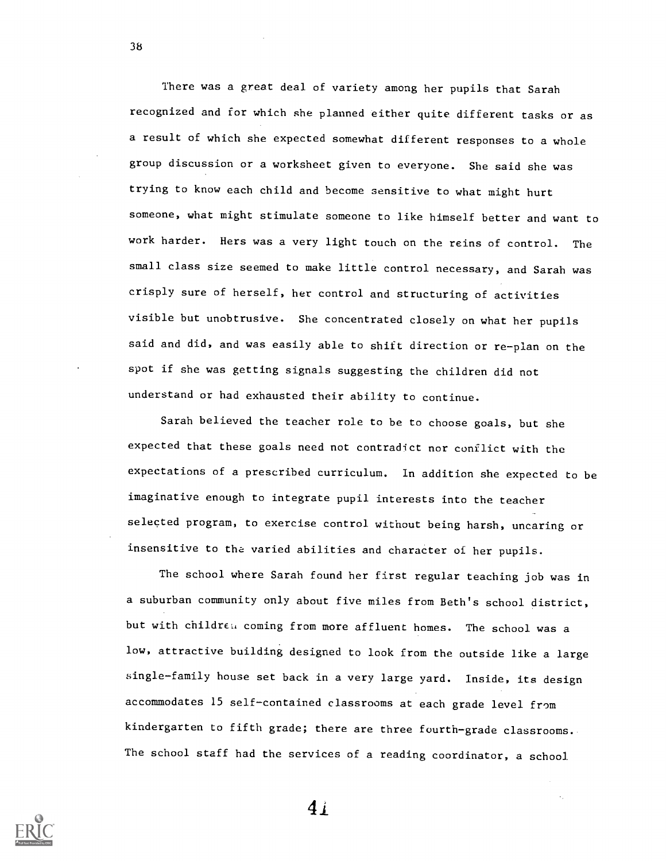There was a great deal of variety among her pupils that Sarah recognized and for which she planned either quite different tasks or as a result of which she expected somewhat different responses to a whole group discussion or a worksheet given to everyone. She said she was trying to know each child and become sensitive to what might hurt someone, what might stimulate someone to like himself better and want to work harder. Hers was a very light touch on the reins of control. The small class size seemed to make little control necessary, and Sarah was crisply sure of herself, her control and structuring of activities visible but unobtrusive. She concentrated closely on what her pupils said and did, and was easily able to shift direction or re-plan on the spot if she was getting signals suggesting the children did not understand or had exhausted their ability to continue.

Sarah believed the teacher role to be to choose goals, but she expected that these goals need not contradict nor conflict with the expectations of a prescribed curriculum. In addition she expected to be imaginative enough to integrate pupil interests into the teacher selected program, to exercise control without being harsh, uncaring or insensitive to the varied abilities and character of her pupils.

The school where Sarah found her first regular teaching job was in a suburban community only about five miles from Beth's school district, but with children coming from more affluent homes. The school was a low, attractive building designed to look from the outside like a large single-family house set back in a very large yard. Inside, its design accommodates 15 self-contained classrooms at each grade level from kindergarten to fifth grade; there are three fourth-grade classrooms. The school staff had the services of a reading coordinator, a school

 $4i$ 

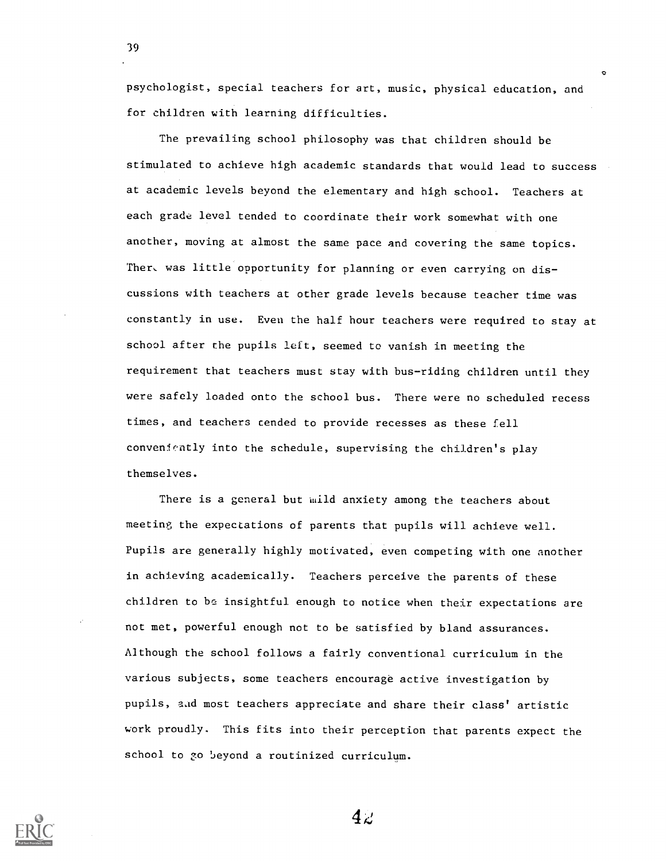psychologist, special teachers for art, music, physical education, and for children with learning difficulties.

O

39

The prevailing school philosophy was that children should be stimulated to achieve high academic standards that would lead to success at academic levels beyond the elementary and high school. Teachers at each grade level tended to coordinate their work somewhat with one another, moving at almost the same pace and covering the same topics. Ther, was little opportunity for planning or even carrying on discussions with teachers at other grade levels because teacher time was constantly in use. Even the half hour teachers were required to stay at school after the pupils left, seemed to vanish in meeting the requirement that teachers must stay with bus-riding children until they were safely loaded onto the school bus. There were no scheduled recess times, and teachers tended to provide recesses as these fell conveniently into the schedule, supervising the children's play themselves.

There is a general but mild anxiety among the teachers about meeting the expectations of parents that pupils will achieve well. Pupils are generally highly motivated, even competing with one another in achieving academically. Teachers perceive the parents of these children to be insightful enough to notice when their expectations are not met, powerful enough not to be satisfied by bland assurances. Although the school follows a fairly conventional curriculum in the various subjects, some teachers encourage active investigation by pupils, and most teachers appreciate and share their class' artistic work proudly. This fits into their perception that parents expect the school to 30 beyond a routinized curriculum.

 $4c$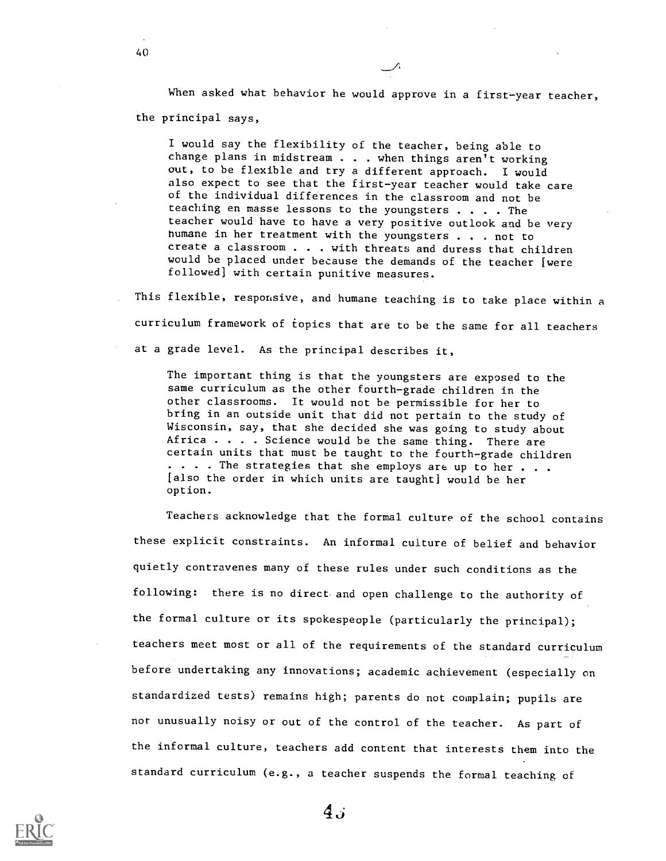When asked what behavior he would approve in a first-year teacher, the principal says,

I would say the flexibility of the teacher, being able to change plans in midstream . . . when things aren't working out, to be flexible and try a different approach. I would<br>also expect to see that the first-year teacher would take care of the individual differences in the classroom and not be teaching en masse lessons to the youngsters . . . . The teacher would have to have a very positive outlook and be very humane in her treatment with the youngsters . . . not to create a classroom . . . with threats and duress that children would be placed under because the demands of the teacher [were followed) with certain punitive measures.

This flexible, responsive, and humane teaching is to take place within a curriculum framework of topics that are to be the same for all teachers at a grade level. As the principal describes it,

The important thing is that the youngsters are exposed to the same curriculum as the other fourth-grade children in the other classrooms. It would not be permissible for her to bring in an outside unit that did not pertain to the study of Wisconsin, say, that she decided she was going to study about Africa . . . . Science would be the same thing. There are certain units that must be taught to the fourth-grade children . . . . The strategies that she employs are up to her . . . [also the order in which units are taught] would be her option.

Teachers acknowledge that the formal culture of the school contains these explicit constraints. An informal culture of belief and behavior quietly contravenes many of these rules under such conditions as the following: there is no direct and open challenge to the authority of the formal culture or its spokespeople (particularly the principal); teachers meet most or all of the requirements of the standard curriculum before undertaking any innovations; academic achievement (especially on standardized tests) remains high; parents do not complain; pupils are not unusually noisy or out of the control of the teacher. As part of the informal culture, teachers add content that interests them into the standard curriculum (e.g., a teacher suspends the formal teaching of

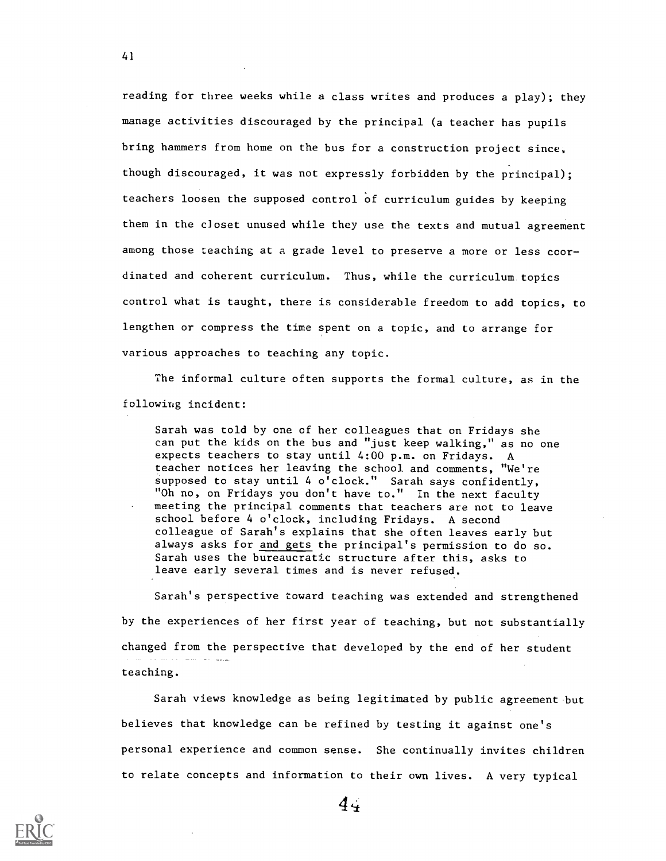reading for three weeks while a class writes and produces a play); they manage activities discouraged by the principal (a teacher has pupils bring hammers from home on the bus for a construction project since, though discouraged, it was not expressly forbidden by the principal); teachers loosen the supposed control of curriculum guides by keeping them in the closet unused while they use the texts and mutual agreement among those teaching at a grade level to preserve a more or less coordinated and coherent curriculum. Thus, while the curriculum topics control what is taught, there is considerable freedom to add topics, to lengthen or compress the time spent on a topic, and to arrange for various approaches to teaching any topic.

The informal culture often supports the formal culture, as in the following incident:

Sarah was told by one of her colleagues that on Fridays she can put the kids on the bus and "just keep walking," as no one expects teachers to stay until 4:00 p.m. on Fridays. A teacher notices her leaving the school and comments, "We're supposed to stay until 4 o'clock." Sarah says confidently, "Oh no, on Fridays you don't have to." In the next faculty meeting the principal comments that teachers are not to leave school before 4 o'clock, including Fridays. A second colleague of Sarah's explains that she often leaves early but always asks for and gets the principal's permission to do so. Sarah uses the bureaucratic structure after this, asks to leave early several times and is never refused.

Sarah's perspective toward teaching was extended and strengthened by the experiences of her first year of teaching, but not substantially changed from the perspective that developed by the end of her student teaching.

Sarah views knowledge as being legitimated by public agreement but believes that knowledge can be refined by testing it against one's personal experience and common sense. She continually invites children to relate concepts and information to their own lives. A very typical

41

 $4,1$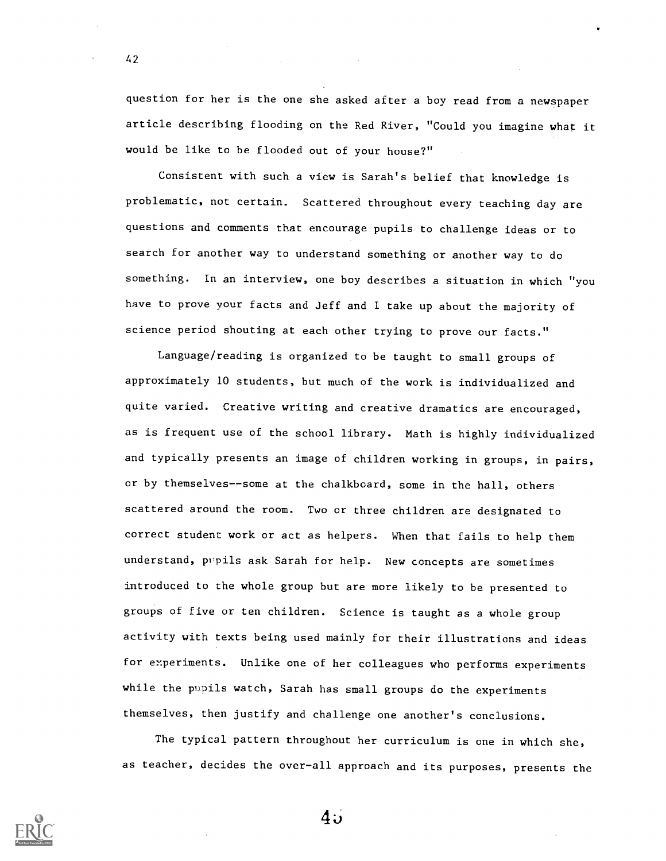question for her is the one she asked after a boy read from a newspaper article describing flooding on the Red River, "Could you imagine what it would be like to be flooded out of your house?"

42

Consistent with such a view is Sarah's belief that knowledge is problematic, not certain. Scattered throughout every teaching day are questions and comments that encourage pupils to challenge ideas or to search for another way to understand something or another way to do something. In an interview, one boy describes a situation in which "you have to prove your facts and Jeff and I take up about the majority of science period shouting at each other trying to prove our facts."

Language/reading is organized to be taught to small groups of approximately 10 students, but much of the work is individualized and quite varied. Creative writing and creative dramatics are encouraged, as is frequent use of the school library. Math is highly individualized and typically presents an image of children working in groups, in pairs, or by themselves--some at the chalkboard, some in the hall, others scattered around the room. Two or three children are designated to correct student work or act as helpers. When that fails to help them understand, pupils ask Sarah for help. New concepts are sometimes introduced to the whole group but are more likely to be presented to groups of five or ten children. Science is taught as a whole group activity with texts being used mainly for their illustrations and ideas for experiments. Unlike one of her colleagues who performs experiments while the pupils watch, Sarah has small groups do the experiments themselves, then justify and challenge one another's conclusions.

The typical pattern throughout her curriculum is one in which she, as teacher, decides the over-all approach and its purposes, presents the



 $4$   $\ddots$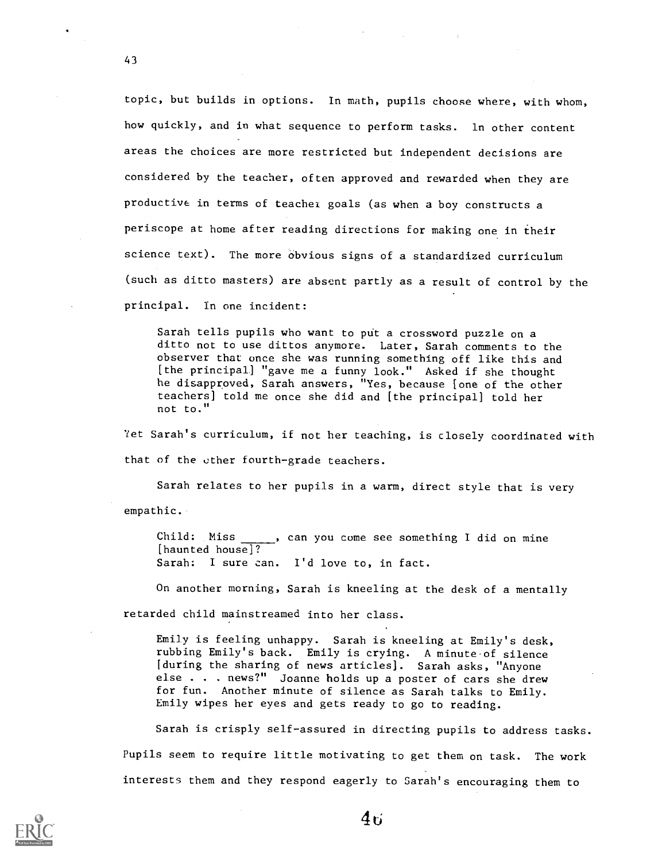topic, but builds in options. In math, pupils choose where, with whom, how quickly, and in what sequence to perform tasks. In other content areas the choices are more restricted but independent decisions are considered by the teacher, often approved and rewarded when they are productive in terms of teacher goals (as when a boy constructs a periscope at home after reading directions for making one in their science text). The more obvious signs of a standardized curriculum (such as ditto masters) are absent partly as a result of control by the principal. In one incident:

Sarah tells pupils who want to put a crossword puzzle on a ditto not to use dittos anymore. Later, Sarah comments to the observer that once she was running something off like this and [the principal] "gave me a funny look." Asked if she thought he disapproved, Sarah answers, "Yes, because [one of the other teachers] told me once she did and [the principal] told her not to."

Yet Sarah's curriculum, if not her teaching, is closely coordinated with that of the other fourth-grade teachers.

Sarah relates to her pupils in a warm, direct style that is very empathic.

Child: Miss , can you come see something I did on mine [haunted house]? Sarah: I sure can. I'd love to, in fact.

On another morning, Sarah is kneeling at the desk of a mentally retarded child mainstreamed into her class.

Emily is feeling unhappy. Sarah is kneeling at Emily's desk, rubbing Emily's back. Emily is crying. A minute of silence [during the sharing of news articles]. Sarah asks, "Anyone else . . . news?" Joanne holds up a poster of cars she drew for fun. Another minute of silence as Sarah talks to Emily. Emily wipes her eyes and gets ready to go to reading.

Sarah is crisply self-assured in directing pupils to address tasks. Pupils seem to require little motivating to get them on task. The work interests them and they respond eagerly to Sarah's encouraging them to



43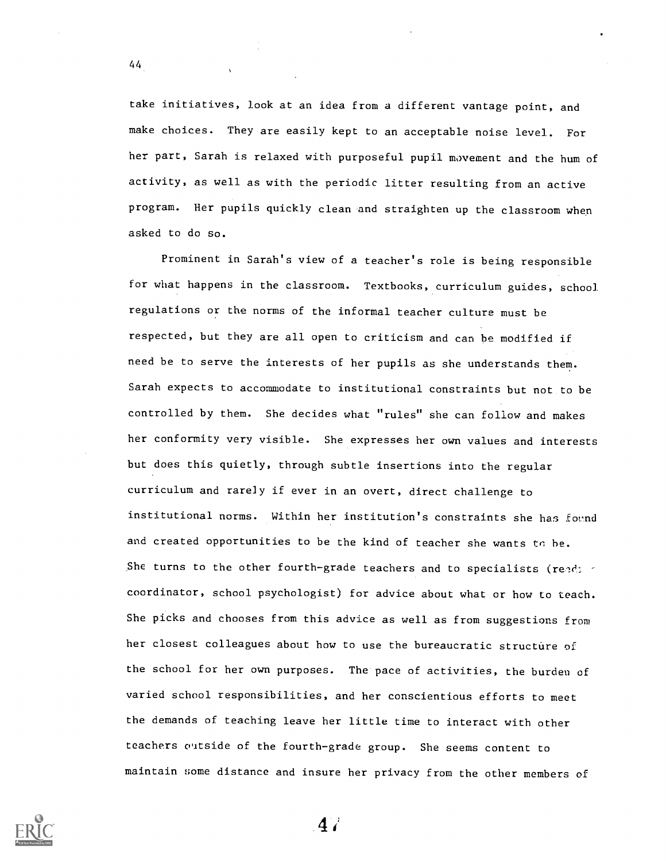take initiatives, look at an idea from a different vantage point, and make choices. They are easily kept to an acceptable noise level. For her part, Sarah is relaxed with purposeful pupil movement and the hum of activity, as well as with the periodic litter resulting from an active program. Her pupils quickly clean and straighten up the classroom when asked to do so.

Prominent in Sarah's view of a teacher's role is being responsible for what happens in the classroom. Textbooks, curriculum guides, school regulations or the norms of the informal teacher culture must be respected, but they are all open to criticism and can be modified if need be to serve the interests of her pupils as she understands them. Sarah expects to accommodate to institutional constraints but not to be controlled by them. She decides what "rules" she can follow and makes her conformity very visible. She expresses her own values and interests but does this quietly, through subtle insertions into the regular curriculum and rarely if ever in an overt, direct challenge to institutional norms. Within her institution's constraints she has fornd and created opportunities to be the kind of teacher she wants to be. She turns to the other fourth-grade teachers and to specialists (read:  $\leq$ coordinator, school psychologist) for advice about what or how to teach. She picks and chooses from this advice as well as from suggestions from her closest colleagues about how to use the bureaucratic structure of the school for her own purposes. The pace of activities, the burden of varied school responsibilities, and her conscientious efforts to meet the demands of teaching leave her little time to interact with other teachers outside of the fourth-grade group. She seems content to maintain some distance and insure her privacy from the other members of



44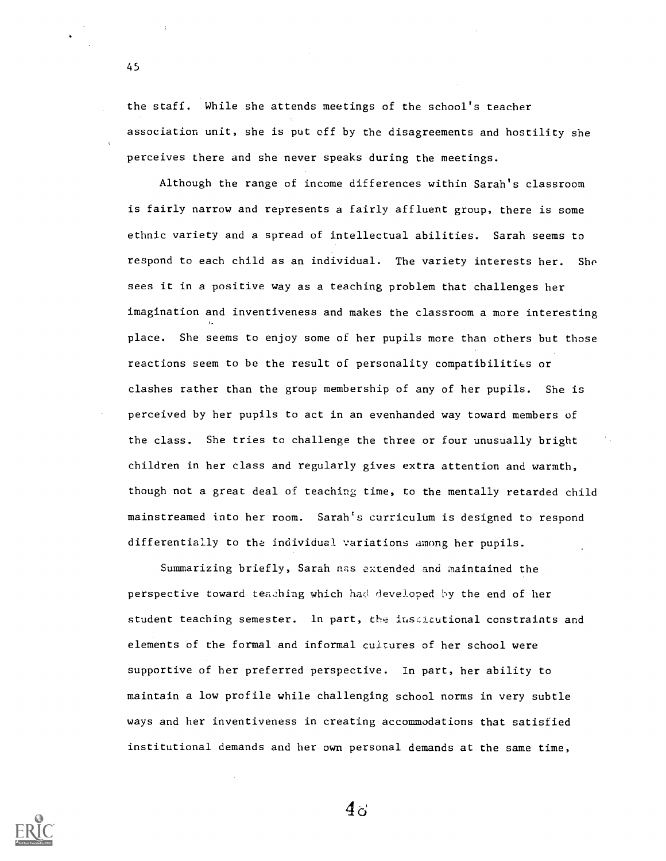the staff. While she attends meetings of the school's teacher association unit, she is put off by the disagreements and hostility she perceives there and she never speaks during the meetings.

Although the range of income differences within Sarah's classroom is fairly narrow and represents a fairly affluent group, there is some ethnic variety and a spread of intellectual abilities. Sarah seems to respond to each child as an individual. The variety interests her. She sees it in a positive way as a teaching problem that challenges her imagination and inventiveness and makes the classroom a more interesting place. She seems to enjoy some of her pupils more than others but those reactions seem to be the result of personality compatibilities or clashes rather than the group membership of any of her pupils. She is perceived by her pupils to act in an evenhanded way toward members of the class. She tries to challenge the three or four unusually bright children in her class and regularly gives extra attention and warmth, though not a great deal of teaching time, to the mentally retarded child mainstreamed into her room. Sarah's curriculum is designed to respond differentially to the individual variations among her pupils.

Summarizing briefly, Sarah nas extended and maintained the perspective toward teaching which had developed 1y the end of her student teaching semester. In part, the iuscitutional constraints and elements of the formal and informal cultures of her school were supportive of her preferred perspective. In part, her ability to maintain a low profile while challenging school norms in very subtle ways and her inventiveness in creating accommodations that satisfied institutional demands and her own personal demands at the same time,



 $4\sigma$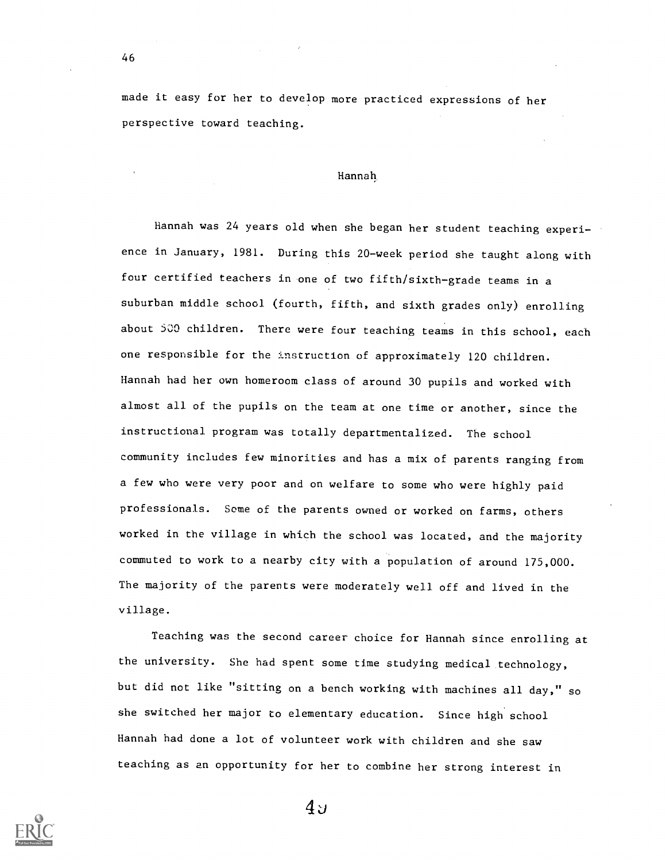made it easy for her to develop more practiced expressions of her perspective toward teaching.

## Hannah,

Hannah was 24 years old when she began her student teaching experience in January, 1981. During this 20-week period she taught along with four certified teachers in one of two fifth/sixth-grade teams in a suburban middle school (fourth, fifth, and sixth grades only) enrolling about 500 children. There were four teaching teams in this school, each one responsible for the instruction of approximately 120 children. Hannah had her own homeroom class of around 30 pupils and worked with almost all of the pupils on the team at one time or another, since the instructional program was totally departmentalized. The school community includes few minorities and has a mix of parents ranging from a few who were very poor and on welfare to some who were highly paid professionals. Some of the parents owned or worked on farms, others worked in the village in which the school was located, and the majority commuted to work to a nearby city with a population of around 175,000. The majority of the parents were moderately well off and lived in the village.

Teaching was the second career choice for Hannah since enrolling at the university. She had spent some time studying medical technology, but did not like "sitting on a bench working with machines all day," so she switched her major to elementary education. Since high school Hannah had done a lot of volunteer work with children and she saw teaching as an opportunity for her to combine her strong interest in



46

 $4y$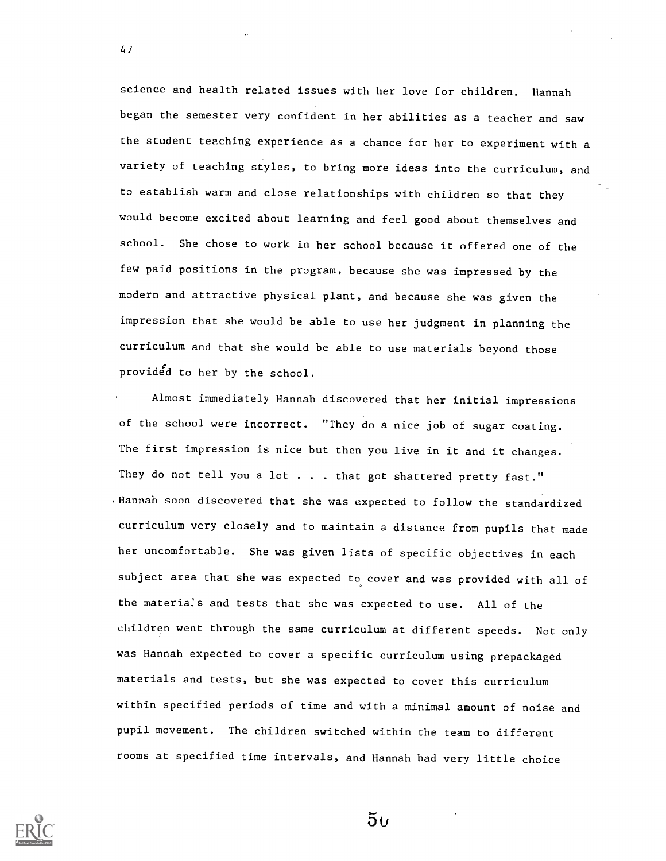science and health related issues with her love for children. Hannah began the semester very confident in her abilities as a teacher and saw the student teaching experience as a chance for her to experiment with a variety of teaching styles, to bring more ideas into the curriculum, and to establish warm and close relationships with children so that they would become excited about learning and feel good about themselves and school. She chose to work in her school because it offered one of the few paid positions in the program, because she was impressed by the modern and attractive physical plant, and because she was given the impression that she would be able to use her judgment in planning the curriculum and that she would be able to use materials beyond those provided to her by the school.

Almost immediately Hannah discovered that her initial impressions of the school were incorrect. "They do a nice job of sugar coating. The first impression is nice but then you live in it and it changes. They do not tell you a lot . . . that got shattered pretty fast." ,Hannah soon discovered that she was expected to follow the standardized curriculum very closely and to maintain a distance from pupils that made her uncomfortable. She was given lists of specific objectives in each subject area that she was expected to cover and was provided with all of the materials and tests that she was expected to use. All of the children went through the same curriculum at different speeds. Not only was Hannah expected to cover a specific curriculum using prepackaged materials and tests, but she was expected to cover this curriculum within specified periods of time and with a minimal amount of noise and pupil movement. The children switched within the team to different rooms at specified time intervals, and Hannah had very little choice



47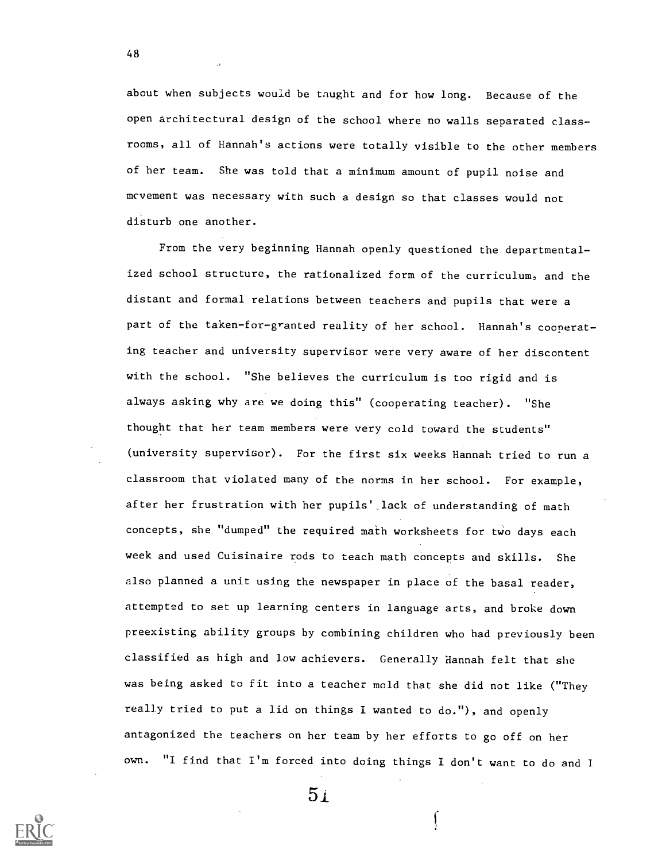about when subjects would be taught and for how long. Because of the open architectural design of the school where no walls separated classrooms, all of Hannah's actions were totally visible to the other members of her team. She was told that a minimum amount of pupil noise and mcvement was necessary with such a design so that classes would not disturb one another.

From the very beginning Hannah openly questioned the departmentalized school structure, the rationalized form of the curriculum, and the distant and formal relations between teachers and pupils that were a part of the taken-for-granted reality of her school. Hannah's cooperating teacher and university supervisor were very aware of her discontent with the school. "She believes the curriculum is too rigid and is always asking why are we doing this" (cooperating teacher). "She thought that her team members were very cold toward the students" (university supervisor). For the first six weeks Hannah tried to run a classroom that violated many of the norms in her school. For example, after her frustration with her pupils' lack of understanding of math concepts, she "dumped" the required math worksheets for two days each week and used Cuisinaire rods to teach math concepts and skills. She also planned a unit using the newspaper in place of the basal reader, attempted to set up learning centers in language arts, and broke down preexisting ability groups by combining children who had previously been classified as high and low achievers. Generally Hannah felt that she was being asked to fit into a teacher mold that she did not like ("They really tried to put a lid on things I wanted to do."), and openly antagonized the teachers on her team by her efforts to go off on her own. "I find that I'm forced into doing things I don't want to do and I



 $5<sub>1</sub>$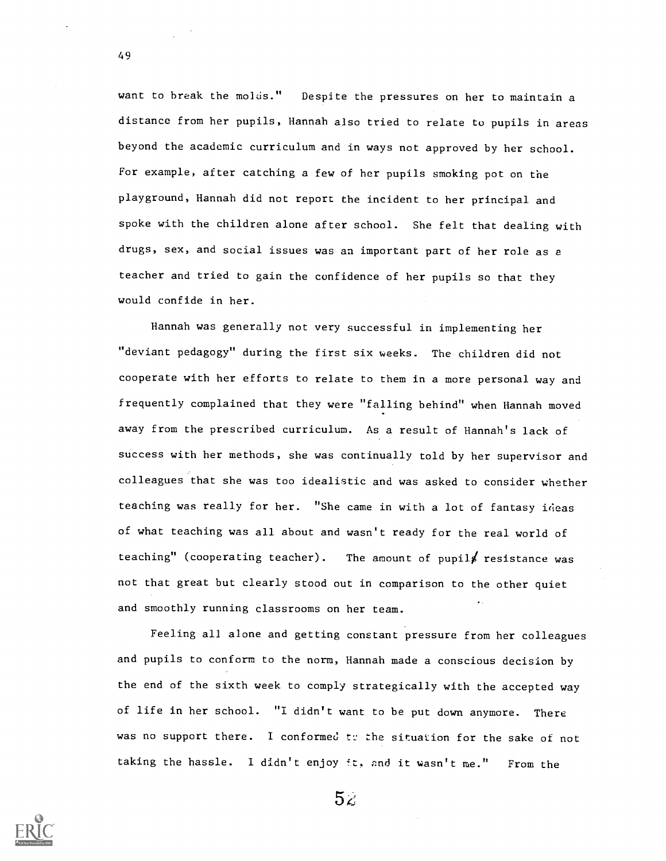want to break the molds." Despite the pressures on her to maintain a distance from her pupils, Hannah also tried to relate to pupils in areas beyond the academic curriculum and in ways not approved by her school. For example, after catching a few of her pupils smoking pot on the playground, Hannah did not report the incident to her principal and spoke with the children alone after school. She felt that dealing with drugs, sex, and social issues was an important part of her role as a teacher and tried to gain the confidence of her pupils so that they would confide in her.

Hannah was generally not very successful in implementing her "deviant pedagogy" during the first six weeks. The children did not cooperate with her efforts to relate to them in a more personal way and frequently complained that they were "falling behind" when Hannah moved away from the prescribed curriculum. As a result of Hannah's lack of success with her methods, she was continually told by her supervisor and colleagues that she was too idealistic and was asked to consider whether teaching was really for her. "She came in with a lot of fantasy ideas of what teaching was all about and wasn't ready for the real world of teaching" (cooperating teacher). The amount of pupils resistance was not that great but clearly stood out in comparison to the other quiet and smoothly running classrooms on her team.

Feeling all alone and getting constant pressure from her colleagues and pupils to conform to the norm, Hannah made a conscious decision by the end of the sixth week to comply strategically with the accepted way of life in her school. "I didn't want to be put down anymore. There was no support there. I conformed to the situation for the sake of not taking the hassle. I didn't enjoy it, and it wasn't me." From the



 $5<sub>4</sub>$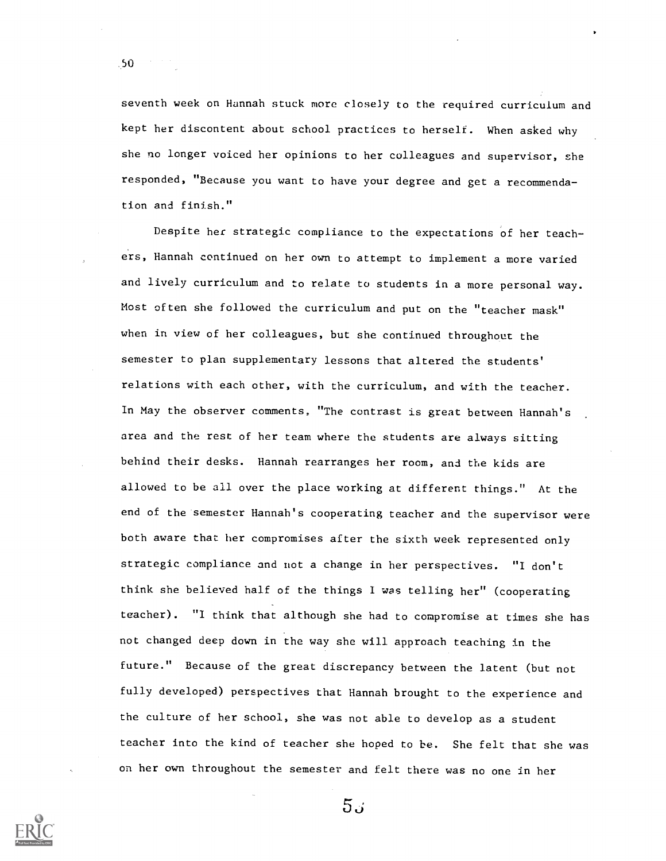seventh week on Hannah stuck more closely to the required curriculum and kept her discontent about school practices to herself. When asked why she no longer voiced her opinions to her colleagues and supervisor, she responded, "Because you want to have your degree and get a recommendation and finish."

Despite her strategic compliance to the expectations of her teachers, Hannah continued on her own to attempt to implement a more varied and lively curriculum and to relate to students in a more personal way. Most often she followed the curriculum and put on the "teacher mask" when in view of her colleagues, but she continued throughout the semester to plan supplementary lessons that altered the students' relations with each other, with the curriculum, and with the teacher. In May the observer comments, "The contrast is great between Hannah's area and the rest of her team where the students are always sitting behind their desks. Hannah rearranges her room, and the kids are allowed to be all over the place working at different things." At the end of the semester Hannah's cooperating teacher and the supervisor were both aware that her compromises after the sixth week represented only strategic compliance and not a change in her perspectives. "I don't think she believed half of the things I was telling her" (cooperating teacher). "I think that although she had to compromise at times she has not changed deep down in the way she will approach teaching in the future." Because of the great discrepancy between the latent (but not fully developed) perspectives that Hannah brought to the experience and the culture of her school, she was not able to develop as a student teacher into the kind of teacher she hoped to be. She felt that she was on her on throughout the semester and felt there was no one in her



50

 $5.5$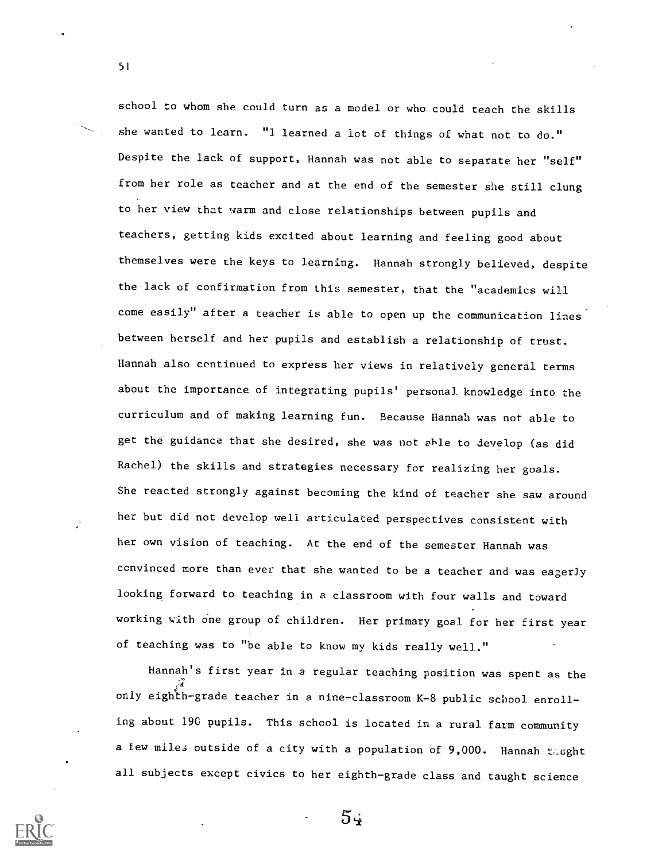school to whom she could turn as a model or who could teach the skills she wanted to learn. "1 learned a lot of things of what not to do." Despite the lack of support, Hannah was not able to separate her "self" from her role as teacher and at the end of the semester she still clung to her view that warm and close relationships between pupils and teachers, getting kids excited about learning and feeling good about themselves were the keys to learning. Hannah strongly believed, despite the lack of confirmation from this semester, that the "academics will come easily" after a teacher is able to open up the communication lines between herself and her pupils and establish a relationship of trust. Hannah also continued to express her views in relatively general terms about the importance of integrating pupils' personal knowledge into the curriculum and of making learning fun. Because Hannah was not able to get the guidance that she desired, she was not able to develop (as did Rachel) the skills and strategies necessary for realizing her goals. She reacted strongly against becoming the kind of teacher she saw around her but did not develop well articulated perspectives consistent with her own vision of teaching. At the end of the semester Hannah was convinced more than ever that she wanted to be a teacher and was eagerly looking forward to teaching in a classroom with four walls and toward working with one group of children. Her primary goal for her first year of teaching was to "be able to know my kids really well."

Hannah's first year in a regular teaching position was spent as the only eighh-grade teacher in a nine-classroom K-8 public school enrolling about 190 pupils. This school is located in a rural farm community a few miles outside of a city with a population of 9,000. Hannah taught all subjects except civics to her eighth-grade class and taught science



51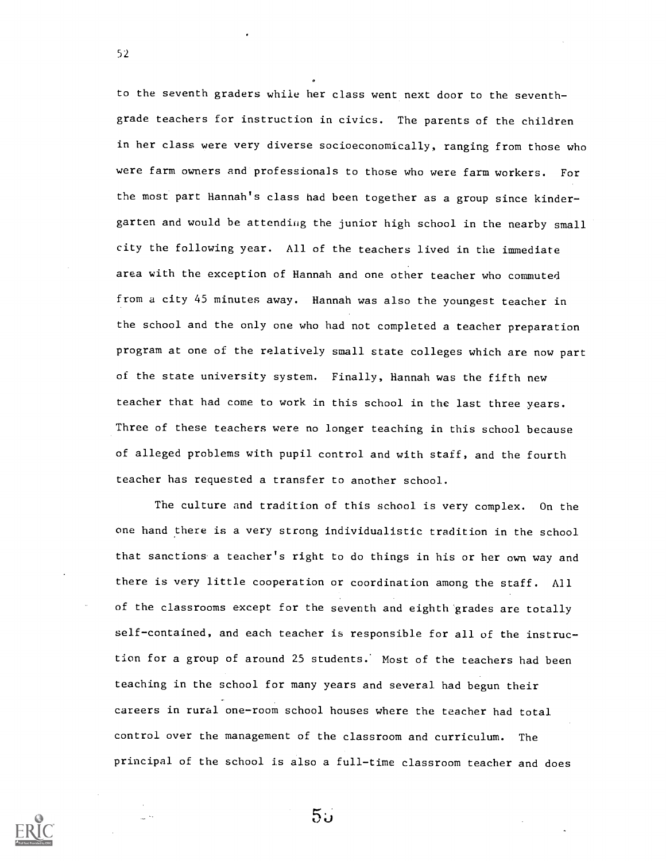to the seventh graders while her class went next door to the seventhgrade teachers for instruction in civics. The parents of the children in her class were very diverse socioeconomically, ranging from those who were farm owners and professionals to those who were farm workers. For the most part Hannah's class had been together as a group since kindergarten and would be attending the junior high school in the nearby small city the following year. All of the teachers lived in the immediate area with the exception of Hannah and one other teacher who commuted from a city 45 minutes away. Hannah was also the youngest teacher in the school and the only one who had not completed a teacher preparation program at one of the relatively small state colleges which are now part of the state university system. Finally, Hannah was the fifth new teacher that had come to work in this school in the last three years. Three of these teachers were no longer teaching in this school because of alleged problems with pupil control and with staff, and the fourth teacher has requested a transfer to another school.

The culture and tradition of this school is very complex. On the one hand there is a very strong individualistic tradition in the school that sanctions a teacher's right to do things in his or her own way and there is very little cooperation or coordination among the staff. All of the classrooms except for the seventh and eighth grades are totally self-contained, and each teacher is responsible for all of the instruction for a group of around 25 students.' Most of the teachers had been teaching in the school for many years and several had begun their careers in rural one-room school houses where the teacher had total control over the management of the classroom and curriculum. The principal of the school is also a full-time classroom teacher and does

52

 $5\omega$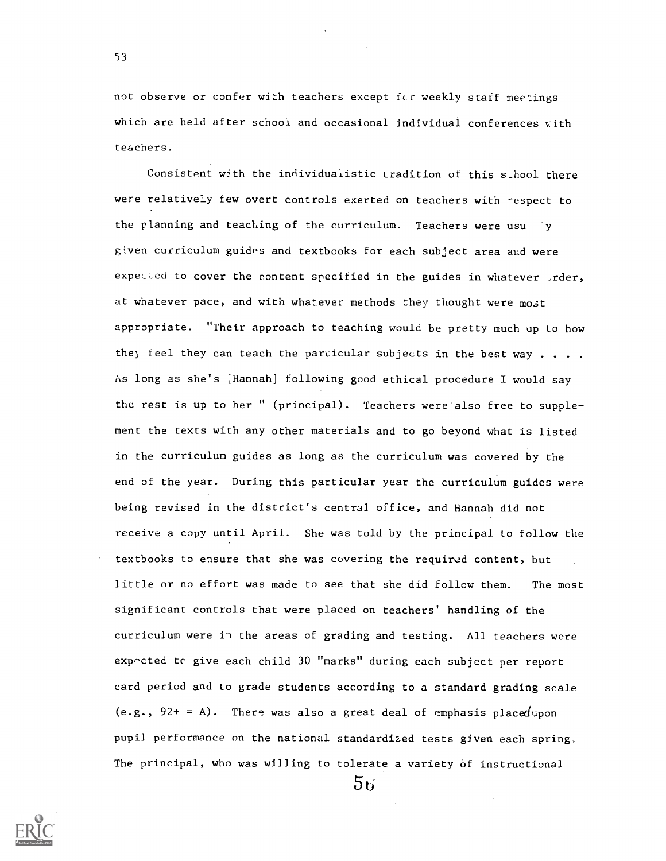not observe or confer with teachers except fcr weekly staff meetings which are held after school and occasional individual conferences with teachers.

53

Consistent with the individualistic tradition of this school there were relatively few overt controls exerted on teachers with respect to the planning and teaching of the curriculum. Teachers were usu given curriculum guides and textbooks for each subject area and were expected to cover the content specified in the guides in whatever  $\sqrt{x}$ rder, at whatever pace, and with whatever methods they thought were most appropriate. "Their approach to teaching would be pretty much up to how they feel they can teach the particular subjects in the best way  $\dots$ . As long as she's [Hannah] following good ethical procedure I would say the rest is up to her " (principal). Teachers were also free to supplement the texts with any other materials and to go beyond what is listed in the curriculum guides as long as the curriculum was covered by the end of the year. During this particular year the curriculum guides were being revised in the district's central office, and Hannah did not receive a copy until April. She was told by the principal to follow the textbooks to ensure that she was covering the required content, but little or no effort was made to see that she did follow them. The most significant controls that were placed on teachers' handling of the curriculum were in the areas of grading and testing. All teachers were expocted to give each child 30 "marks" during each subject per report card period and to grade students according to a standard grading scale (e.g.,  $92+ = A$ ). There was also a great deal of emphasis placedupon pupil performance on the national standardized tests given each spring. The principal, who was willing to tolerate a variety of instructional

 $56^{\circ}$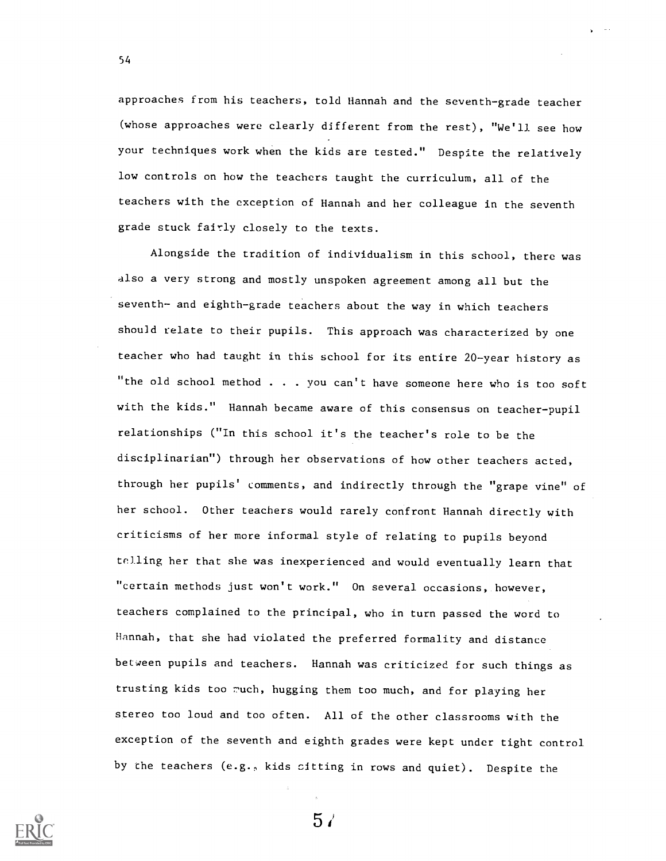approaches from his teachers, told Hannah and the seventh-grade teacher (whose approaches were clearly different from the rest), "We'll see how your techniques work when the kids are tested." Despite the relatively low controls on how the teachers taught the curriculum, all of the teachers with the exception of Hannah and her colleague in the seventh grade stuck fairly closely to the texts.

Alongside the tradition of individualism in this school, there was also a very strong and mostly unspoken agreement among all but the seventh- and eighth-grade teachers about the way in which teachers should relate to their pupils. This approach was characterized by one teacher who had taught in this school for its entire 20-year history as "the old school method . . . you can't have someone here who is too soft with the kids." Hannah became aware of this consensus on teacher-pupil relationships ("In this school it's the teacher's role to be the disciplinarian") through her observations of how other teachers acted, through her pupils' comments, and indirectly through the "grape vine" of her school. Other teachers would rarely confront Hannah directly with criticisms of her more informal style of relating to pupils beyond telling her that she was inexperienced and would eventually learn that "certain methods just won't work." On several occasions, however, teachers complained to the principal, who in turn passed the word to Hannah, that she had violated the preferred formality and distance between pupils and teachers. Hannah was criticized for such things as trusting kids too ruch, hugging them too much, and for playing her stereo too loud and too often. All of the other classrooms with the exception of the seventh and eighth grades were kept under tight control by the teachers (e.g., kids sitting in rows and quiet). Despite the



54

 $5/$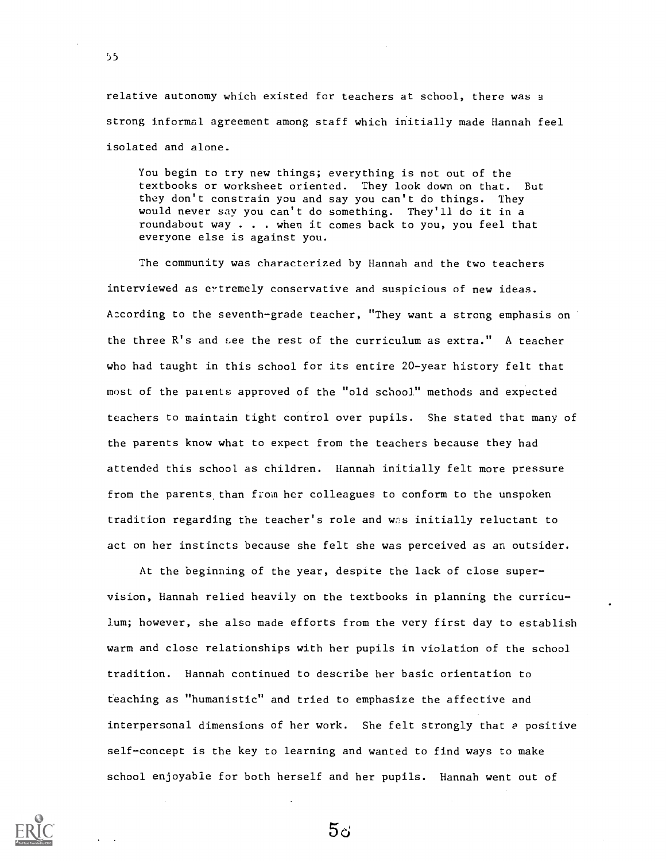relative autonomy which existed for teachers at school, there was a strong informal agreement among staff which initially made Hannah feel isolated and alone.

You begin to try new things; everything is not out of the textbooks or worksheet oriented. They look down on that. But they don't constrain you and say you can't do things. They would never say you can't do something. They'll do it in a roundabout way . . . when it comes back to you, you feel that everyone else is against you.

The community was characterized by Hannah and the two teachers interviewed as eytremely conservative and suspicious of new ideas. A:cording to the seventh-grade teacher, "They want a strong emphasis on the three R's and see the rest of the curriculum as extra." A teacher who had taught in this school for its entire 20-year history felt that most of the patents approved of the "old school" methods and expected teachers to maintain tight control over pupils. She stated that many of the parents know what to expect from the teachers because they had attended this school as children. Hannah initially felt more pressure from the parents than from her colleagues to conform to the unspoken tradition regarding the teacher's role and was initially reluctant to act on her instincts because she felt she was perceived as an outsider.

At the beginning of the year, despite the lack of close supervision, Hannah relied heavily on the textbooks in planning the curriculum; however, she also made efforts from the very first day to establish warm and close relationships with her pupils in violation of the school tradition. Hannah continued to describe her basic orientation to teaching as "humanistic" and tried to emphasize the affective and interpersonal dimensions of her work. She felt strongly that e positive self-concept is the key to learning and wanted to find ways to make school enjoyable for both herself and her pupils. Hannah went out of

 $5c$ 

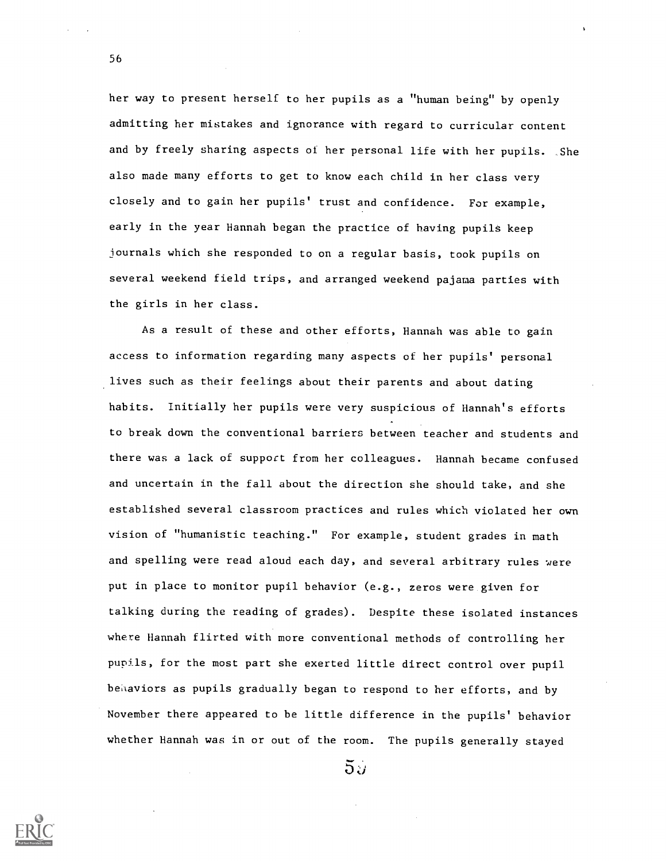her way to present herself to her pupils as a "human being" by openly admitting her mistakes and ignorance with regard to curricular content and by freely sharing aspects of her personal life with her pupils. She also made many efforts to get to know each child in her class very closely and to gain her pupils' trust and confidence. For example, early in the year Hannah began the practice of having pupils keep iournals which she responded to on a regular basis, took pupils on several weekend field trips, and arranged weekend pajama parties with the girls in her class.

As a result of these and other efforts, Hannah was able to gain access to information regarding many aspects of her pupils' personal lives such as their feelings about their parents and about dating habits. Initially her pupils were very suspicious of Hannah's efforts to break down the conventional barriers between teacher and students and there was a lack of support from her colleagues. Hannah became confused and uncertain in the fall about the direction she should take, and she established several classroom practices and rules which violated her own vision of "humanistic teaching." For example, student grades in math and spelling were read aloud each day, and several arbitrary rules were put in place to monitor pupil behavior (e.g., zeros were given for talking during the reading of grades). Despite these isolated instances where Hannah flirted with more conventional methods of controlling her pupils, for the most part she exerted little direct control over pupil behaviors as pupils gradually began to respond to her efforts, and by November there appeared to be little difference in the pupils' behavior whether Hannah was in or out of the room. The pupils generally stayed

 $5.7$ 

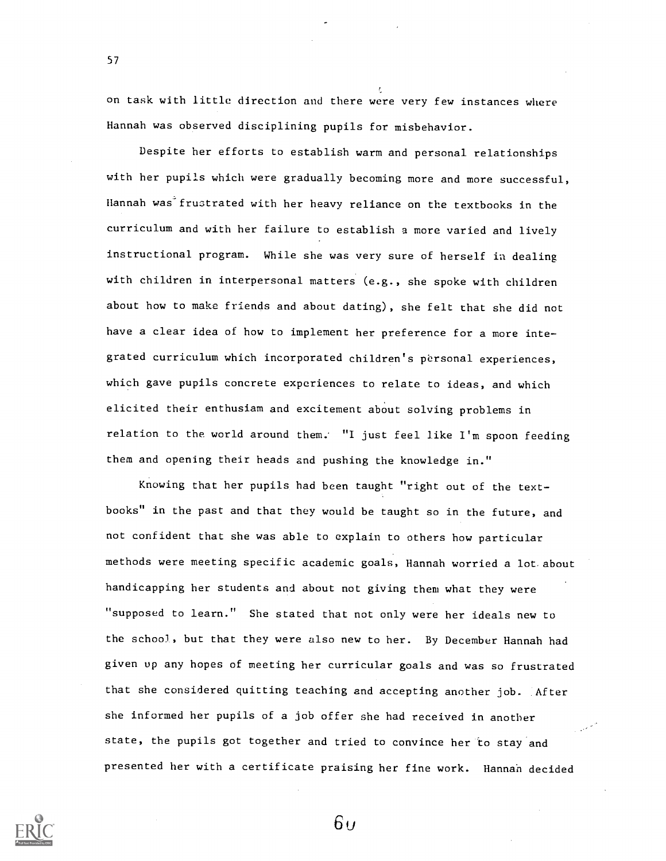on task with little direction and there were very few instances where Hannah was observed disciplining pupils for misbehavior.

Despite her efforts to establish warm and personal relationships with her pupils which were gradually becoming more and more successful, Hannah was<sup>2</sup> frustrated with her heavy reliance on the textbooks in the curriculum and with her failure to establish a more varied and lively instructional program. While she was very sure of herself in dealing with children in interpersonal matters (e.g., she spoke with children about how to make friends and about dating), she felt that she did not have a clear idea of how to implement her preference for a more integrated curriculum which incorporated children's personal experiences, which gave pupils concrete experiences to relate to ideas, and which elicited their enthusiam and excitement about solving problems in relation to the world around them. "I just feel like  $I<sup>'</sup>m$  spoon feeding them and opening their heads and pushing the knowledge in."

Knowing that her pupils had been taught "right out of the textbooks" in the past and that they would be taught so in the future, and not confident that she was able to explain to others how particular methods were meeting specific academic goals, Hannah worried a lot about handicapping her students and about not giving them what they were "supposed to learn." She stated that not only were her ideals new to the school, but that they were also new to her. By December Hannah had given up any hopes of meeting her curricular goals and was so frustrated that she considered quitting teaching and accepting another job. After she informed her pupils of a job offer she had received in another state, the pupils got together and tried to convince her to stay and presented her with a certificate praising her fine work. Hannah decided



57

 $6y$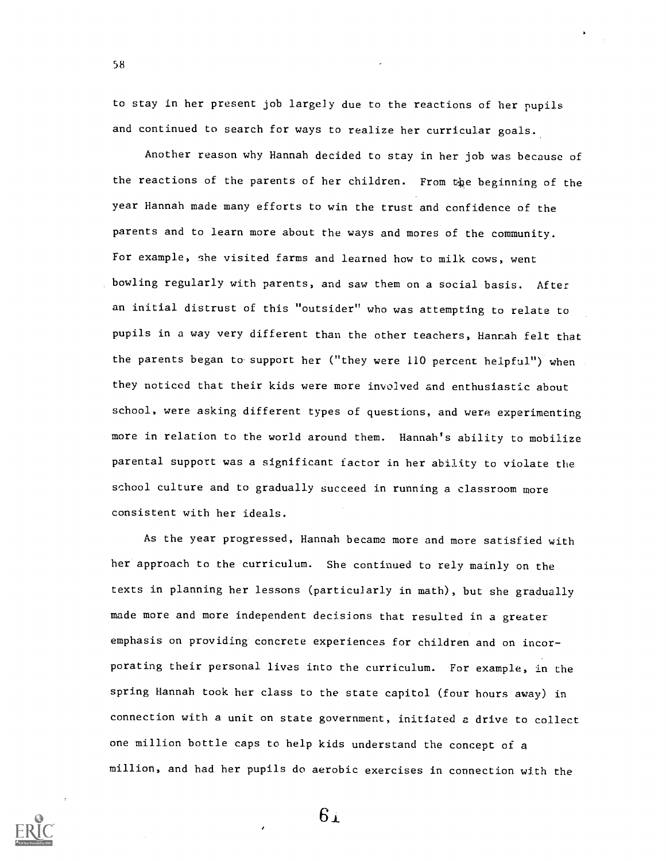to stay in her present job largely due to the reactions of her pupils and continued to search for ways to realize her curricular goals.

58

Another reason why Hannah decided to stay in her job was because of the reactions of the parents of her children. From the beginning of the year Hannah made many efforts to win the trust and confidence of the parents and to learn more about the ways and mores of the community. For example, she visited farms and learned how to milk cows, went bowling regularly with parents, and saw them on a social basis. After an initial distrust of this "outsider" who was attempting to relate to pupils in a way very different than the other teachers, Hannah felt that the parents began to support her ("they were 110 percent helpful") when they noticed that their kids were more involved and enthusiastic about school, were asking different types of questions, and were experimenting more in relation to the world around them. Hannah's ability to mobilize parental support was a significant factor in her ability to violate the school culture and to gradually succeed in running a classroom more consistent with her ideals.

As the year progressed, Hannah became more and more satisfied with her approach to the curriculum. She continued to rely mainly on the texts in planning her lessons (particularly in math), but she gradually made more and more independent decisions that resulted in a greater emphasis on providing concrete experiences for children and on incorporating their personal lives into the curriculum. For example, in the spring Hannah took her class to the state capitol (four hours away) in connection with a unit on state government, initiated a drive to collect one million bottle caps to help kids understand the concept of a million, and had her pupils do aerobic exercises in connection with the



 $6i$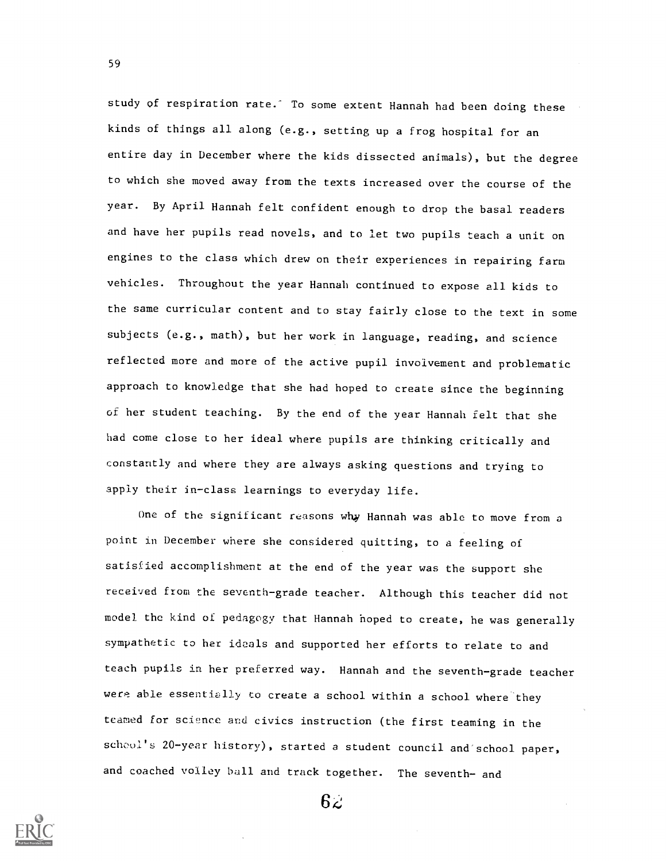study of respiration rate. To some extent Hannah had been doing these kinds of things all along (e.g., setting up a frog hospital for an entire day in December where the kids dissected animals), but the degree to which she moved away from the texts increased over the course of the year. By April Hannah felt confident enough to drop the basal readers and have her pupils read novels, and to let two pupils teach a unit on engines to the class which drew on their experiences in repairing farm vehicles. Throughout the year Hannah continued to expose all kids to the same curricular content and to stay fairly close to the text in some subjects (e.g., math), but her work in language, reading, and science reflected more and more of the active pupil involvement and problematic approach to knowledge that she had hoped to create since the beginning of her student teaching. By the end of the year Hannah felt that she had come close to her ideal where pupils are thinking critically and constantly and where they are always asking questions and trying to apply their in-class learnings to everyday life.

One of the significant reasons why Hannah was able to move from a point in December where she considered quitting, to a feeling of satisfied accomplishment at the end of the year was the support she received from the seventh-grade teacher. Although this teacher did not model the kind of pedagogy that Hannah hoped to create, he was generally sympathetic to her ideals and supported her efforts to relate to and teach pupils in her preferred way. Hannah and the seventh-grade teacher were able essentially to create a school within a school where they teamed for science and civics instruction (the first teaming in the school's 20-year history), started a student council and school paper, and coached volley ball and track together. The seventh- and



59

 $6\epsilon$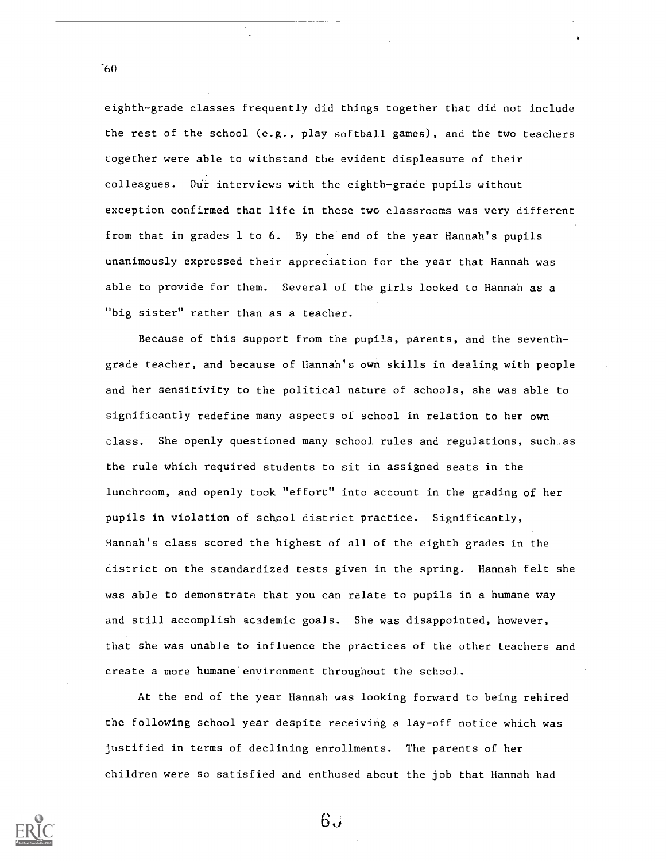eighth-grade classes frequently did things together that did not include the rest of the school (e.g., play softball games), and the two teachers together were able to withstand the evident displeasure of their colleagues. Ou'r interviews with the eighth-grade pupils without exception confirmed that life in these two classrooms was very different from that in grades 1 to 6. By the end of the year Hannah's pupils unanimously expressed their appreciation for the year that Hannah was able to provide for them. Several of the girls looked to Hannah as a "big sister" rather than as a teacher.

Because of this support from the pupils, parents, and the seventhgrade teacher, and because of Hannah's own skills in dealing with people and her sensitivity to the political nature of schools, she was able to significantly redefine many aspects of school in relation to her own class. She openly questioned many school rules and regulations, such as the rule which required students to sit in assigned seats in the lunchroom, and openly took "effort" into account in the grading of her pupils in violation of school district practice. Significantly, Hannah's class scored the highest of all of the eighth grades in the district on the standardized tests given in the spring. Hannah felt she was able to demonstrate that you can relate to pupils in a humane way and still accomplish academic goals. She was disappointed, however, that she was unable to influence the practices of the other teachers and create a more humane environment throughout the school.

At the end of the year Hannah was looking forward to being rehired the following school year despite receiving a lay-off notice which was justified in terms of declining enrollments. The parents of her children were so satisfied and enthused about the job that Hannah had



 $60^{\circ}$ 

 $6.5$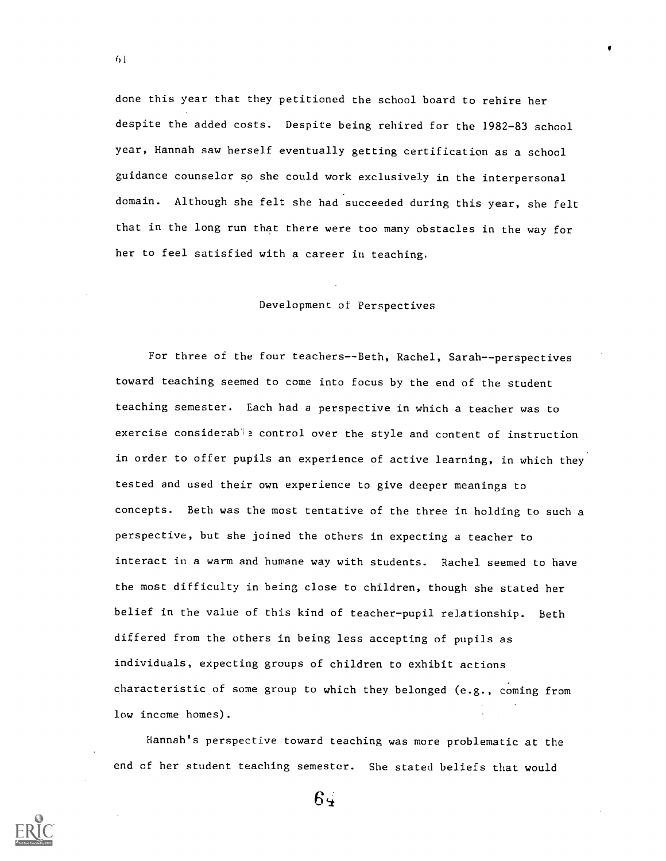done this year that they petitioned the school board to rehire her despite the added costs. Despite being rehired for the 1982-83 school year, Hannah saw herself eventually getting certification as a school guidance counselor so she could work exclusively in the interpersonal domain. Although she felt she had succeeded during this year, she felt that in the long run that there were too many obstacles in the way for her to feel satisfied with a career in teaching.

## Development of Perspectives

For three of the four teachers--Beth, Rachel, Sarah--perspectives toward teaching seemed to come into focus by the end of the student teaching semester. Each had a perspective in which a teacher was to exercise considerable control over the style and content of instruction in order to offer pupils an experience of active learning, in which they tested and used their own experience to give deeper meanings to concepts. Beth was the most tentative of the three in holding to such <sup>a</sup> perspective, but she joined the others in expecting a teacher to interact in a warm and humane way with students. Rachel seemed to have the most difficulty in being close to children, though she stated her belief in the value of this kind of teacher-pupil relationship. Beth differed from the others in being less accepting of pupils as individuals, expecting groups of children to exhibit actions characteristic of some group to which they belonged (e.g., coming from low income homes).

Hannah's perspective toward teaching was more problematic at the end of her student teaching semester. She stated beliefs that would

 $64$ 

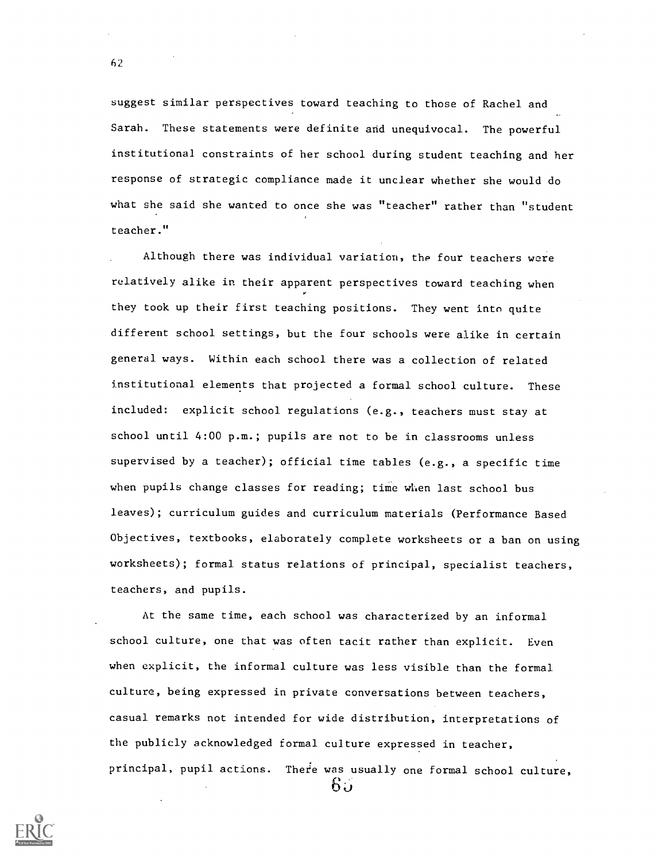suggest similar perspectives toward teaching to those of Rachel and Sarah. These statements were definite and unequivocal. The powerful institutional constraints of her school during student teaching and her response of strategic compliance made it unclear whether she would do what she said she wanted to once she was "teacher" rather than "student teacher."

Although there was individual variation, the four teachers were relatively alike in their apparent perspectives toward teaching when they took up their first teaching positions. They went into quite different school settings, but the four schools were alike in certain general ways. Within each school there was a collection of related institutional elements that projected a formal school culture. These included: explicit school regulations (e.g., teachers must stay at school until 4:00 p.m.; pupils are not to be in classrooms unless supervised by a teacher); official time tables (e.g., a specific time when pupils change classes for reading; time when last school bus leaves); curriculum guides and curriculum materials (Performance Based Objectives, textbooks, elaborately complete worksheets or a ban on using worksheets); formal status relations of principal, specialist teachers, teachers, and pupils.

At the same time, each school was characterized by an informal school culture, one that was often tacit rather than explicit. Even when explicit, the informal culture was less visible than the formal culture, being expressed in private conversations between teachers, casual remarks not intended for wide distribution, interpretations of the publicly acknowledged formal culture expressed in teacher, principal, pupil actions. There was usually one formal school culture, 65

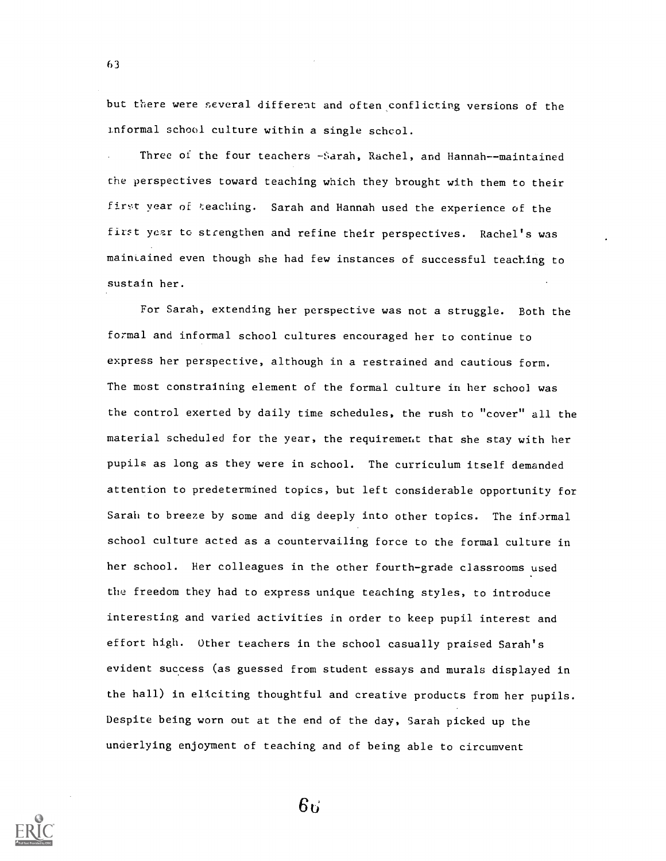but there were several different and often conflicting versions of the Informal school culture within a single schcol.

Three of the four teachers -Sarah, Rachel, and Hannah--maintained the perspectives toward teaching which they brought with them to their first year of teaching. Sarah and Hannah used the experience of the first year to strengthen and refine their perspectives. Rachel's was maintained even though she had few instances of successful teaching to sustain her.

For Sarah, extending her perspective was not a struggle. Both the formal and informal school cultures encouraged her to continue to express her perspective, although in a restrained and cautious form. The most constraining element of the formal culture in her school was the control exerted by daily time schedules, the rush to "cover" all the material scheduled for the year, the requirement that she stay with her pupils as long as they were in school. The curriculum itself demanded attention to predetermined topics, but left considerable opportunity for Sarah to breeze by some and dig deeply into other topics. The informal school culture acted as a countervailing force to the formal culture in her school. Her colleagues in the other fourth-grade classrooms used the freedom they had to express unique teaching styles, to introduce interesting and varied activities in order to keep pupil interest and effort high. Other teachers in the school casually praised Sarah's evident success (as guessed from student essays and murals displayed in the hall) in eliciting thoughtful and creative products from her pupils. Despite being worn out at the end of the day, Sarah picked up the underlying enjoyment of teaching and of being able to circumvent



63

 $6<sub>1</sub>$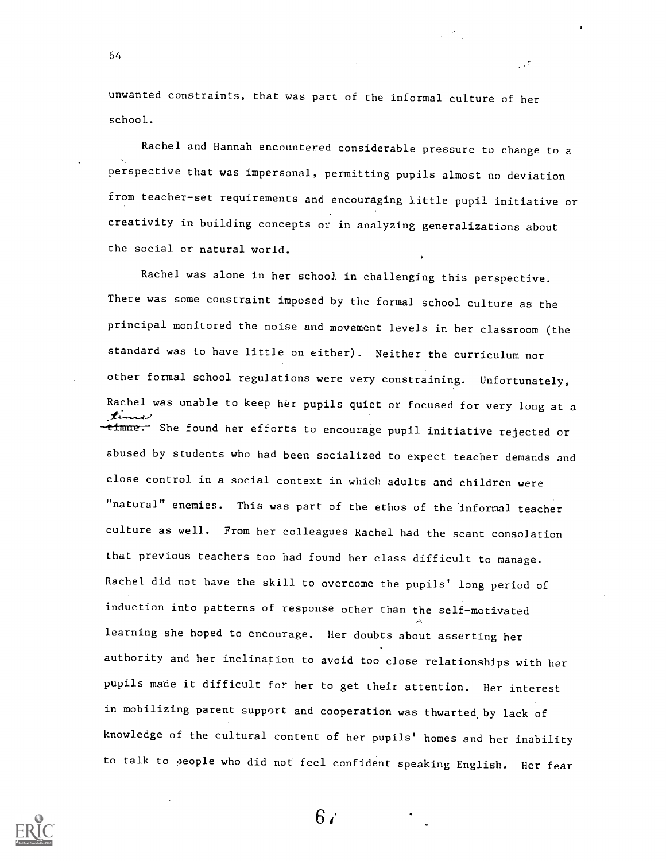unwanted constraints, that was part of the informal culture of her school..

64

Rachel and Hannah encountered considerable pressure to change to a perspective that was impersonal, permitting pupils almost no deviation from teacher-set requirements and encouraging little pupil initiative or creativity in building concepts or in analyzing generalizations about the social or natural world.

Rachel was alone in her school in challenging this perspective. There was some constraint imposed by the formal school culture as the principal monitored the noise and movement levels in her classroom (the standard was to have little on either). Neither the curriculum nor other formal school regulations were very constraining. Unfortunately, Rachel was unable to keep her pupils quiet or focused for very long at a timme. She found her efforts to encourage pupil initiative rejected or abused by students who had been socialized to expect teacher demands and close control in a social context in which adults and children were "natural" enemies. This was part of the ethos of the informal teacher culture as well. From her colleagues Rachel had the scant consolation that previous teachers too had found her class difficult to manage. Rachel did not have the skill to overcome the pupils' long period of induction into patterns of response other than the self-motivated learning she hoped to encourage. Her doubts about asserting her authority and her inclination to avoid too close relationships with her pupils made it difficult for her to get their attention. Her interest in mobilizing parent support and cooperation was thwarted. by lack of knowledge of the cultural content of her pupils' homes and her inability to talk to people who did not feel confident speaking English. Her fear



 $6/$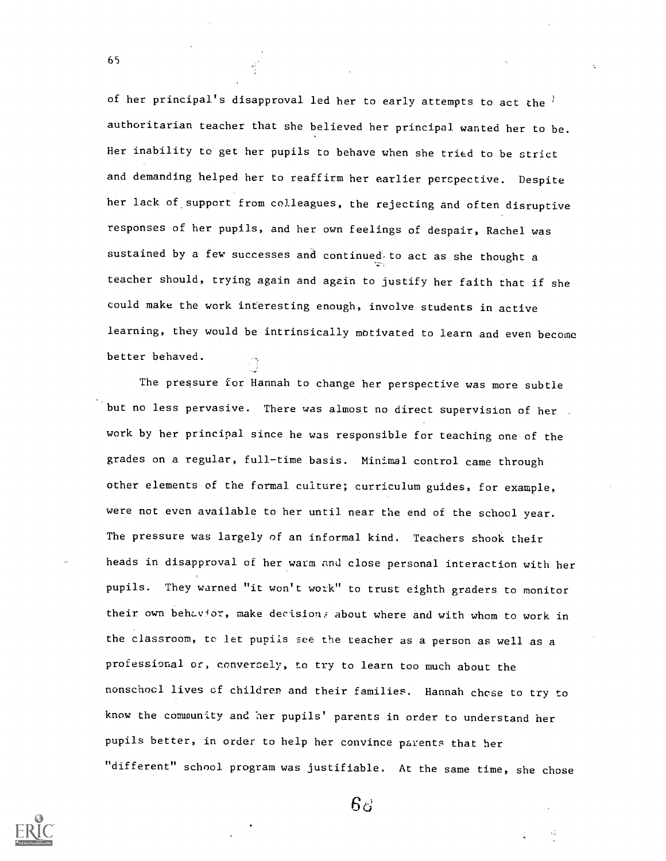of her principal's disapproval led her to early attempts to act the  $l$ authoritarian teacher that she believed her principal wanted her to be. Her inability to get her pupils to behave when she tried to be strict and demanding helped her to reaffirm her earlier perspective. Despite her lack of support from colleagues, the rejecting and often disruptive responses of her pupils, and her own feelings of despair, Rachel was sustained by a few successes and continued to act as she thought a teacher should, trying again and again to justify her faith that if she could make the work interesting enough, involve students in active learning, they would be intrinsically motivated to learn and even become better behaved.

The pressure for Hannah to change her perspective was more subtle but no less pervasive. There was almost no direct supervision of her . work by her principal since he was responsible for teaching one of the grades on a regular, full-time basis. Minimal control came through other elements of the formal culture; curriculum guides, for example, were not even available to her until near the end of the school year. The pressure was largely of an informal kind. Teachers shook their heads in disapproval of her warm and close personal interaction with her pupils. They warned "it won't work" to trust eighth graders to monitor their own behavior, make decision. about where and with whom to work in the classroom, tc let pupils see the teacher as a person as well as a professional or, conversely, to try to learn too much about the nonschocl lives of children and their families. Hannah chose to try to know the community and her pupils' parents in order to understand her pupils better, in order to help her convince parents that her "different" school program was justifiable. At the same time, she chose



65

 $6\sigma$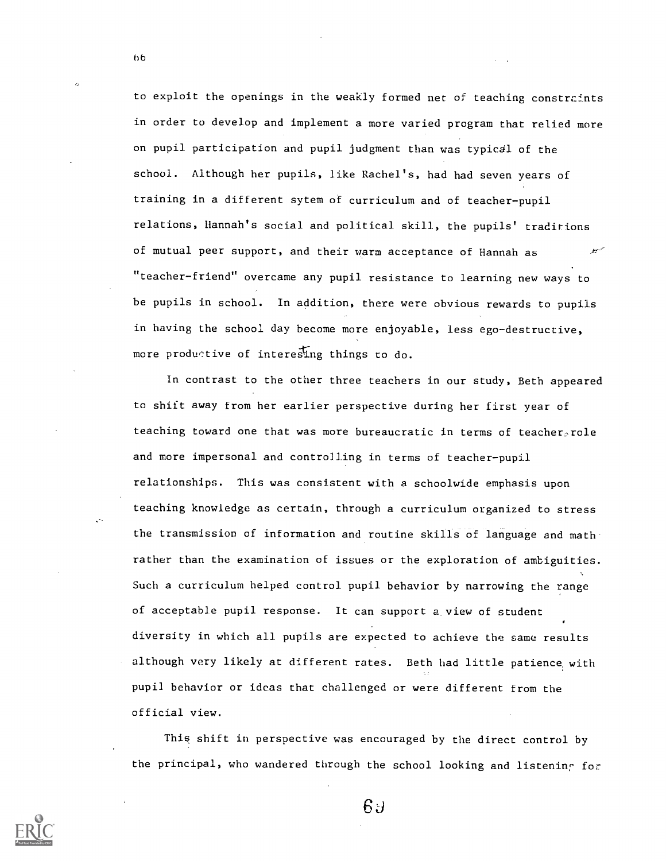to exploit the openings in the weakly formed net of teaching constrcints in order to develop and implement a more varied program that relied more on pupil participation and pupil judgment than was typical of the school. Although her pupils, like Rachel's, had had seven years of training in a different sytem of curriculum and of teacher-pupil relations, Hannah's social and political skill, the pupils' traditions of mutual peer support, and their warm acceptance of Hannah as "teacher-friend" overcame any pupil resistance to learning new ways to be pupils in school. In addition, there were obvious rewards to pupils in having the school day become more enjoyable, less ego-destructive, more productive of interesing things to do.

In contrast to the other three teachers in our study, Beth appeared to shift away from her earlier perspective during her first year of teaching toward one that was more bureaucratic in terms of teacher role and more impersonal and controlling in terms of teacher-pupil relationships. This was consistent with a schoolwide emphasis upon teaching knowledge as certain, through a curriculum organized to stress the transmission of information and routine skills of language and math rather than the examination of issues or the exploration of ambiguities. Such a curriculum helped control pupil behavior by narrowing the range of acceptable pupil response. It can support a, view of student diversity in which all pupils are expected to achieve the same results although very likely at different rates. Beth had little patience, with pupil behavior or ideas that challenged or were different from the official view.

This shift in perspective was encouraged by the direct control by the principal, who wandered through the school looking and listening for



66

 $6J$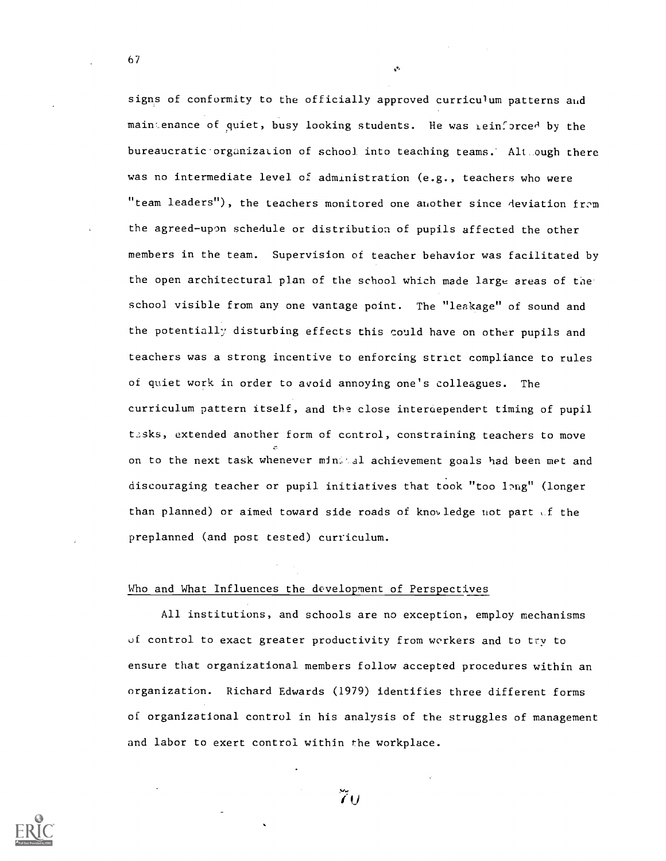signs of conformity to the officially approved curriculum patterns and maintenance of quiet, busy looking students. He was reinforced by the bureaucratic organization of school into teaching teams.' Alt ough there was no intermediate level of administration (e.g., teachers who were "team leaders"), the teachers monitored one another since deviation from the agreed-upon schedule or distribution of pupils affected the other members in the team. Supervision of teacher behavior was facilitated by the open architectural plan of the school which made large areas of the school visible from any one vantage point. The "leakage" of sound and the potentially disturbing effects this could have on other pupils and teachers was a strong incentive to enforcing strict compliance to rules of quiet work in order to avoid annoying one's colleagues. The curriculum pattern itself, and the close interoependert timing of pupil tasks, extended another form of control, constraining teachers to move on to the next task whenever minitel achievement goals had been met and discouraging teacher or pupil initiatives that took "too ling" (longer than planned) or aimed toward side roads of know ledge not part  $\mathcal{A}$  the preplanned (and post tested) curriculum.

o.

## Who and What Influences the development of Perspectives

All institutions, and schools are no exception, employ mechanisms of control to exact greater productivity from workers and to try to ensure that organizational members follow accepted procedures within an organization. Richard Edwards (1979) identifies three different forms of organizational control in his analysis of the struggles of management and labor to exert control within the workplace.



 $\tilde{I}$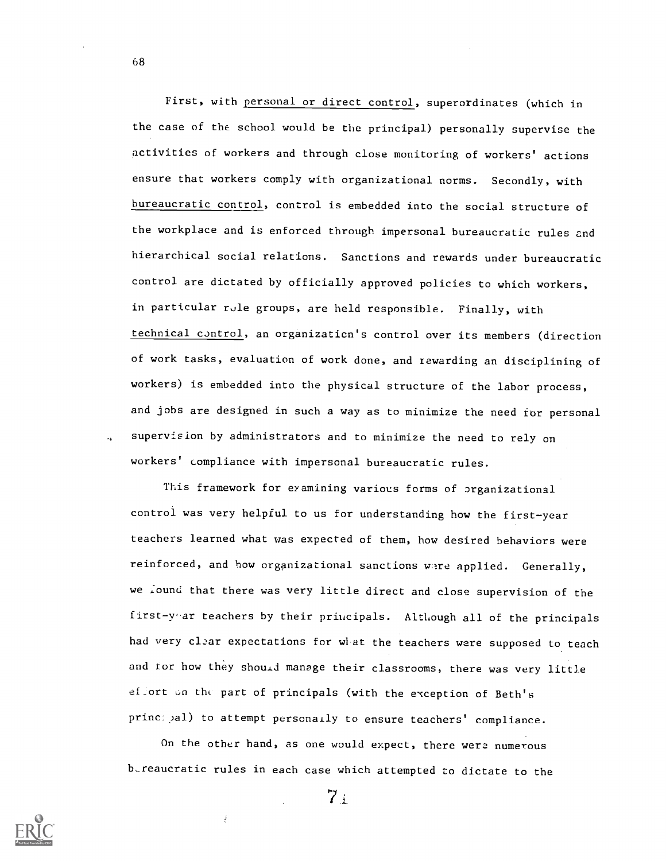First, with personal or direct control, superordinates (which in the case of the school would be the principal) personally supervise the activities of workers and through close monitoring of workers' actions ensure that workers comply with organizational norms. Secondly, with bureaucratic control, control is embedded into the social structure of the workplace and is enforced through impersonal bureaucratic rules 2nd hierarchical social relations. Sanctions and rewards under bureaucratic control are dictated by officially approved policies to which workers, in particular rule groups, are held responsible. Finally, with technical control, an organization's control over its members (direction of work tasks, evaluation of work done, and rewarding an disciplining of workers) is embedded into the physical structure of the labor process, and jobs are designed in such a way as to minimize the need for personal supervision by administrators and to minimize the need to rely on workers' compliance with impersonal bureaucratic rules.

This framework for examining various forms of organizational control was very helpful to us for understanding how the first-year teachers learned what was expected of them, how desired behaviors were reinforced, and how organizational sanctions were applied. Generally, we lound that there was very little direct and close supervision of the first -y'ar teachers by their principals. Although all of the principals had very clear expectations for what the teachers were supposed to teach and for how they should manage their classrooms, there was very little effort on the part of principals (with the exception of Beth's principal) to attempt personally to ensure teachers' compliance.

On the other hand, as one would expect, there were numerous bureaucratic rules in each case which attempted to dictate to the



68

 $7:$ 

 $\dot{\xi}$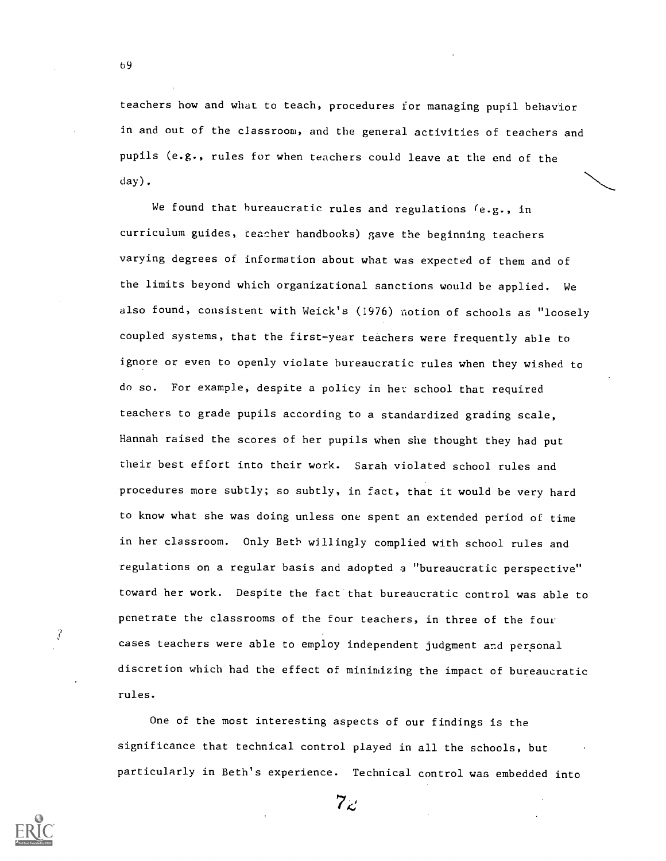teachers how and what to teach, procedures for managing pupil behavior in and out of the classroom, and the general activities of teachers and pupils (e.g., rules for when teachers could leave at the end of the day).

We found that bureaucratic rules and regulations  $(e.g., in$ curriculum guides, teacher handbooks) gave the beginning teachers varying degrees of information about what was expected of them and of the limits beyond which organizational sanctions would be applied. We also found, consistent with Weick's (1976) notion of schools as "loosely coupled systems, that the first-year teachers were frequently able to ignore or even to openly violate bureaucratic rules when they wished to do so. For example, despite a policy in her school that required teachers to grade pupils according to a standardized grading scale, Hannah raised the scores of her pupils when she thought they had put their best effort into their work. Sarah violated school rules and procedures more subtly; so subtly, in fact, that it would be very hard to know what she was doing unless one spent an extended period of time in her classroom. Only Beth willingly complied with school rules and regulations on a regular basis and adopted a "bureaucratic perspective" toward her work. Despite the fact that bureaucratic control was able to penetrate the classrooms of the four teachers, in three of the four cases teachers were able to employ independent judgment and personal discretion which had the effect of minimizing the impact of bureaucratic rules.

One of the most interesting aspects of our findings is the significance that technical control played in all the schools, but particularly in Beth's experience. Technical control was embedded into

 $7<sub>\epsilon</sub>$ 



 $\hat{f}$ 

b9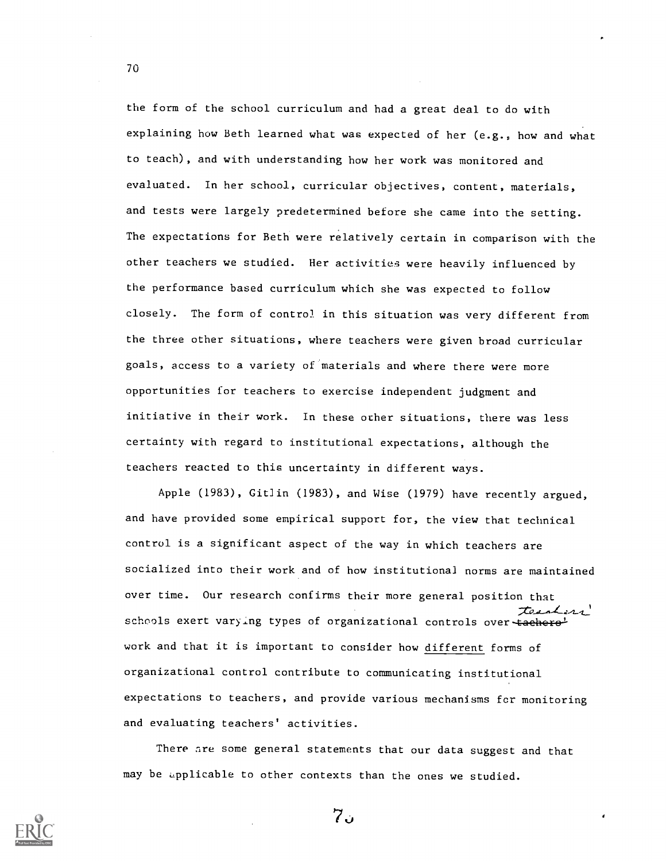the form of the school curriculum and had a great deal to do with explaining how Beth learned what was expected of her (e.g., how and what to teach), and with understanding how her work was monitored and evaluated. In her school, curricular objectives, content, materials, and tests were largely predetermined before she came into the setting. The expectations for Beth were relatively certain in comparison with the other teachers we studied. Her activities were heavily influenced by the performance based curriculum which she was expected to follow closely. The form of contro) in this situation was very different from the three other situations, where teachers were given broad curricular goals, access to a variety of materials and where there were more opportunities for teachers to exercise independent judgment and initiative in their work. In these ocher situations, there was less certainty with regard to institutional expectations, although the teachers reacted to this uncertainty in different ways.

Apple (1983), Gitlin (1983), and Wise (1979) have recently argued, and have provided some empirical support for, the view that technical control is a significant aspect of the way in which teachers are socialized into their work and of how institutional norms are maintained over time. Our research confirms their more general position that teenherr schools exert varying types of organizational controls over tacherawork and that it is important to consider how different forms of organizational control contribute to communicating institutional expectations to teachers, and provide various mechanisms fcr monitoring and evaluating teachers' activities.

There are some general statements that our data suggest and that may be applicable to other contexts than the ones we studied.



 $7.5$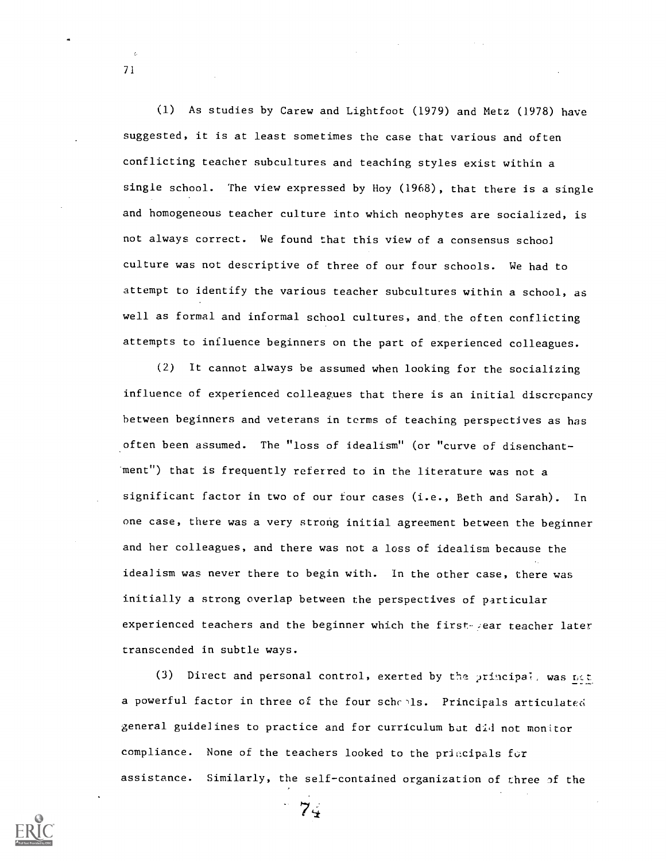(1) As studies by Carew and Lightfoot (1979) and Metz (]978) have suggested, it is at least sometimes the case that various and often conflicting teacher subcultures and teaching styles exist within a single school. The view expressed by Hoy (1968), that there is a single and homogeneous teacher culture into which neophytes are socialized, is not always correct. We found that this view of a consensus schoo] culture was not descriptive of three of our four schools. We had to attempt to identify the various teacher subcultures within a school, as well as formal and informal school cultures, and. the often conflicting attempts to influence beginners on the part of experienced colleagues.

(2) It cannot always be assumed when looking for the socializing influence of experienced colleagues that there is an initial discrepancy between beginners and veterans in terms of teaching perspectives as has often been assumed. The "loss of idealism" (or "curve of disenchantment") that is frequently referred to in the literature was not a significant factor in two of our four cases (i.e., Beth and Sarah). In one case, there was a very strong initial agreement between the beginner and her colleagues, and there was not a loss of idealism because the idealism was never there to begin with. In the other case, there was initially a strong overlap between the perspectives of particular experienced teachers and the beginner which the first year teacher later transcended in subtle ways.

(3) Direct and personal control, exerted by the principal, was net a powerful factor in three of the four schepls. Principals articulated general guidelines to practice and for curriculum but did not monitor compliance. None of the teachers looked to the priecipals for assistance. Similarly, the self-contained organization of three of the

74



 $\lambda_i$ 71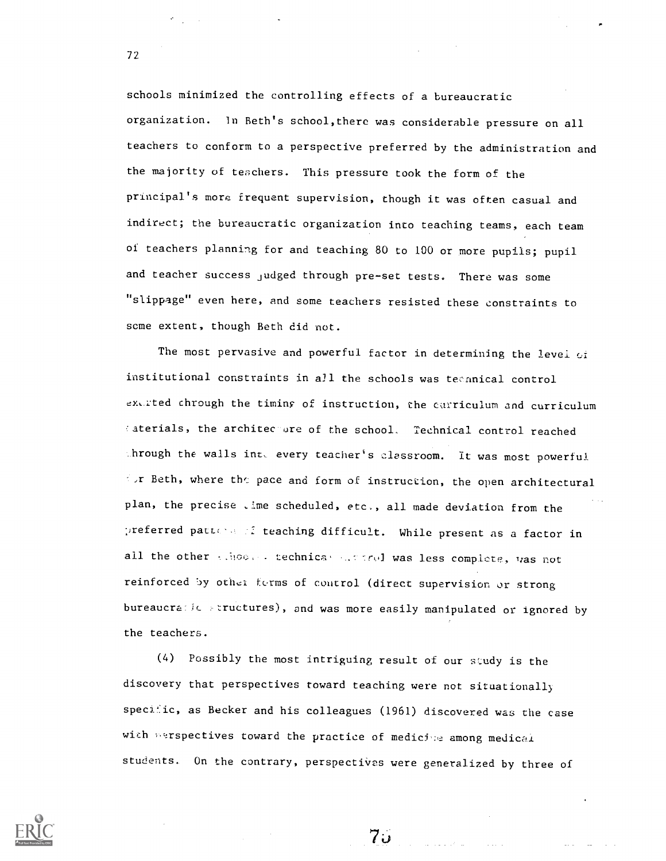schools minimized the controlling effects of a bureaucratic organization. In Beth's school,there was considerable pressure on all teachers to conform to a perspective preferred by the administration and the majority of teachers. This pressure took the form of the principal's more frequent supervision, though it was often casual and indirect; the bureaucratic organization into teaching teams, each team of teachers planning for and teaching 80 to 100 or more pupils; pupil and teacher success judged through pre-set tests. There was some "slippage" even here, and some teachers resisted these constraints to some extent, though Beth did not.

The most pervasive and powerful factor in determining the level of institutional constraints in all the schools was teannical control ex, rted chrough the timing of instruction, the carriculum and curriculum aterials, the architecture of the school. Technical control reached  $\Delta$ hrough the walls inte every teacher's classroom. It was most powerful  $\mathbb{R}$ r Beth, where the pace and form of instruction, the open architectural plan, the precise , ime scheduled, etc., all made deviation from the preferred pattens of teaching difficult. While present as a factor in all the other sthoods technical and trial was less complete, was not reinforced by other forms of control (direct supervision or strong bureaucratic structures), and was more easily manipulated or ignored by the teachers.

(4) Possibly the most intriguing result of our study is the discovery that perspectives toward teaching were not situationally specific, as Becker and his colleagues (1961) discovered was the case with perspectives toward the practice of medicipe among medical students. On the contrary, perspectives were generalized by three of

 $70-$ 

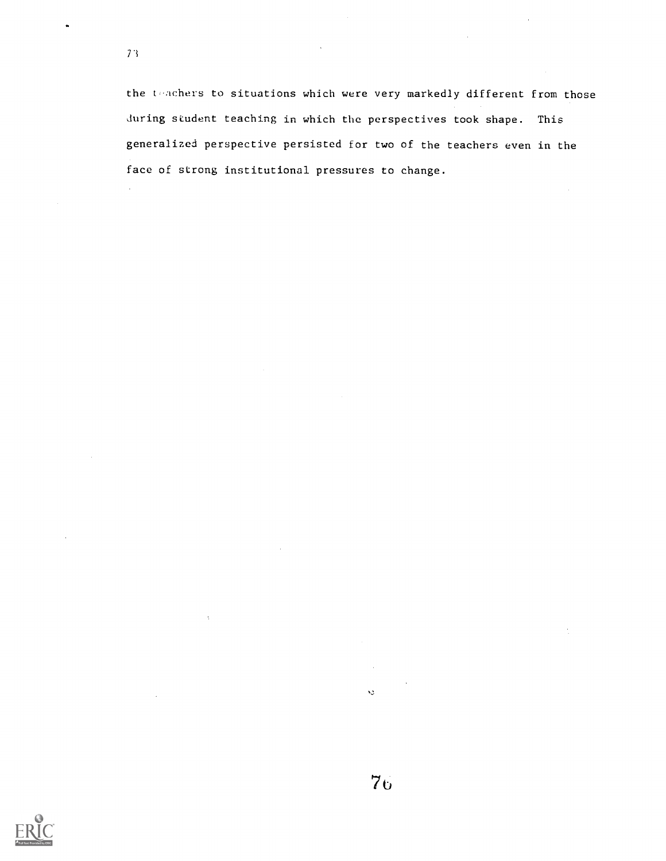$\ddot{\phantom{a}}$ 

the teachers to situations which were very markedly different from those during student teaching in which the perspectives took shape. This generalized perspective persisted for two of the teachers even in the face of strong institutional pressures to change.

Ń.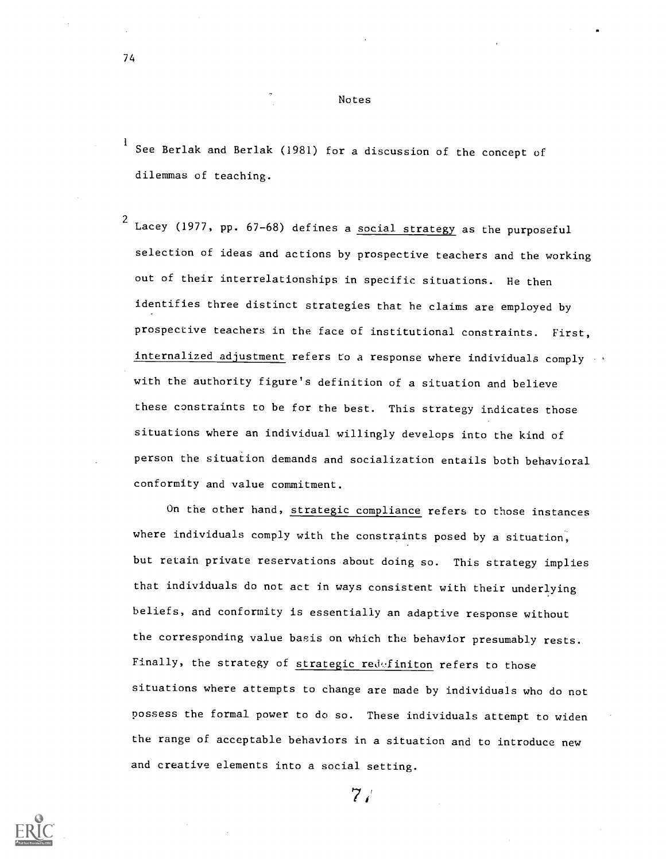Notes

See Berlak and Berlak (1981) for a discussion of the concept of dilemmas of teaching.

 $^2$  Lacey (1977, pp. 67-68) defines a social strategy as the purposeful selection of ideas and actions by prospective teachers and the working out of their interrelationships in specific situations. He then identifies three distinct strategies that he claims are employed by prospective teachers in the face of institutional constraints. First, internalized adjustment refers to a response where individuals comply with the authority figure's definition of a situation and believe these constraints to be for the best. This strategy indicates those situations where an individual willingly develops into the kind of person the situation demands and socialization entails both behavioral conformity and value commitment.

On the other hand, strategic compliance refers to those instances where individuals comply with the constraints posed by a situation, but retain private reservations about doing so. This strategy implies that individuals do not act in ways consistent with their underlying beliefs, and conformity is essentially an adaptive response without the corresponding value basis on which the behavior presumably rests. Finally, the strategy of strategic redefiniton refers to those situations where attempts to change are made by individuals who do not possess the formal power to do so. These individuals attempt to widen the range of acceptable behaviors in a situation and to introduce new and creative elements into a social setting.



 $7/$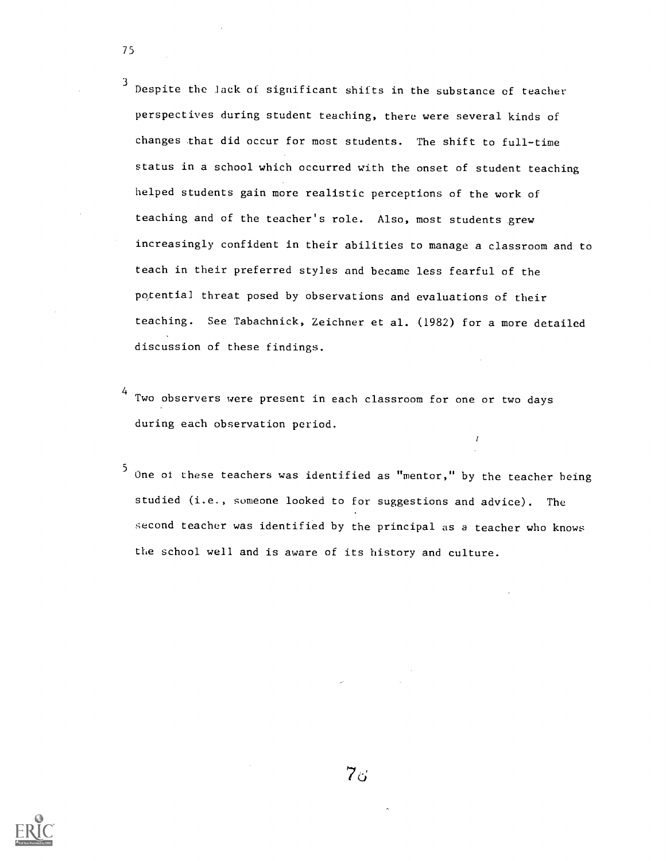Despite the lack of significant shifts in the substance of teacher perspectives during student teaching, there were several kinds of changes that did occur for most students. The shift to full-time status in a school which occurred with the onset of student teaching helped students gain more realistic perceptions of the work of teaching and of the teacher's role. Also, most students grew increasingly confident in their abilities to manage a classroom and to teach in their preferred styles and became less fearful of the potential threat posed by observations and evaluations of their teaching. See Tabachnick, Zeichner et al. (1982) for a more detailed discussion of these findings.

Two observers were present in each classroom for one or two days during each observation period.

 $5$  One of these teachers was identified as "mentor," by the teacher being studied (i.e., someone looked to for suggestions and advice). The second teacher was identified by the principal as a teacher who knows the school well and is aware of its history and culture.

 $\pmb{\ell}$ 



75

 $7<sub>o</sub>$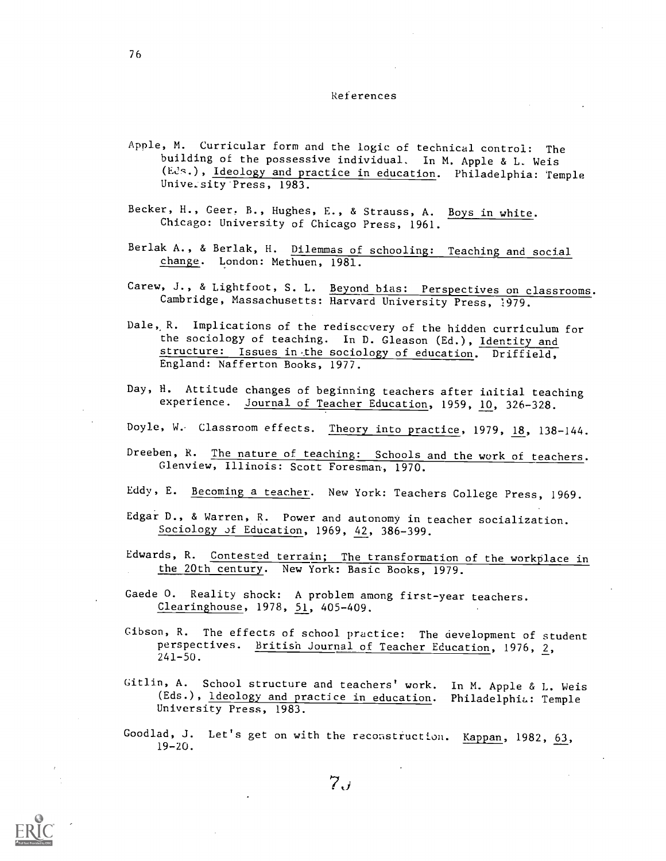### References

- Apple, M. Curricular form and the logic of technical control: The building of the possessive individual. In M. Apple & L. Weis (Eds.), Ideology and practice in education. Philadelphia: Temple Unive.sity Press, 1983.
- Becker, H., Geer, B., Hughes, E., & Strauss, A. Boys in white. Chicago: University of Chicago Press, 1961.
- Berlak A., & Berlak, H. Dilemmas of schooling: Teaching and social change. London: Methuen, 1981.
- Carew, J., & Lightfoot, S. L. Beyond bias: Perspectives on classrooms. Cambridge, Massachusetts: Harvard University Press, 1979.
- Dale,, R. Implications of the rediscovery of the hidden curriculum for the sociology of teaching. In D. Gleason (Ed.), Identity and structure: Issues in the sociology of education. Driffield, England: Nafferton Books, 1977.
- Day, H. Attitude changes of beginning teachers after initial teaching experience. Journal of Teacher Education, 1959, 10, 326-328.
- Doyle, W. Classroom effects. Theory into practice, 1979, 18, 138-144.
- Dreeben, R. The nature of teaching: Schools and the work of teachers. Glenview, Illinois: Scott Foresman, 1970.
- Eddy, E. Becoming a teacher. New York: Teachers College Press, 1969.
- Edgar D., & Warren, R. Power and autonomy in teacher socialization. Sociology of Education, 1969, 42, 386-399.
- Edwards, R. Contested terrain; The transformation of the workplace in the 20th century. New York: Basic Books, 1979.
- Gaede 0. Reality shock: A problem among first-year teachers. Clearinghouse, 1978, 51, 405-409,
- Gibson, R. The effects of school practice: The development of student perspectives. British Journal of Teacher Education, 1976, 2, 241-50.
- Gitlin, A. School structure and teachers' work. In M. Apple & L. Weis (Eds.), Ideology and practice in education. Philadelphia: Temple University Press, 1983.
- Goodlad, J. Let's get on with the reconstruction. Kappan, 1982, 63, 19-20.

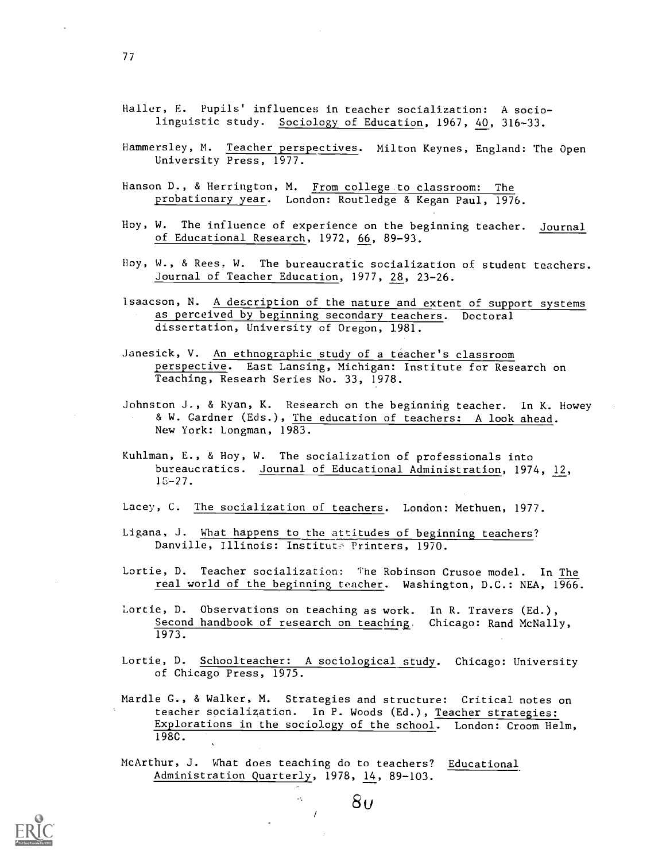- Hammersley, M. Teacher perspectives. Milton Keynes, England: The Open University Press, 1977.
- Hanson D., & Herrington, M. From college to classroom: The probationary year. London: Routledge & Kegan Paul, 1976.
- Hoy, W. The influence of experience on the beginning teacher. Journal of Educational Research, 1972, 66, 89-93.
- Hoy, W., & Rees, W. The bureaucratic socialization of student teachers. Journal of Teacher Education, 1977, 28, 23-26.
- Isaacson, N. A description of the nature and extent of support systems as perceived by beginning secondary teachers. Doctoral dissertation, University of Oregon, 1981.
- Janesick, V. An ethnographic study of a teacher's classroom perspective. East Lansing, Michigan: Institute for Research on Teaching, Researh Series No. 33, 1978.
- Johnston J., & Ryan, K. Research on the beginning teacher. In K. Howey & W. Gardner (Eds.), The education of teachers: A look ahead. New York: Longman, 1983.
- Kuhlman, E., & Hoy, W. The socialization of professionals into bureaucratics. Journal of Educational Administration, 1974, 12, 15-27.
- Lacey, C. The socialization of teachers. London: Methuen, 1977.
- Ligana, J. What happens to the attitudes of beginning teachers? Danville, Illinois: Institute Printers, 1970.
- Lortie, D. Teacher socialization: The Robinson Crusoe model. In The real world of the beginning teacher. Washington, D.C.: NEA, 1966.
- Lortie, D. Observations on teaching as work. In R. Travers (Ed.), Second handbook of research on teaching. Chicago: Rand McNally, 1973.
- Lortie, D. Schoolteacher: A sociological study. Chicago: University of Chicago Press, 1975.
- Mardle G., & Walker, M. Strategies and structure: Critical notes on teacher socialization. In P. Woods (Ed.), Teacher strategies: Explorations in the sociology of the school. London: Croom Helm, 198C.

 $80$ 

McArthur, J. What does teaching do to teachers? Educational Administration Quarterly, 1978, 14, 89-103.

 $\overline{I}$ 

 $\mathcal{A}_\mathbf{r}$ 

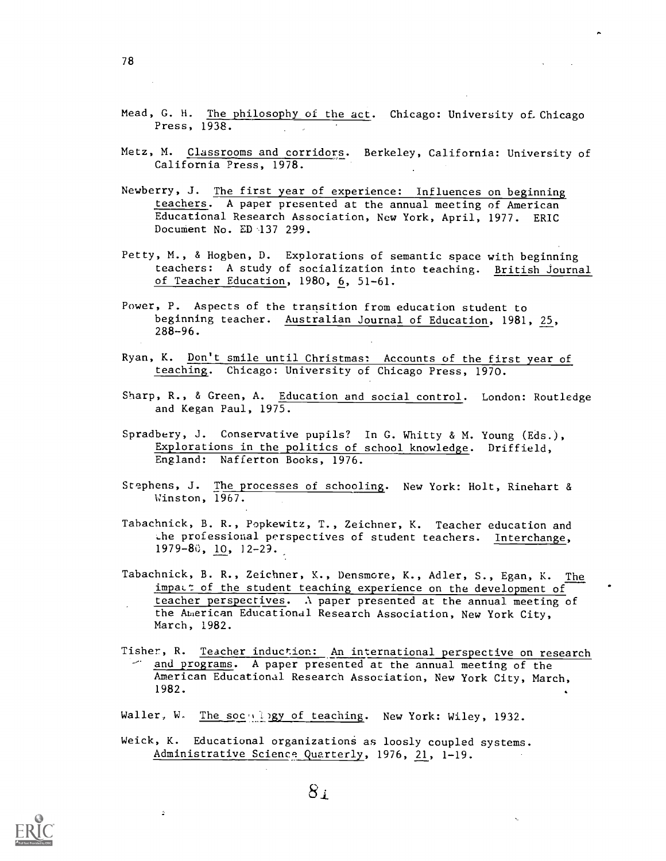- Mead, G. H. The philosophy of the act. Chicago: University of Chicago Press, 1938.
- Metz, M. Classrooms and corridors. Berkeley, California: University of California Press, 1978.
- Newberry, J. The first year of experience: Influences on beginning teachers. A paper presented at the annual meeting of American Educational Research Association, New York, April, 1977. ERIC Document No. ED 137 299.
- Petty, M., & Hogben, D. Explorations of semantic space with beginning teachers: A study of socialization into teaching. British Journal of Teacher Education, 1980, 6, 51-61.
- Power, P. Aspects of the transition from education student to beginning teacher. Australian Journal of Education, 1981, 25, 288-96.
- Ryan, K. Don't smile until Christmas: Accounts of the first year of teaching. Chicago: University of Chicago Press, 1970.
- Sharp, R., & Green, A. Education and social control. London: Routledge and Kegan Paul, 1975.
- Spradbery, J. Conservative pupils? In G. Whitty & M. Young (Eds.), Explorations in the politics of school knowledge. Driffield, England: Nafferton Books, 1976.
- Stephens, J. The processes of schooling. New York: Holt, Rinehart & Winston, 1967.
- Tabachnick, B. R., Popkewitz, T., Zeichner, K. Teacher education and the professional perspectives of student teachers. Interchange,  $1979 - 80$ ,  $10$ ,  $12 - 29$ .
- Tabachnick, B. R., Zeichner, K., Densmore, K., Adler, S., Egan, K. The impat: of the student teaching experience on the development of teacher perspectives. A paper presented at the annual meeting of the American Educational Research Association, New York City, March, 1982.
- Tisher, R. Teacher induction: An international perspective on research and programs. A paper presented at the annual meeting of the American Educational Research Association, New York City, March, 1982.
- Waller, W. The socylingy of teaching. New York: Wiley, 1932.
- Weick, K. Educational organizations as loosly coupled systems. Administrative Science Quarterly, 1976, 21, 1-19.



 $\Delta$ 

 $8<sub>i</sub>$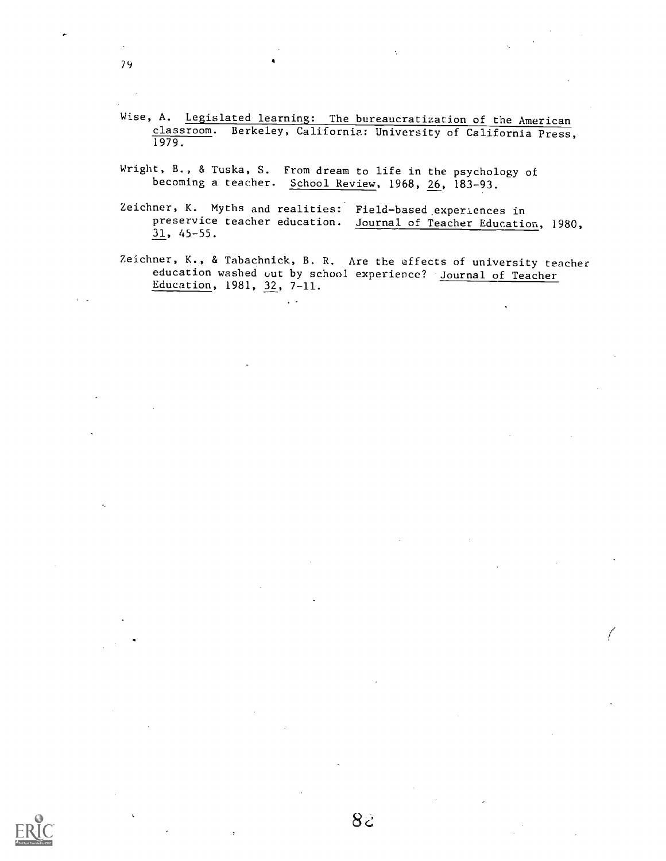- Wise, A. Legislated learning: The bureaucratization of the American classroom. Berkeley, California: University of California Press, 1979.
- Wright, B., & Tuska, S. From dream to life in the psychology of becoming a teacher. School Review, 1968, 26, 183-93.

 $\sim$   $\sim$ 

- Zeichner, K. Myths and realities: Field-based experiences in preservice teacher education. Journal of Teacher Education Journal of Teacher Education, 1980, 31, 45-55.
- Zeichner, K., & Tabachnick, B. R. Are the effects of university teacher education washed out by school experience? Journal of Teacher Education, 1981, 32, 7-11.

79

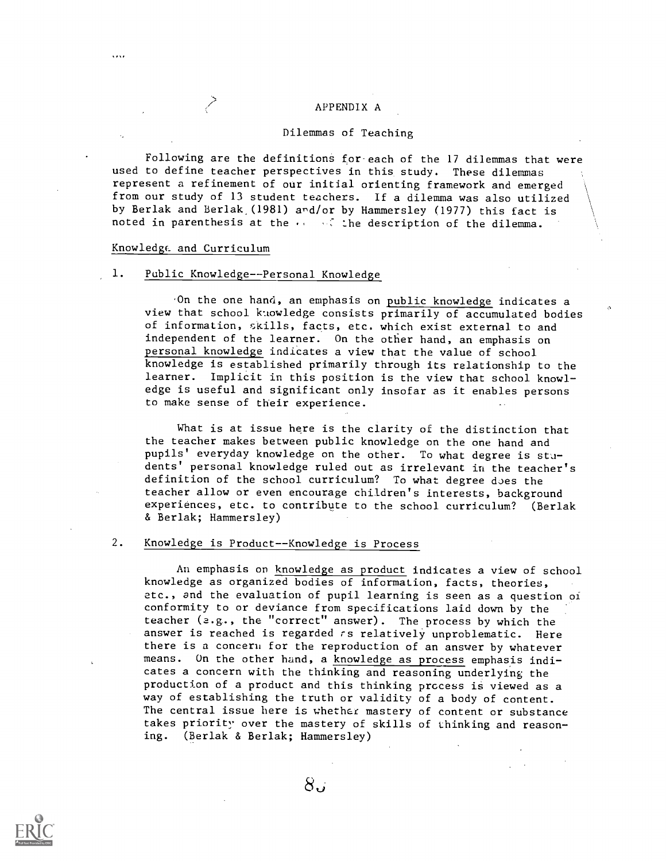### APPENDIX A

### Dilemmas of Teaching

Following are the definitions for-each of the 17 dilemmas that were used to define teacher perspectives in this study. These dilemmas represent a refinement of our initial orienting framework and emerged \ from our study of 13 student teachers. If a dilemma was also utilized \ by Berlak and Berlak (1981) and/or by Hammersley (1977) this fact is noted in parenthesis at the  $\cdots$  is the description of the dilemma.

#### Knowledge\_ and Curriculum

### 1. Public Knowledge--Personal Knowledge

On the one hand, an emphasis on public knowledge indicates a view that school knowledge consists primarily of accumulated bodies of information, skills, facts, etc. which exist external to and independent of the learner. On the other hand, an emphasis on personal knowledge indicates a view that the value of school knowledge is established primarily through its relationship to the learner. Implicit in this position is the view that school knowledge is useful and significant only insofar as it enables persons to make sense of their experience.

What is at issue here is the clarity of the distinction that the teacher makes between public knowledge on the one hand and pupils' everyday knowledge on the other. To what degree is students' personal knowledge ruled out as irrelevant in the teacher's definition of the school curriculum? To what degree does the teacher allow or even encourage children's interests, background experiences, etc. to contribute to the school curriculum? (Berlak & Berlak; Hammersley)

### 2. Knowledge is Product--Knowledge is Process

An emphasis on knowledge as product indicates a view of school knowledge as organized bodies of information, facts, theories, etc., and the evaluation of pupil learning is seen as a question of conformity to or deviance from specifications laid down by the teacher (2.g., the "correct" answer). The process by which the answer is reached is regarded rs relatively unproblematic. Here there is a concern for the reproduction of an answer by whatever means. On the other hand, a knowledge as process emphasis indicates a concern with the thinking and reasoning underlying the production of a product and this thinking process is viewed as a way of establishing the truth or validity of a body of content. The central issue here is whether mastery of content or substance takes priority over the mastery of skills of thinking and reason ing. (Berlak & Berlak; Hammersley)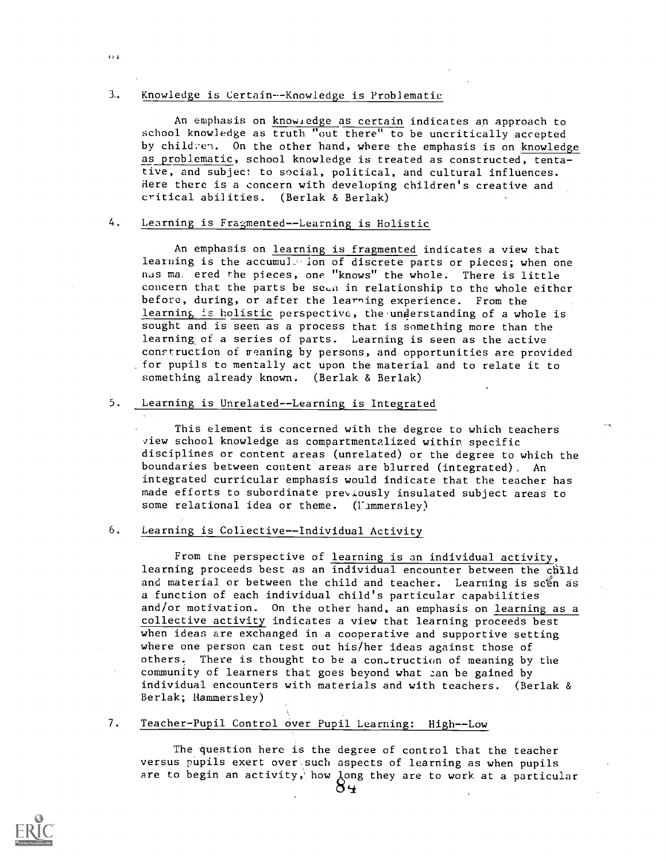### 3. Knowledge is Certain--Knowledge is Problematic

 $O<sub>1</sub>$ 

An emphasis on know edge as certain indicates an approach to school knowledge as truth "out there" to be uncritically accepted by children. On the other hand, where the emphasis is on knowledge as problematic, school knowledge is treated as constructed, tentative, and subject to social, political, and cultural influences. Here there is a concern with developing children's creative and critical abilities. (Berlak & Berlak)

## 4. Learning is Fragmented--Learning is Holistic

An emphasis on learning is fragmented indicates a view that learning is the accumule ion of discrete parts or pieces; when one nas ma, ered the pieces, one "knows" the whole. There is little concern that the parts be seen in relationship to the whole either before, during, or after the learning experience. From the learning is holistic perspective, the understanding of a whole is sought and is seen as a process that is something more than the learning\_of a series of parts. Learning is seen as the active conrtructioh of reaning by persons, and opportunities are provided for pupils to mentally act upon the material and to relate it to something already known. (Berlak & Berlak)

# 5. Learning is Unrelated--Learning is Integrated

This element is concerned with the degree to which teachers view school knowledge as compartmentalized within specific disciplines or content areas (unrelated) or the degree to which the boundaries between content areas are blurred (integrated), An integrated curricular emphasis would indicate that the teacher has made efforts to subordinate previously insulated subject areas to some relational idea or theme. (Limmersley)

### 6. Learning is Collective -- Individual Activity

From the perspective of learning is an individual activity, learning proceeds best as an individual encounter between the child and material or between the child and teacher. Learning is seen as a function of each individual child's particular capabilities and/or motivation. On the other hand, an emphasis on learning as a collective activity indicates a view that learning proceeds best when ideas are exchanged in a cooperative and supportive setting where one person can test out his/her ideas against those of others. There is thought to be a construction of meaning by the community of learners that goes beyond what can be gained by individual encounters with materials and with teachers. (Berlak & Berlak; Hammersley)

### 7. Teacher-Pupil Control over Pupil Learning; High--Low

The question here is the degree of control that the teacher versus pupils exert over such aspects of learning as when pupils are to begin an activity,' how long they are to work at a particular

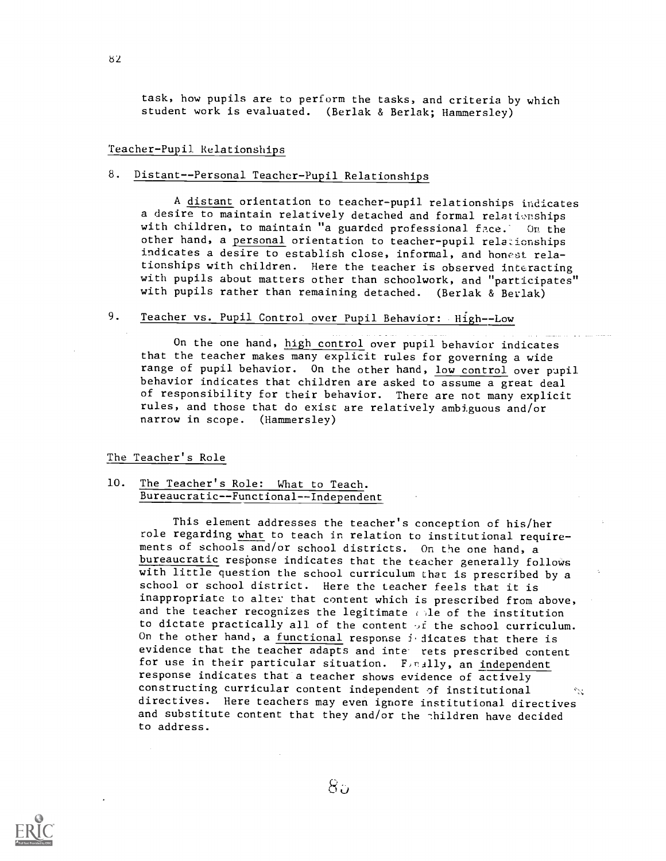task, how pupils are to perform the tasks, and criteria by which student work is evaluated. (Berlak & Berlak; Hammersley)

### Teacher-Pupil Relationships

# 8. Distant--Personal Teacher-Pupil Relationships

A distant orientation to teacher-pupil relationships indicates a desire to maintain relatively detached and formal relationships with children, to maintain "a guarded professional face.' On the other hand, a personal orientation to teacher-pupil relationships indicates a desire to establish close, informal, and honest relationships with children. Here the teacher is observed interacting with pupils about matters other than schoolwork, and "participates" with pupils rather than remaining detached. (Berlak & Berlak)

# 9. Teacher vs. Pupil Control over Pupil Behavior: High--Low

On the one hand, high control over pupil behavior indicates that the teacher makes many explicit rules for governing a wide range of pupil behavior. On the other hand, low control over pupil behavior indicates that children are asked to assume a great deal of responsibility for their behavior. There are not many explicit rules, and those that do exist are relatively ambiguous and/or narrow in scope. (Hammersley)

The Teacher's Role

## 10. The Teacher's Role: What to Teach. Bureaucratic--Functional--Independent

This element addresses the teacher's conception of his/her role regarding what to teach in relation to institutional requirements of schools and/or school districts. On the one hand, a bureaucratic response indicates that the teacher generally follows with little question the school curriculum that is prescribed by a school or school district. Here the teacher feels that it is inappropriate to alter that content which is prescribed from above, and the teacher recognizes the legitimate cole of the institution to dictate practically all of the content  $\sigma$  i the school curriculum. On the other hand, a functional response  $i$  dicates that there is evidence that the teacher adapts and inte rets prescribed content for use in their particular situation. Finally, an independent response indicates that a teacher shows evidence of actively constructing curricular content independent of institutional directives. Here teachers may even ignore institutional directives and substitute content that they and/or the children have decided to address.

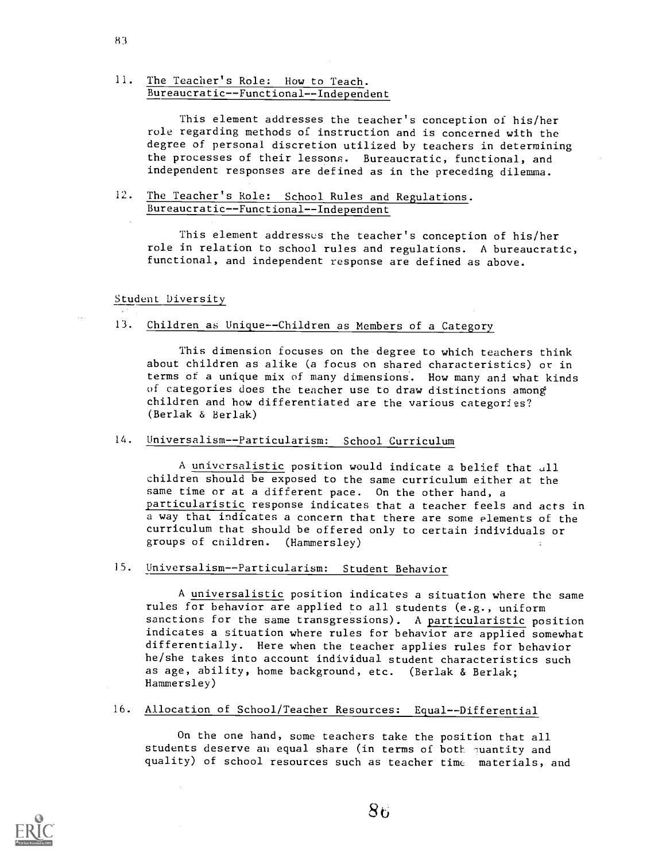# 11. The Teacher's Role: How to Teach. Bureaucratic--Functional--Independent

This element addresses the teacher's conception of his/her role regarding methods of instruction and is concerned with the degree of personal discretion utilized by teachers in determining the processes of their lessons. Bureaucratic, functional, and independent responses are defined as in the preceding dilemma.

## 12. The Teacher's Role: School Rules and Regulations. Bureaucratic -- Functional -- Independent

This element addresses the teacher's conception of his/her role in relation to school rules and regulations. A bureaucratic, functional, and independent response are defined as above.

Student Diversity

### 13. Children as Unique--Children as Members of a Category

This dimension focuses on the degree to which teachers think about children as alike (a focus on shared characteristics) or in terms of a unique mix of many dimensions. How many and what kinds of categories does the teacher use to draw distinctions among children and how differentiated are the various categories? (Berlak & Berlak)

# 14. Universalism--Particularism: School Curriculum

A universalistic position would indicate a belief that all children should be exposed to the same curriculum either at the same time or at a different pace. On the other hand, a particularistic response indicates that a teacher feels and acts in a way that indicates a concern that there are some elements of the curriculum that should be offered only to certain individuals or groups of children. (Hammersley)

# 15. Universalism--Particularism: Student Behavior

A universalistic position indicates a situation where the same rules for behavior are applied to all students (e.g., uniform sanctions for the same transgressions). A particularistic position indicates a situation where rules for behavior are applied somewhat differentially. Here when the teacher applies rules for behavior he/she takes into account individual student characteristics such as age, ability, home background, etc. (Berlak & Berlak; Hammersley)

#### 16. Allocation of School/Teacher Resources: Equal--Differential

On the one hand, some teachers take the position that all students deserve an equal share (in terms of both quantity and quality) of school resources such as teacher time materials, and